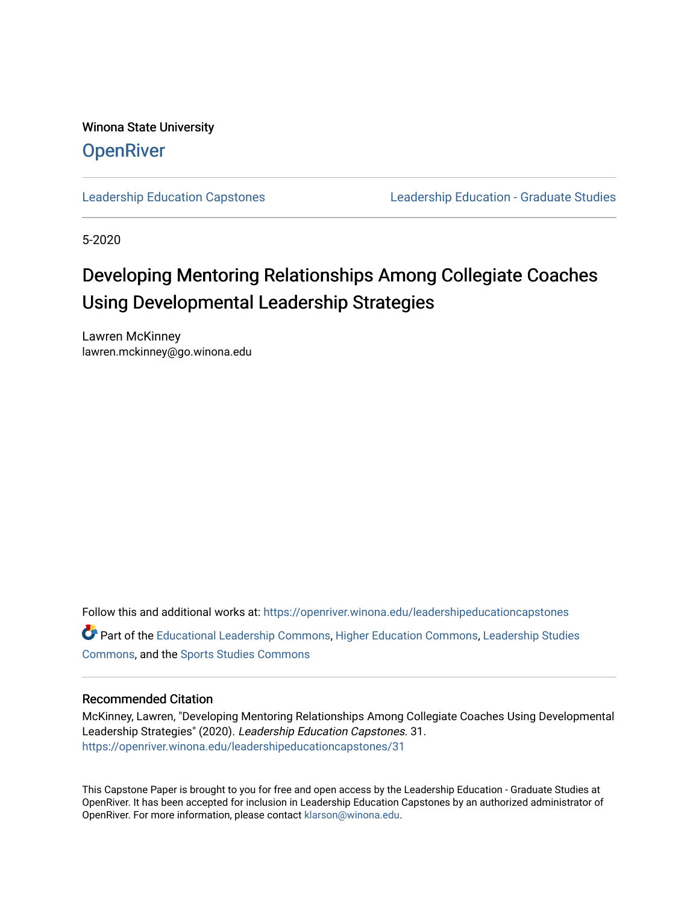Winona State University **OpenRiver** 

[Leadership Education Capstones](https://openriver.winona.edu/leadershipeducationcapstones) [Leadership Education - Graduate Studies](https://openriver.winona.edu/leadershipeducation) 

5-2020

# Developing Mentoring Relationships Among Collegiate Coaches Using Developmental Leadership Strategies

Lawren McKinney lawren.mckinney@go.winona.edu

Follow this and additional works at: [https://openriver.winona.edu/leadershipeducationcapstones](https://openriver.winona.edu/leadershipeducationcapstones?utm_source=openriver.winona.edu%2Fleadershipeducationcapstones%2F31&utm_medium=PDF&utm_campaign=PDFCoverPages)  Part of the [Educational Leadership Commons,](http://network.bepress.com/hgg/discipline/1230?utm_source=openriver.winona.edu%2Fleadershipeducationcapstones%2F31&utm_medium=PDF&utm_campaign=PDFCoverPages) [Higher Education Commons,](http://network.bepress.com/hgg/discipline/1245?utm_source=openriver.winona.edu%2Fleadershipeducationcapstones%2F31&utm_medium=PDF&utm_campaign=PDFCoverPages) [Leadership Studies](http://network.bepress.com/hgg/discipline/1250?utm_source=openriver.winona.edu%2Fleadershipeducationcapstones%2F31&utm_medium=PDF&utm_campaign=PDFCoverPages) [Commons](http://network.bepress.com/hgg/discipline/1250?utm_source=openriver.winona.edu%2Fleadershipeducationcapstones%2F31&utm_medium=PDF&utm_campaign=PDFCoverPages), and the [Sports Studies Commons](http://network.bepress.com/hgg/discipline/1198?utm_source=openriver.winona.edu%2Fleadershipeducationcapstones%2F31&utm_medium=PDF&utm_campaign=PDFCoverPages) 

# Recommended Citation

McKinney, Lawren, "Developing Mentoring Relationships Among Collegiate Coaches Using Developmental Leadership Strategies" (2020). Leadership Education Capstones. 31. [https://openriver.winona.edu/leadershipeducationcapstones/31](https://openriver.winona.edu/leadershipeducationcapstones/31?utm_source=openriver.winona.edu%2Fleadershipeducationcapstones%2F31&utm_medium=PDF&utm_campaign=PDFCoverPages) 

This Capstone Paper is brought to you for free and open access by the Leadership Education - Graduate Studies at OpenRiver. It has been accepted for inclusion in Leadership Education Capstones by an authorized administrator of OpenRiver. For more information, please contact [klarson@winona.edu](mailto:klarson@winona.edu).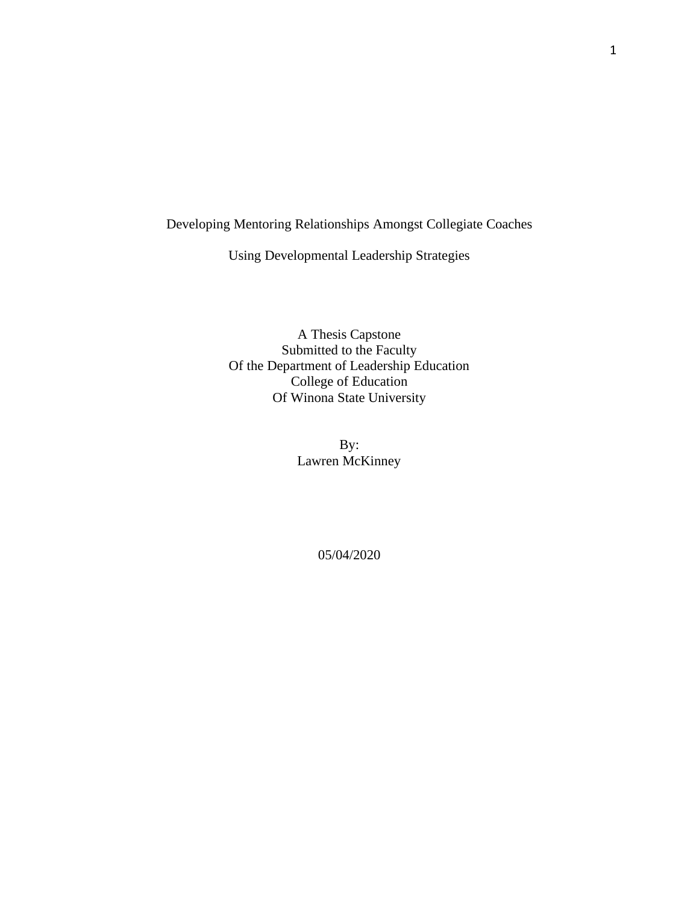# Developing Mentoring Relationships Amongst Collegiate Coaches

Using Developmental Leadership Strategies

A Thesis Capstone Submitted to the Faculty Of the Department of Leadership Education College of Education Of Winona State University

> By: Lawren McKinney

> > 05/04/2020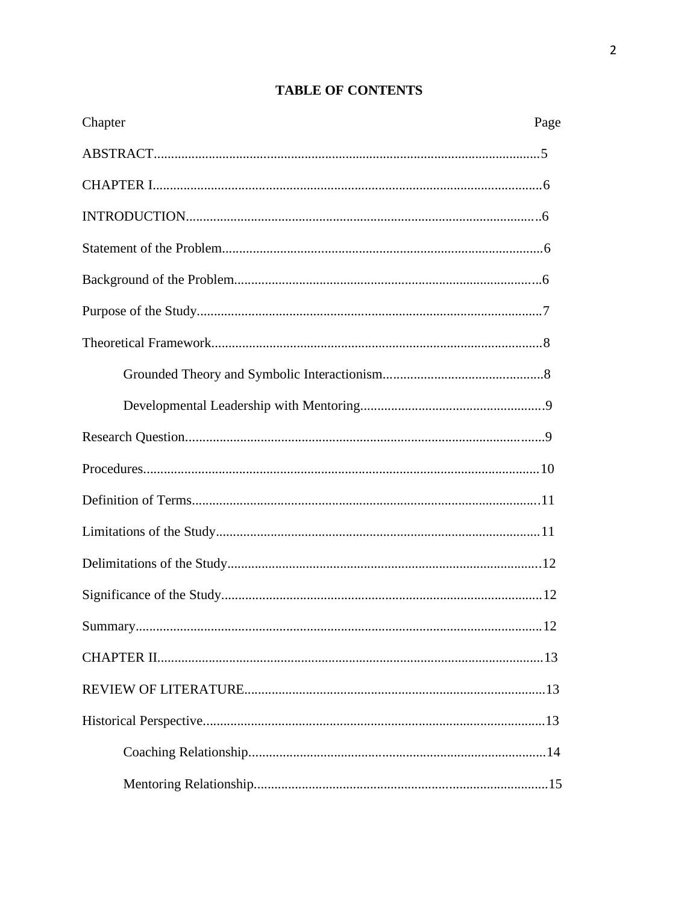# **TABLE OF CONTENTS**

| Chapter | Page |
|---------|------|
|         |      |
|         |      |
|         |      |
|         |      |
|         |      |
|         |      |
|         |      |
|         |      |
|         |      |
|         |      |
|         |      |
|         |      |
|         |      |
|         |      |
|         |      |
|         |      |
|         |      |
|         |      |
|         |      |
|         |      |
|         |      |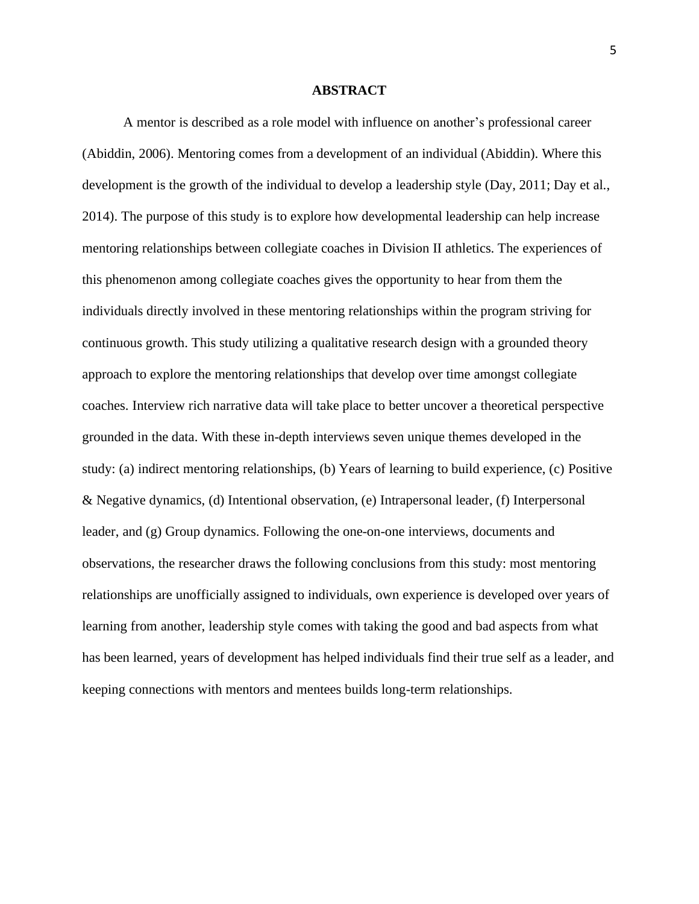## **ABSTRACT**

A mentor is described as a role model with influence on another's professional career (Abiddin, 2006). Mentoring comes from a development of an individual (Abiddin). Where this development is the growth of the individual to develop a leadership style (Day, 2011; Day et al., 2014). The purpose of this study is to explore how developmental leadership can help increase mentoring relationships between collegiate coaches in Division II athletics. The experiences of this phenomenon among collegiate coaches gives the opportunity to hear from them the individuals directly involved in these mentoring relationships within the program striving for continuous growth. This study utilizing a qualitative research design with a grounded theory approach to explore the mentoring relationships that develop over time amongst collegiate coaches. Interview rich narrative data will take place to better uncover a theoretical perspective grounded in the data. With these in-depth interviews seven unique themes developed in the study: (a) indirect mentoring relationships, (b) Years of learning to build experience, (c) Positive & Negative dynamics, (d) Intentional observation, (e) Intrapersonal leader, (f) Interpersonal leader, and (g) Group dynamics. Following the one-on-one interviews, documents and observations, the researcher draws the following conclusions from this study: most mentoring relationships are unofficially assigned to individuals, own experience is developed over years of learning from another, leadership style comes with taking the good and bad aspects from what has been learned, years of development has helped individuals find their true self as a leader, and keeping connections with mentors and mentees builds long-term relationships.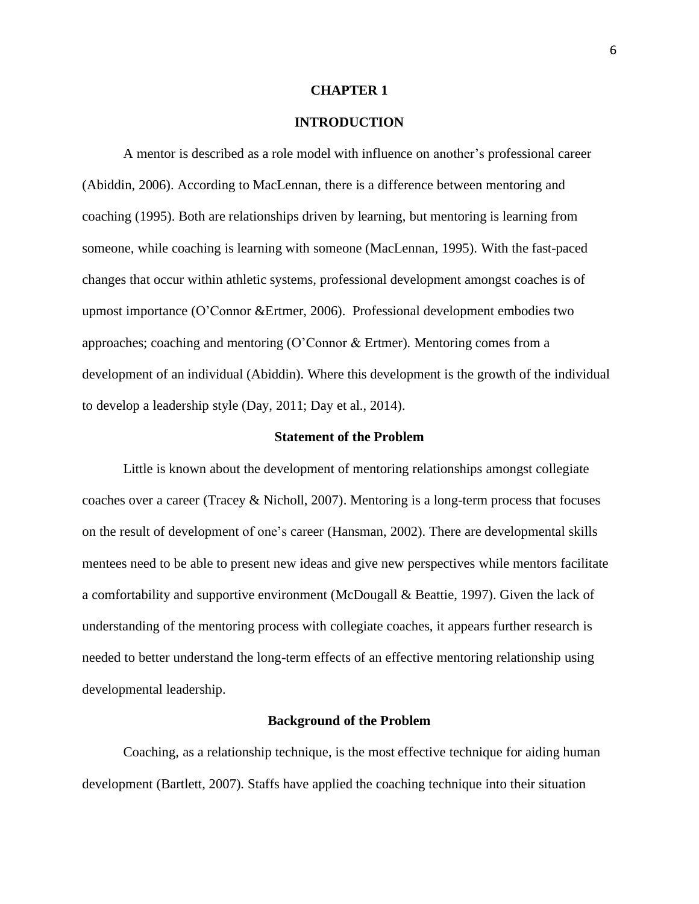## **CHAPTER 1**

# **INTRODUCTION**

A mentor is described as a role model with influence on another's professional career (Abiddin, 2006). According to MacLennan, there is a difference between mentoring and coaching (1995). Both are relationships driven by learning, but mentoring is learning from someone, while coaching is learning with someone (MacLennan, 1995). With the fast-paced changes that occur within athletic systems, professional development amongst coaches is of upmost importance (O'Connor &Ertmer, 2006). Professional development embodies two approaches; coaching and mentoring (O'Connor & Ertmer). Mentoring comes from a development of an individual (Abiddin). Where this development is the growth of the individual to develop a leadership style (Day, 2011; Day et al., 2014).

# **Statement of the Problem**

Little is known about the development of mentoring relationships amongst collegiate coaches over a career (Tracey & Nicholl, 2007). Mentoring is a long-term process that focuses on the result of development of one's career (Hansman, 2002). There are developmental skills mentees need to be able to present new ideas and give new perspectives while mentors facilitate a comfortability and supportive environment (McDougall & Beattie, 1997). Given the lack of understanding of the mentoring process with collegiate coaches, it appears further research is needed to better understand the long-term effects of an effective mentoring relationship using developmental leadership.

#### **Background of the Problem**

Coaching, as a relationship technique, is the most effective technique for aiding human development (Bartlett, 2007). Staffs have applied the coaching technique into their situation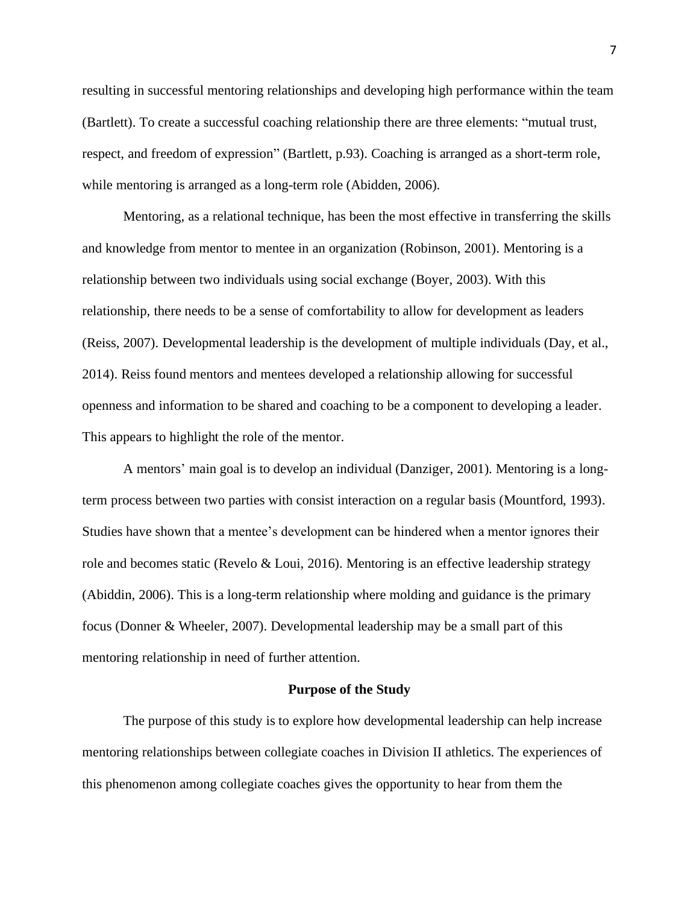resulting in successful mentoring relationships and developing high performance within the team (Bartlett). To create a successful coaching relationship there are three elements: "mutual trust, respect, and freedom of expression" (Bartlett, p.93). Coaching is arranged as a short-term role, while mentoring is arranged as a long-term role (Abidden, 2006).

Mentoring, as a relational technique, has been the most effective in transferring the skills and knowledge from mentor to mentee in an organization (Robinson, 2001). Mentoring is a relationship between two individuals using social exchange (Boyer, 2003). With this relationship, there needs to be a sense of comfortability to allow for development as leaders (Reiss, 2007). Developmental leadership is the development of multiple individuals (Day, et al., 2014). Reiss found mentors and mentees developed a relationship allowing for successful openness and information to be shared and coaching to be a component to developing a leader. This appears to highlight the role of the mentor.

A mentors' main goal is to develop an individual (Danziger, 2001). Mentoring is a longterm process between two parties with consist interaction on a regular basis (Mountford, 1993). Studies have shown that a mentee's development can be hindered when a mentor ignores their role and becomes static (Revelo & Loui, 2016). Mentoring is an effective leadership strategy (Abiddin, 2006). This is a long-term relationship where molding and guidance is the primary focus (Donner & Wheeler, 2007). Developmental leadership may be a small part of this mentoring relationship in need of further attention.

#### **Purpose of the Study**

The purpose of this study is to explore how developmental leadership can help increase mentoring relationships between collegiate coaches in Division II athletics. The experiences of this phenomenon among collegiate coaches gives the opportunity to hear from them the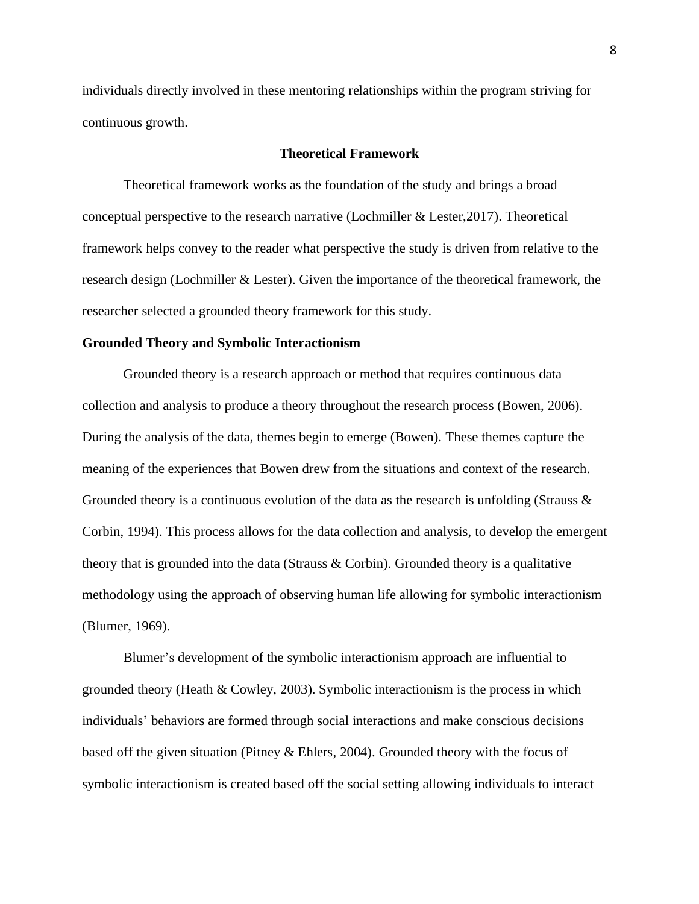individuals directly involved in these mentoring relationships within the program striving for continuous growth.

## **Theoretical Framework**

Theoretical framework works as the foundation of the study and brings a broad conceptual perspective to the research narrative (Lochmiller & Lester,2017). Theoretical framework helps convey to the reader what perspective the study is driven from relative to the research design (Lochmiller & Lester). Given the importance of the theoretical framework, the researcher selected a grounded theory framework for this study.

## **Grounded Theory and Symbolic Interactionism**

Grounded theory is a research approach or method that requires continuous data collection and analysis to produce a theory throughout the research process (Bowen, 2006). During the analysis of the data, themes begin to emerge (Bowen). These themes capture the meaning of the experiences that Bowen drew from the situations and context of the research. Grounded theory is a continuous evolution of the data as the research is unfolding (Strauss  $\&$ Corbin, 1994). This process allows for the data collection and analysis, to develop the emergent theory that is grounded into the data (Strauss  $\&$  Corbin). Grounded theory is a qualitative methodology using the approach of observing human life allowing for symbolic interactionism (Blumer, 1969).

Blumer's development of the symbolic interactionism approach are influential to grounded theory (Heath & Cowley, 2003). Symbolic interactionism is the process in which individuals' behaviors are formed through social interactions and make conscious decisions based off the given situation (Pitney & Ehlers, 2004). Grounded theory with the focus of symbolic interactionism is created based off the social setting allowing individuals to interact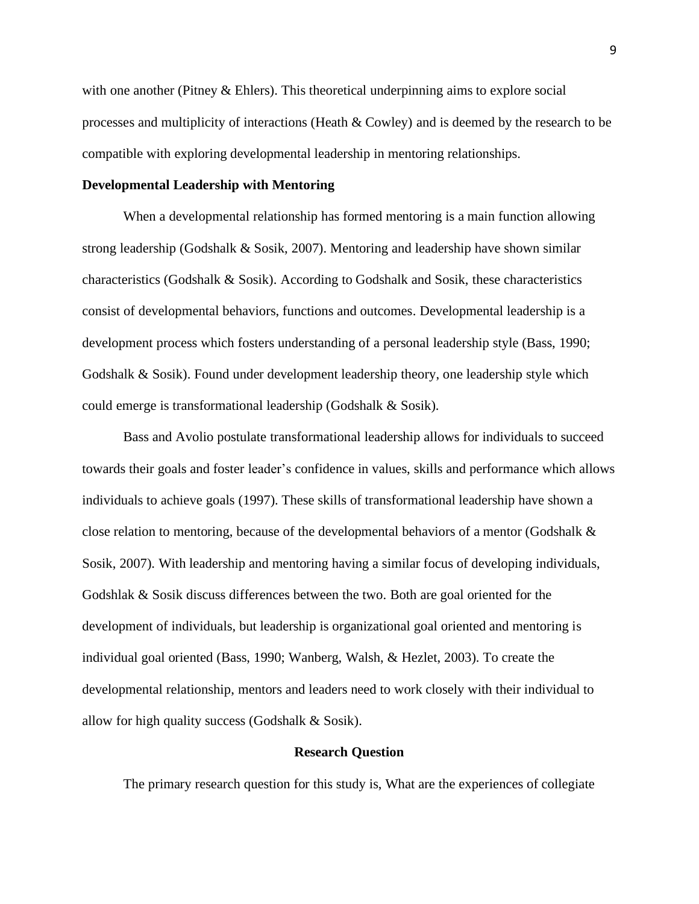with one another (Pitney  $&$  Ehlers). This theoretical underpinning aims to explore social processes and multiplicity of interactions (Heath & Cowley) and is deemed by the research to be compatible with exploring developmental leadership in mentoring relationships.

# **Developmental Leadership with Mentoring**

When a developmental relationship has formed mentoring is a main function allowing strong leadership (Godshalk & Sosik, 2007). Mentoring and leadership have shown similar characteristics (Godshalk & Sosik). According to Godshalk and Sosik, these characteristics consist of developmental behaviors, functions and outcomes. Developmental leadership is a development process which fosters understanding of a personal leadership style (Bass, 1990; Godshalk & Sosik). Found under development leadership theory, one leadership style which could emerge is transformational leadership (Godshalk & Sosik).

Bass and Avolio postulate transformational leadership allows for individuals to succeed towards their goals and foster leader's confidence in values, skills and performance which allows individuals to achieve goals (1997). These skills of transformational leadership have shown a close relation to mentoring, because of the developmental behaviors of a mentor (Godshalk  $\&$ Sosik, 2007). With leadership and mentoring having a similar focus of developing individuals, Godshlak & Sosik discuss differences between the two. Both are goal oriented for the development of individuals, but leadership is organizational goal oriented and mentoring is individual goal oriented (Bass, 1990; Wanberg, Walsh, & Hezlet, 2003). To create the developmental relationship, mentors and leaders need to work closely with their individual to allow for high quality success (Godshalk & Sosik).

# **Research Question**

The primary research question for this study is, What are the experiences of collegiate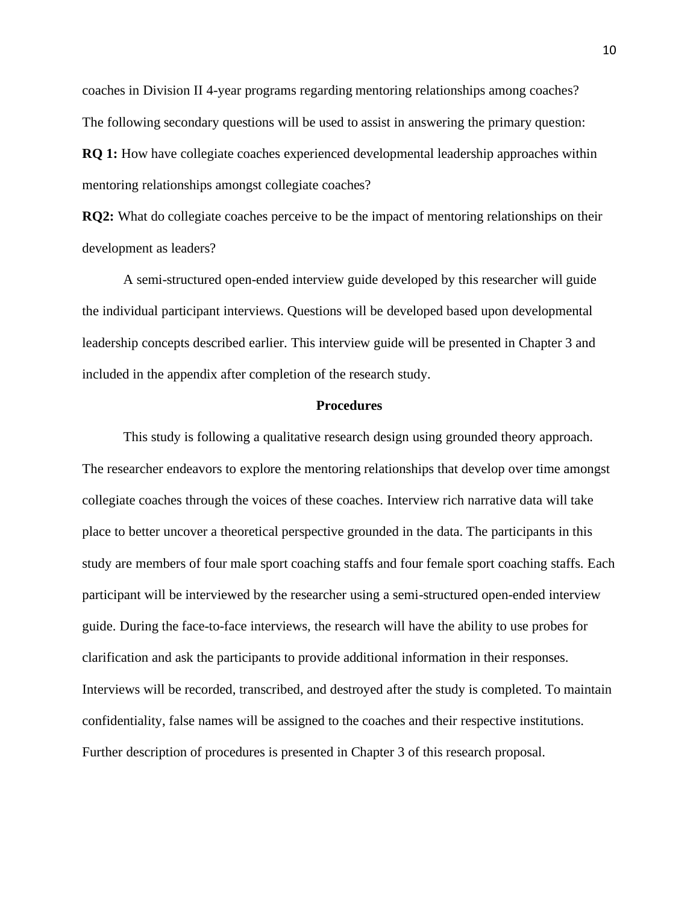coaches in Division II 4-year programs regarding mentoring relationships among coaches? The following secondary questions will be used to assist in answering the primary question:

**RQ 1:** How have collegiate coaches experienced developmental leadership approaches within mentoring relationships amongst collegiate coaches?

**RQ2:** What do collegiate coaches perceive to be the impact of mentoring relationships on their development as leaders?

A semi-structured open-ended interview guide developed by this researcher will guide the individual participant interviews. Questions will be developed based upon developmental leadership concepts described earlier. This interview guide will be presented in Chapter 3 and included in the appendix after completion of the research study.

# **Procedures**

This study is following a qualitative research design using grounded theory approach. The researcher endeavors to explore the mentoring relationships that develop over time amongst collegiate coaches through the voices of these coaches. Interview rich narrative data will take place to better uncover a theoretical perspective grounded in the data. The participants in this study are members of four male sport coaching staffs and four female sport coaching staffs. Each participant will be interviewed by the researcher using a semi-structured open-ended interview guide. During the face-to-face interviews, the research will have the ability to use probes for clarification and ask the participants to provide additional information in their responses. Interviews will be recorded, transcribed, and destroyed after the study is completed. To maintain confidentiality, false names will be assigned to the coaches and their respective institutions. Further description of procedures is presented in Chapter 3 of this research proposal.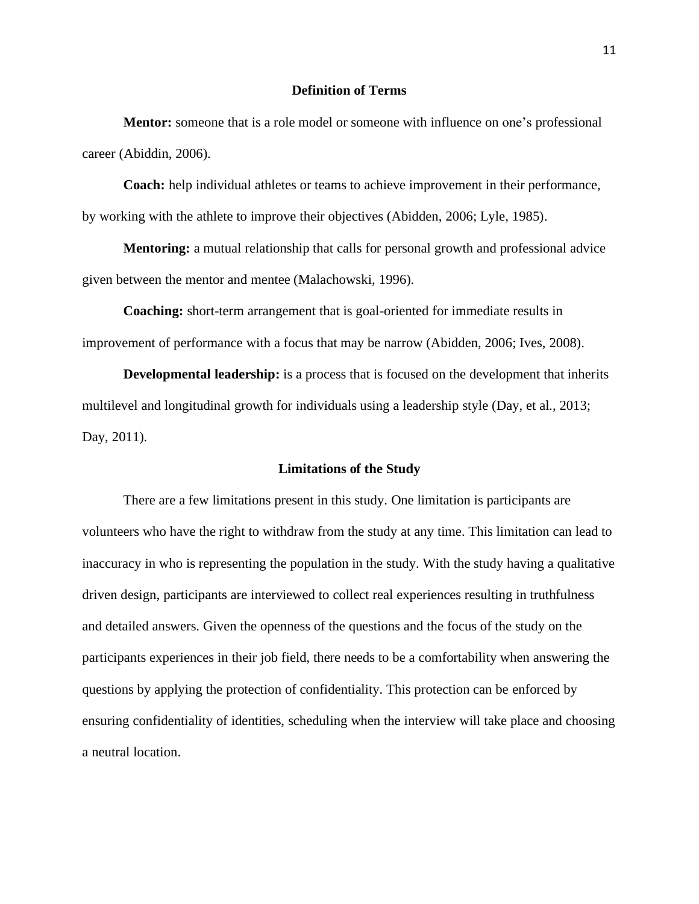# **Definition of Terms**

**Mentor:** someone that is a role model or someone with influence on one's professional career (Abiddin, 2006).

**Coach:** help individual athletes or teams to achieve improvement in their performance, by working with the athlete to improve their objectives (Abidden, 2006; Lyle, 1985).

**Mentoring:** a mutual relationship that calls for personal growth and professional advice given between the mentor and mentee (Malachowski, 1996).

**Coaching:** short-term arrangement that is goal-oriented for immediate results in improvement of performance with a focus that may be narrow (Abidden, 2006; Ives, 2008).

**Developmental leadership:** is a process that is focused on the development that inherits multilevel and longitudinal growth for individuals using a leadership style (Day, et al., 2013; Day, 2011).

#### **Limitations of the Study**

There are a few limitations present in this study. One limitation is participants are volunteers who have the right to withdraw from the study at any time. This limitation can lead to inaccuracy in who is representing the population in the study. With the study having a qualitative driven design, participants are interviewed to collect real experiences resulting in truthfulness and detailed answers. Given the openness of the questions and the focus of the study on the participants experiences in their job field, there needs to be a comfortability when answering the questions by applying the protection of confidentiality. This protection can be enforced by ensuring confidentiality of identities, scheduling when the interview will take place and choosing a neutral location.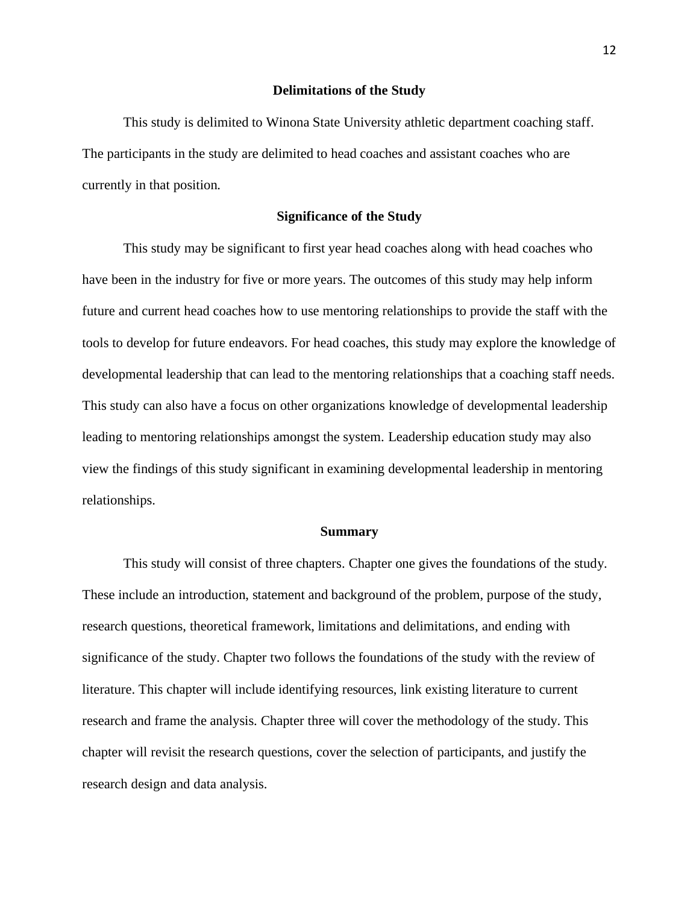#### **Delimitations of the Study**

This study is delimited to Winona State University athletic department coaching staff. The participants in the study are delimited to head coaches and assistant coaches who are currently in that position.

# **Significance of the Study**

This study may be significant to first year head coaches along with head coaches who have been in the industry for five or more years. The outcomes of this study may help inform future and current head coaches how to use mentoring relationships to provide the staff with the tools to develop for future endeavors. For head coaches, this study may explore the knowledge of developmental leadership that can lead to the mentoring relationships that a coaching staff needs. This study can also have a focus on other organizations knowledge of developmental leadership leading to mentoring relationships amongst the system. Leadership education study may also view the findings of this study significant in examining developmental leadership in mentoring relationships.

#### **Summary**

This study will consist of three chapters. Chapter one gives the foundations of the study. These include an introduction, statement and background of the problem, purpose of the study, research questions, theoretical framework, limitations and delimitations, and ending with significance of the study. Chapter two follows the foundations of the study with the review of literature. This chapter will include identifying resources, link existing literature to current research and frame the analysis. Chapter three will cover the methodology of the study. This chapter will revisit the research questions, cover the selection of participants, and justify the research design and data analysis.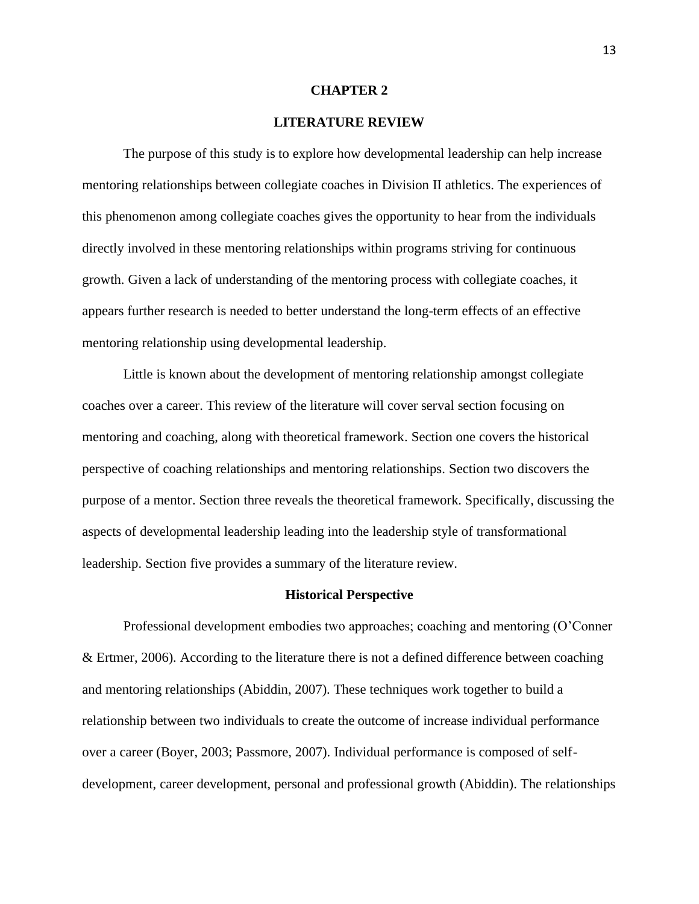#### **CHAPTER 2**

# **LITERATURE REVIEW**

The purpose of this study is to explore how developmental leadership can help increase mentoring relationships between collegiate coaches in Division II athletics. The experiences of this phenomenon among collegiate coaches gives the opportunity to hear from the individuals directly involved in these mentoring relationships within programs striving for continuous growth. Given a lack of understanding of the mentoring process with collegiate coaches, it appears further research is needed to better understand the long-term effects of an effective mentoring relationship using developmental leadership.

Little is known about the development of mentoring relationship amongst collegiate coaches over a career. This review of the literature will cover serval section focusing on mentoring and coaching, along with theoretical framework. Section one covers the historical perspective of coaching relationships and mentoring relationships. Section two discovers the purpose of a mentor. Section three reveals the theoretical framework. Specifically, discussing the aspects of developmental leadership leading into the leadership style of transformational leadership. Section five provides a summary of the literature review.

#### **Historical Perspective**

Professional development embodies two approaches; coaching and mentoring (O'Conner & Ertmer, 2006). According to the literature there is not a defined difference between coaching and mentoring relationships (Abiddin, 2007). These techniques work together to build a relationship between two individuals to create the outcome of increase individual performance over a career (Boyer, 2003; Passmore, 2007). Individual performance is composed of selfdevelopment, career development, personal and professional growth (Abiddin). The relationships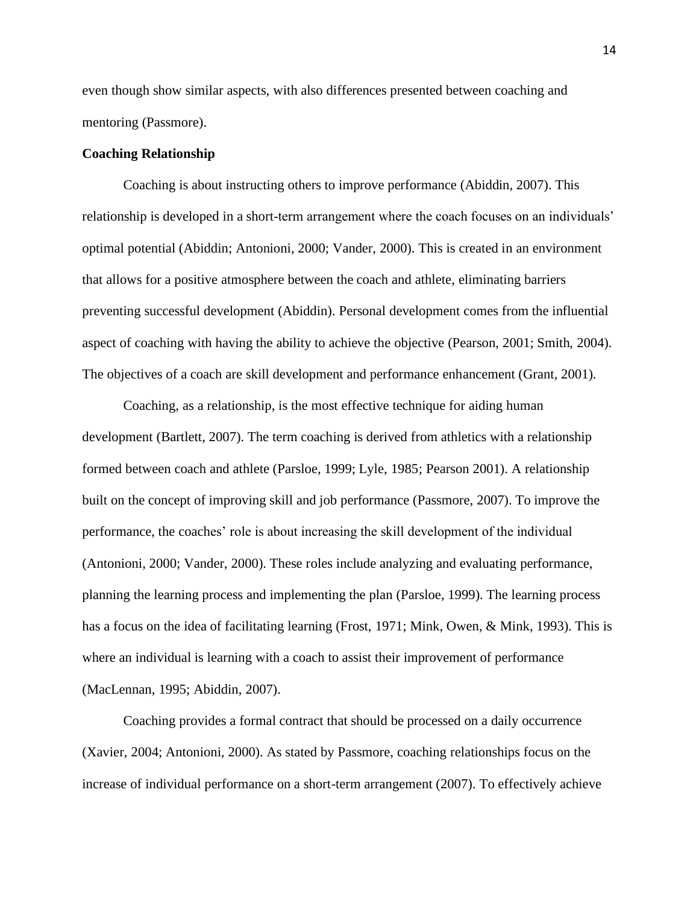even though show similar aspects, with also differences presented between coaching and mentoring (Passmore).

# **Coaching Relationship**

Coaching is about instructing others to improve performance (Abiddin, 2007). This relationship is developed in a short-term arrangement where the coach focuses on an individuals' optimal potential (Abiddin; Antonioni, 2000; Vander, 2000). This is created in an environment that allows for a positive atmosphere between the coach and athlete, eliminating barriers preventing successful development (Abiddin). Personal development comes from the influential aspect of coaching with having the ability to achieve the objective (Pearson, 2001; Smith, 2004). The objectives of a coach are skill development and performance enhancement (Grant, 2001).

Coaching, as a relationship, is the most effective technique for aiding human development (Bartlett, 2007). The term coaching is derived from athletics with a relationship formed between coach and athlete (Parsloe, 1999; Lyle, 1985; Pearson 2001). A relationship built on the concept of improving skill and job performance (Passmore, 2007). To improve the performance, the coaches' role is about increasing the skill development of the individual (Antonioni, 2000; Vander, 2000). These roles include analyzing and evaluating performance, planning the learning process and implementing the plan (Parsloe, 1999). The learning process has a focus on the idea of facilitating learning (Frost, 1971; Mink, Owen, & Mink, 1993). This is where an individual is learning with a coach to assist their improvement of performance (MacLennan, 1995; Abiddin, 2007).

Coaching provides a formal contract that should be processed on a daily occurrence (Xavier, 2004; Antonioni, 2000). As stated by Passmore, coaching relationships focus on the increase of individual performance on a short-term arrangement (2007). To effectively achieve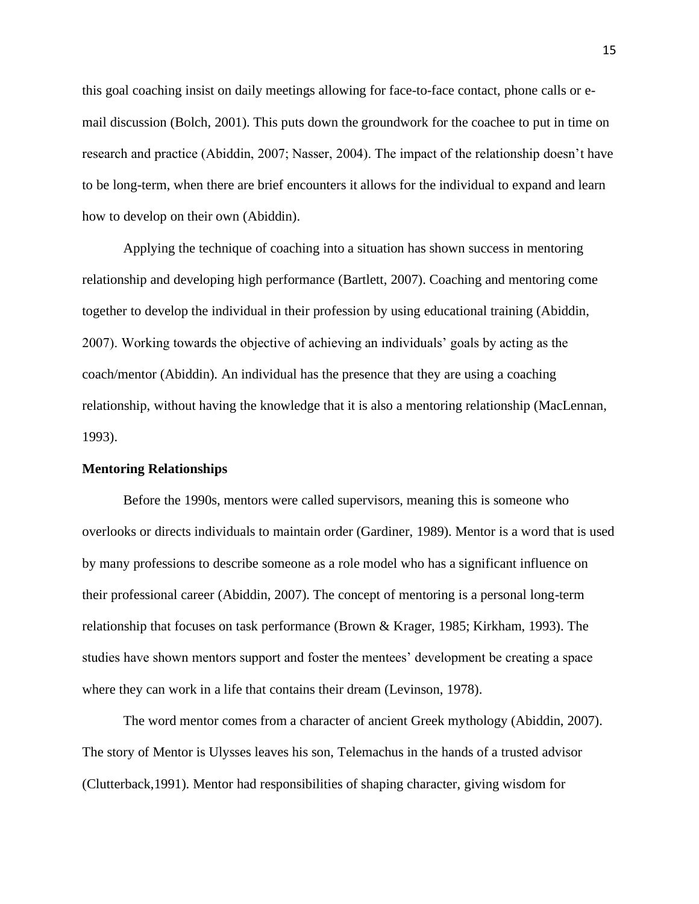this goal coaching insist on daily meetings allowing for face-to-face contact, phone calls or email discussion (Bolch, 2001). This puts down the groundwork for the coachee to put in time on research and practice (Abiddin, 2007; Nasser, 2004). The impact of the relationship doesn't have to be long-term, when there are brief encounters it allows for the individual to expand and learn how to develop on their own (Abiddin).

Applying the technique of coaching into a situation has shown success in mentoring relationship and developing high performance (Bartlett, 2007). Coaching and mentoring come together to develop the individual in their profession by using educational training (Abiddin, 2007). Working towards the objective of achieving an individuals' goals by acting as the coach/mentor (Abiddin). An individual has the presence that they are using a coaching relationship, without having the knowledge that it is also a mentoring relationship (MacLennan, 1993).

# **Mentoring Relationships**

Before the 1990s, mentors were called supervisors, meaning this is someone who overlooks or directs individuals to maintain order (Gardiner, 1989). Mentor is a word that is used by many professions to describe someone as a role model who has a significant influence on their professional career (Abiddin, 2007). The concept of mentoring is a personal long-term relationship that focuses on task performance (Brown & Krager, 1985; Kirkham, 1993). The studies have shown mentors support and foster the mentees' development be creating a space where they can work in a life that contains their dream (Levinson, 1978).

The word mentor comes from a character of ancient Greek mythology (Abiddin, 2007). The story of Mentor is Ulysses leaves his son, Telemachus in the hands of a trusted advisor (Clutterback,1991). Mentor had responsibilities of shaping character, giving wisdom for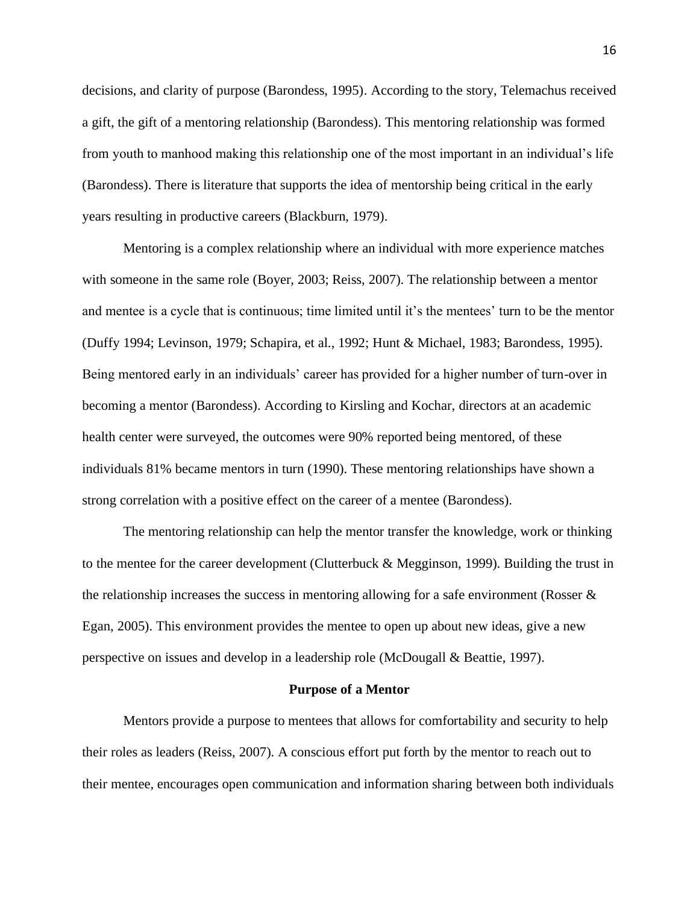decisions, and clarity of purpose (Barondess, 1995). According to the story, Telemachus received a gift, the gift of a mentoring relationship (Barondess). This mentoring relationship was formed from youth to manhood making this relationship one of the most important in an individual's life (Barondess). There is literature that supports the idea of mentorship being critical in the early years resulting in productive careers (Blackburn, 1979).

Mentoring is a complex relationship where an individual with more experience matches with someone in the same role (Boyer, 2003; Reiss, 2007). The relationship between a mentor and mentee is a cycle that is continuous; time limited until it's the mentees' turn to be the mentor (Duffy 1994; Levinson, 1979; Schapira, et al., 1992; Hunt & Michael, 1983; Barondess, 1995). Being mentored early in an individuals' career has provided for a higher number of turn-over in becoming a mentor (Barondess). According to Kirsling and Kochar, directors at an academic health center were surveyed, the outcomes were 90% reported being mentored, of these individuals 81% became mentors in turn (1990). These mentoring relationships have shown a strong correlation with a positive effect on the career of a mentee (Barondess).

The mentoring relationship can help the mentor transfer the knowledge, work or thinking to the mentee for the career development (Clutterbuck  $\&$  Megginson, 1999). Building the trust in the relationship increases the success in mentoring allowing for a safe environment (Rosser  $\&$ Egan, 2005). This environment provides the mentee to open up about new ideas, give a new perspective on issues and develop in a leadership role (McDougall & Beattie, 1997).

#### **Purpose of a Mentor**

Mentors provide a purpose to mentees that allows for comfortability and security to help their roles as leaders (Reiss, 2007). A conscious effort put forth by the mentor to reach out to their mentee, encourages open communication and information sharing between both individuals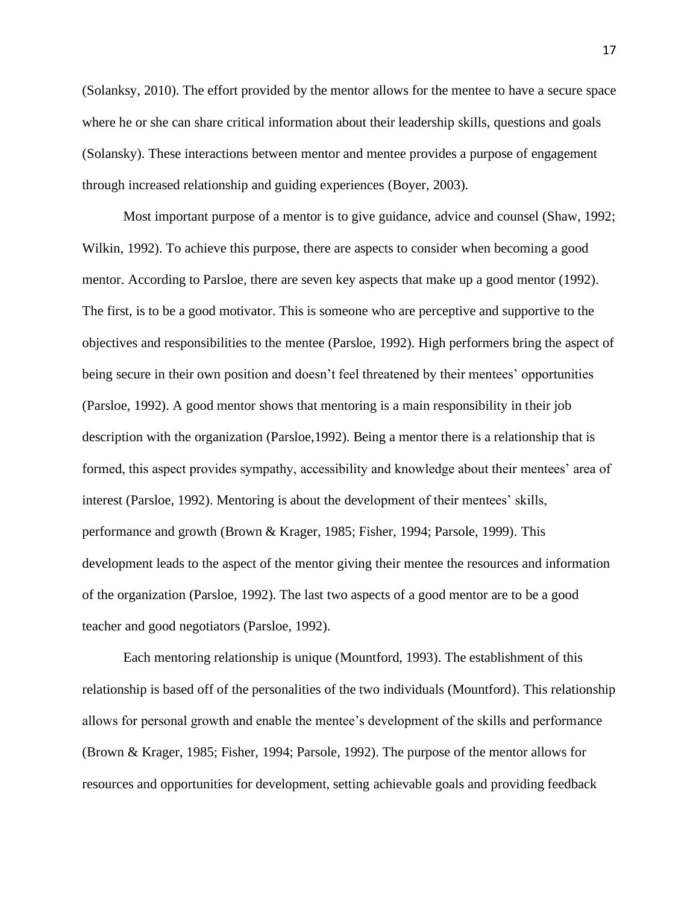(Solanksy, 2010). The effort provided by the mentor allows for the mentee to have a secure space where he or she can share critical information about their leadership skills, questions and goals (Solansky). These interactions between mentor and mentee provides a purpose of engagement through increased relationship and guiding experiences (Boyer, 2003).

Most important purpose of a mentor is to give guidance, advice and counsel (Shaw, 1992; Wilkin, 1992). To achieve this purpose, there are aspects to consider when becoming a good mentor. According to Parsloe, there are seven key aspects that make up a good mentor (1992). The first, is to be a good motivator. This is someone who are perceptive and supportive to the objectives and responsibilities to the mentee (Parsloe, 1992). High performers bring the aspect of being secure in their own position and doesn't feel threatened by their mentees' opportunities (Parsloe, 1992). A good mentor shows that mentoring is a main responsibility in their job description with the organization (Parsloe,1992). Being a mentor there is a relationship that is formed, this aspect provides sympathy, accessibility and knowledge about their mentees' area of interest (Parsloe, 1992). Mentoring is about the development of their mentees' skills, performance and growth (Brown & Krager, 1985; Fisher, 1994; Parsole, 1999). This development leads to the aspect of the mentor giving their mentee the resources and information of the organization (Parsloe, 1992). The last two aspects of a good mentor are to be a good teacher and good negotiators (Parsloe, 1992).

Each mentoring relationship is unique (Mountford, 1993). The establishment of this relationship is based off of the personalities of the two individuals (Mountford). This relationship allows for personal growth and enable the mentee's development of the skills and performance (Brown & Krager, 1985; Fisher, 1994; Parsole, 1992). The purpose of the mentor allows for resources and opportunities for development, setting achievable goals and providing feedback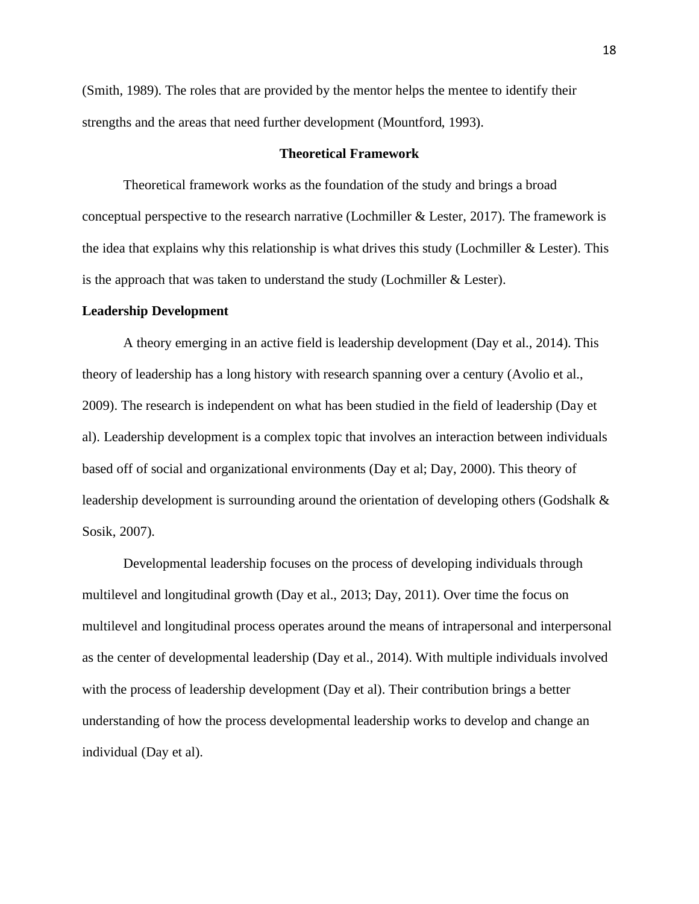(Smith, 1989). The roles that are provided by the mentor helps the mentee to identify their strengths and the areas that need further development (Mountford, 1993).

# **Theoretical Framework**

Theoretical framework works as the foundation of the study and brings a broad conceptual perspective to the research narrative (Lochmiller & Lester, 2017). The framework is the idea that explains why this relationship is what drives this study (Lochmiller  $\&$  Lester). This is the approach that was taken to understand the study (Lochmiller  $&$  Lester).

## **Leadership Development**

A theory emerging in an active field is leadership development (Day et al., 2014). This theory of leadership has a long history with research spanning over a century (Avolio et al., 2009). The research is independent on what has been studied in the field of leadership (Day et al). Leadership development is a complex topic that involves an interaction between individuals based off of social and organizational environments (Day et al; Day, 2000). This theory of leadership development is surrounding around the orientation of developing others (Godshalk  $\&$ Sosik, 2007).

Developmental leadership focuses on the process of developing individuals through multilevel and longitudinal growth (Day et al., 2013; Day, 2011). Over time the focus on multilevel and longitudinal process operates around the means of intrapersonal and interpersonal as the center of developmental leadership (Day et al., 2014). With multiple individuals involved with the process of leadership development (Day et al). Their contribution brings a better understanding of how the process developmental leadership works to develop and change an individual (Day et al).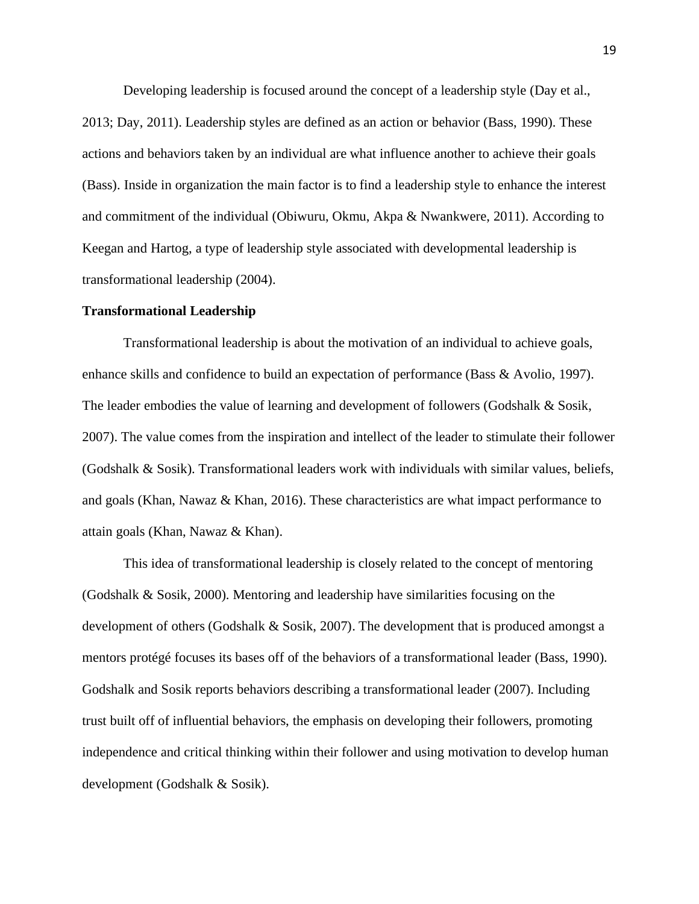Developing leadership is focused around the concept of a leadership style (Day et al., 2013; Day, 2011). Leadership styles are defined as an action or behavior (Bass, 1990). These actions and behaviors taken by an individual are what influence another to achieve their goals (Bass). Inside in organization the main factor is to find a leadership style to enhance the interest and commitment of the individual (Obiwuru, Okmu, Akpa & Nwankwere, 2011). According to Keegan and Hartog, a type of leadership style associated with developmental leadership is transformational leadership (2004).

#### **Transformational Leadership**

Transformational leadership is about the motivation of an individual to achieve goals, enhance skills and confidence to build an expectation of performance (Bass & Avolio, 1997). The leader embodies the value of learning and development of followers (Godshalk & Sosik, 2007). The value comes from the inspiration and intellect of the leader to stimulate their follower (Godshalk & Sosik). Transformational leaders work with individuals with similar values, beliefs, and goals (Khan, Nawaz & Khan, 2016). These characteristics are what impact performance to attain goals (Khan, Nawaz & Khan).

This idea of transformational leadership is closely related to the concept of mentoring (Godshalk & Sosik, 2000). Mentoring and leadership have similarities focusing on the development of others (Godshalk & Sosik, 2007). The development that is produced amongst a mentors protégé focuses its bases off of the behaviors of a transformational leader (Bass, 1990). Godshalk and Sosik reports behaviors describing a transformational leader (2007). Including trust built off of influential behaviors, the emphasis on developing their followers, promoting independence and critical thinking within their follower and using motivation to develop human development (Godshalk & Sosik).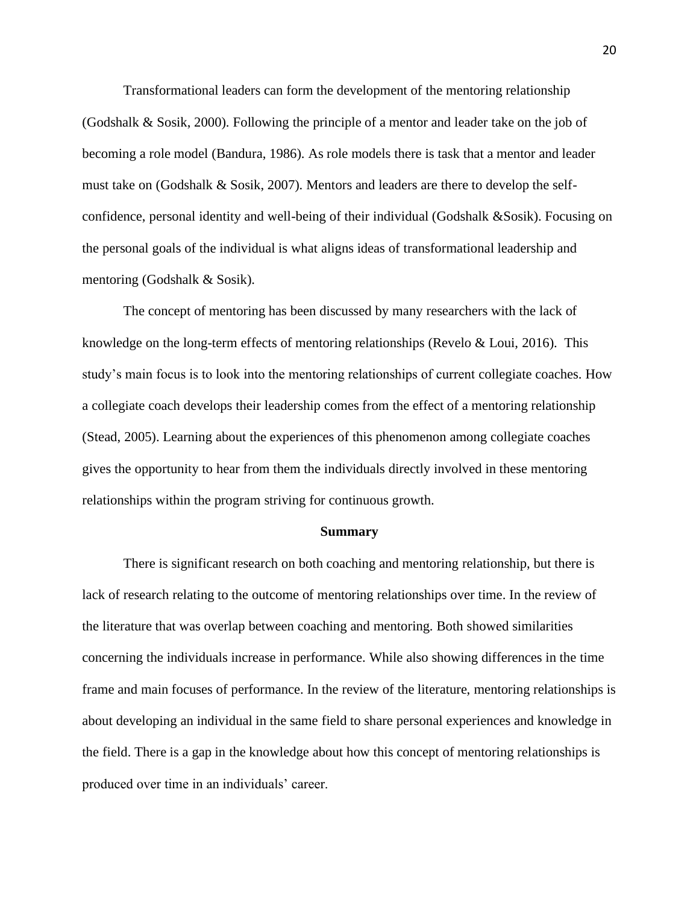Transformational leaders can form the development of the mentoring relationship (Godshalk & Sosik, 2000). Following the principle of a mentor and leader take on the job of becoming a role model (Bandura, 1986). As role models there is task that a mentor and leader must take on (Godshalk & Sosik, 2007). Mentors and leaders are there to develop the selfconfidence, personal identity and well-being of their individual (Godshalk &Sosik). Focusing on the personal goals of the individual is what aligns ideas of transformational leadership and mentoring (Godshalk & Sosik).

The concept of mentoring has been discussed by many researchers with the lack of knowledge on the long-term effects of mentoring relationships (Revelo & Loui, 2016). This study's main focus is to look into the mentoring relationships of current collegiate coaches. How a collegiate coach develops their leadership comes from the effect of a mentoring relationship (Stead, 2005). Learning about the experiences of this phenomenon among collegiate coaches gives the opportunity to hear from them the individuals directly involved in these mentoring relationships within the program striving for continuous growth.

#### **Summary**

There is significant research on both coaching and mentoring relationship, but there is lack of research relating to the outcome of mentoring relationships over time. In the review of the literature that was overlap between coaching and mentoring. Both showed similarities concerning the individuals increase in performance. While also showing differences in the time frame and main focuses of performance. In the review of the literature, mentoring relationships is about developing an individual in the same field to share personal experiences and knowledge in the field. There is a gap in the knowledge about how this concept of mentoring relationships is produced over time in an individuals' career.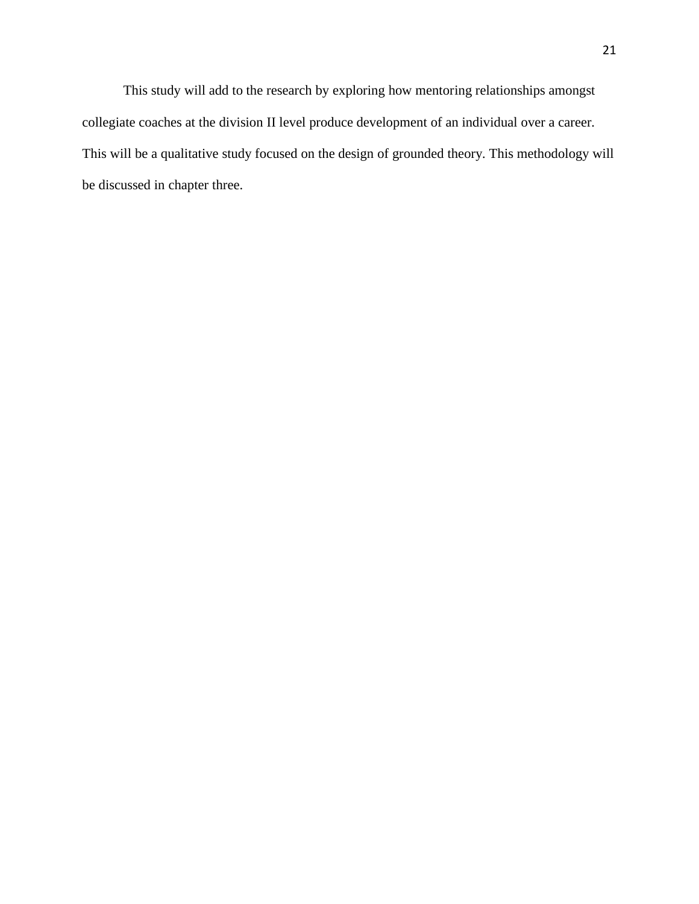This study will add to the research by exploring how mentoring relationships amongst collegiate coaches at the division II level produce development of an individual over a career. This will be a qualitative study focused on the design of grounded theory. This methodology will be discussed in chapter three.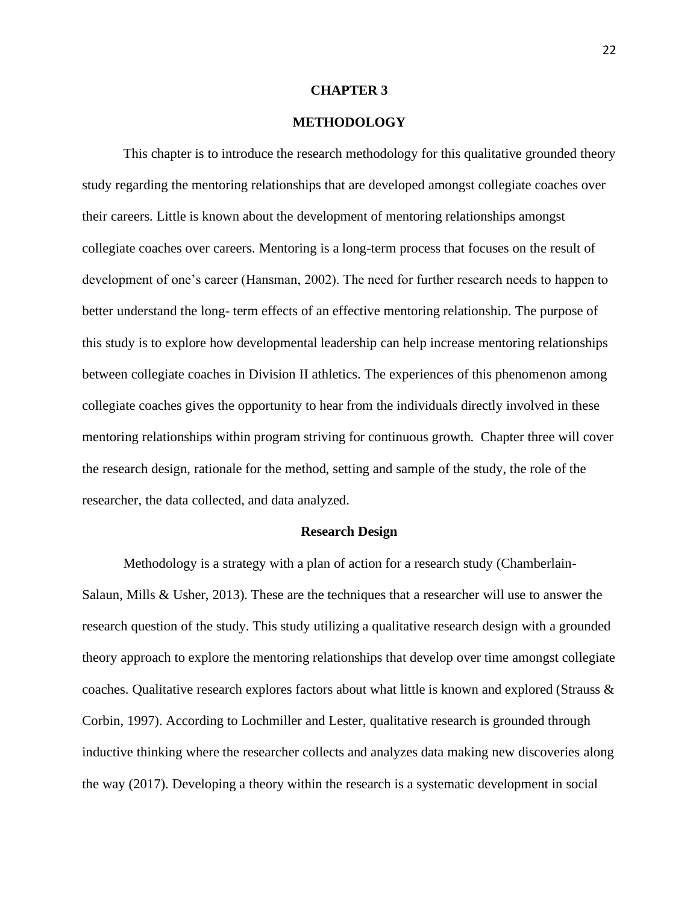#### **CHAPTER 3**

# **METHODOLOGY**

This chapter is to introduce the research methodology for this qualitative grounded theory study regarding the mentoring relationships that are developed amongst collegiate coaches over their careers. Little is known about the development of mentoring relationships amongst collegiate coaches over careers. Mentoring is a long-term process that focuses on the result of development of one's career (Hansman, 2002). The need for further research needs to happen to better understand the long- term effects of an effective mentoring relationship. The purpose of this study is to explore how developmental leadership can help increase mentoring relationships between collegiate coaches in Division II athletics. The experiences of this phenomenon among collegiate coaches gives the opportunity to hear from the individuals directly involved in these mentoring relationships within program striving for continuous growth. Chapter three will cover the research design, rationale for the method, setting and sample of the study, the role of the researcher, the data collected, and data analyzed.

## **Research Design**

Methodology is a strategy with a plan of action for a research study (Chamberlain-Salaun, Mills & Usher, 2013). These are the techniques that a researcher will use to answer the research question of the study. This study utilizing a qualitative research design with a grounded theory approach to explore the mentoring relationships that develop over time amongst collegiate coaches. Qualitative research explores factors about what little is known and explored (Strauss & Corbin, 1997). According to Lochmiller and Lester, qualitative research is grounded through inductive thinking where the researcher collects and analyzes data making new discoveries along the way (2017). Developing a theory within the research is a systematic development in social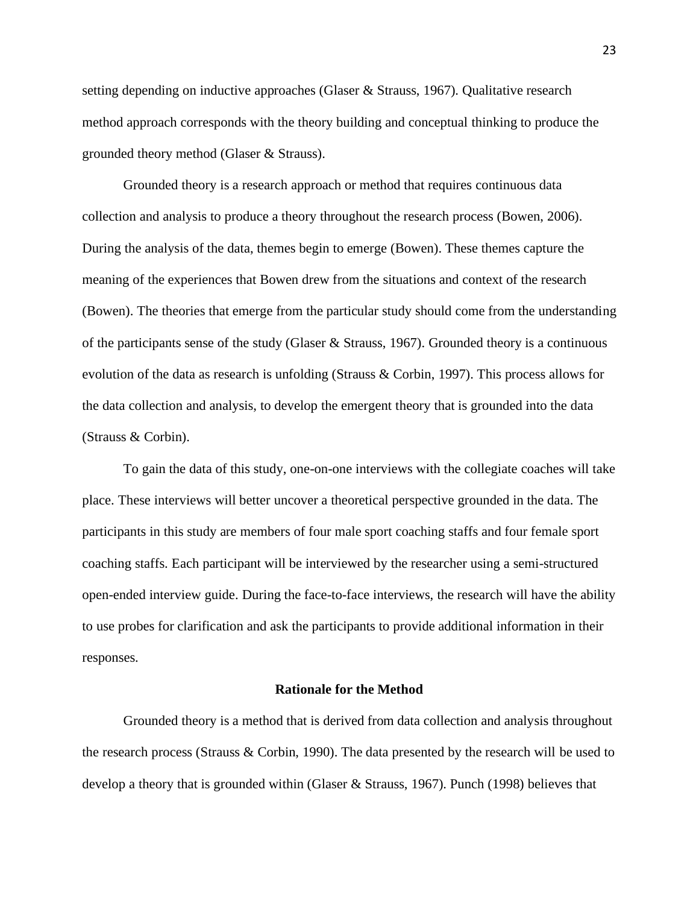setting depending on inductive approaches (Glaser & Strauss, 1967). Qualitative research method approach corresponds with the theory building and conceptual thinking to produce the grounded theory method (Glaser & Strauss).

Grounded theory is a research approach or method that requires continuous data collection and analysis to produce a theory throughout the research process (Bowen, 2006). During the analysis of the data, themes begin to emerge (Bowen). These themes capture the meaning of the experiences that Bowen drew from the situations and context of the research (Bowen). The theories that emerge from the particular study should come from the understanding of the participants sense of the study (Glaser & Strauss, 1967). Grounded theory is a continuous evolution of the data as research is unfolding (Strauss & Corbin, 1997). This process allows for the data collection and analysis, to develop the emergent theory that is grounded into the data (Strauss & Corbin).

To gain the data of this study, one-on-one interviews with the collegiate coaches will take place. These interviews will better uncover a theoretical perspective grounded in the data. The participants in this study are members of four male sport coaching staffs and four female sport coaching staffs. Each participant will be interviewed by the researcher using a semi-structured open-ended interview guide. During the face-to-face interviews, the research will have the ability to use probes for clarification and ask the participants to provide additional information in their responses.

## **Rationale for the Method**

Grounded theory is a method that is derived from data collection and analysis throughout the research process (Strauss & Corbin, 1990). The data presented by the research will be used to develop a theory that is grounded within (Glaser & Strauss, 1967). Punch (1998) believes that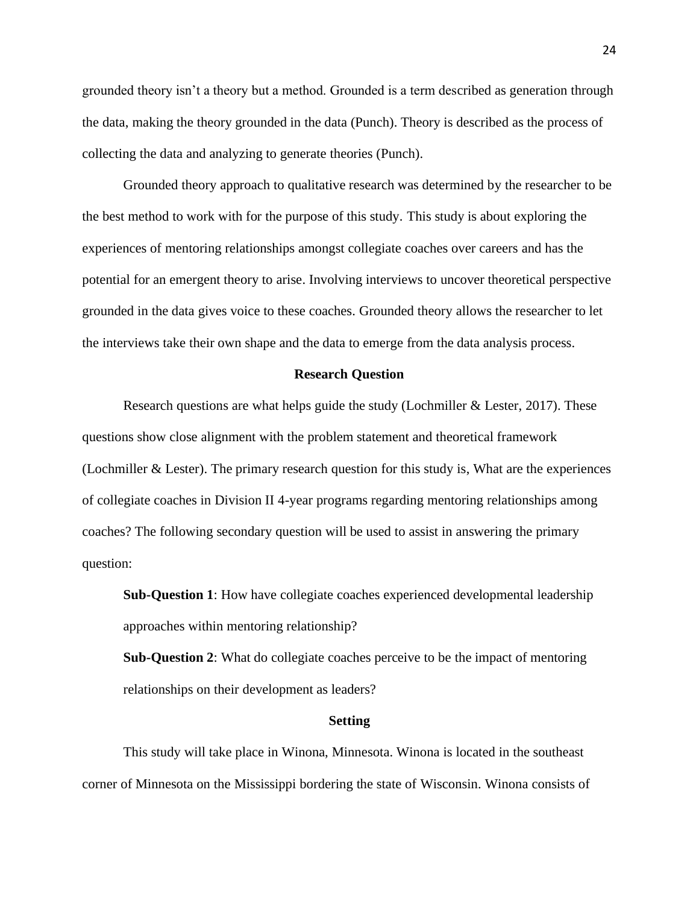grounded theory isn't a theory but a method. Grounded is a term described as generation through the data, making the theory grounded in the data (Punch). Theory is described as the process of collecting the data and analyzing to generate theories (Punch).

Grounded theory approach to qualitative research was determined by the researcher to be the best method to work with for the purpose of this study. This study is about exploring the experiences of mentoring relationships amongst collegiate coaches over careers and has the potential for an emergent theory to arise. Involving interviews to uncover theoretical perspective grounded in the data gives voice to these coaches. Grounded theory allows the researcher to let the interviews take their own shape and the data to emerge from the data analysis process.

#### **Research Question**

Research questions are what helps guide the study (Lochmiller & Lester, 2017). These questions show close alignment with the problem statement and theoretical framework (Lochmiller & Lester). The primary research question for this study is, What are the experiences of collegiate coaches in Division II 4-year programs regarding mentoring relationships among coaches? The following secondary question will be used to assist in answering the primary question:

**Sub-Question 1**: How have collegiate coaches experienced developmental leadership approaches within mentoring relationship?

**Sub-Question 2**: What do collegiate coaches perceive to be the impact of mentoring relationships on their development as leaders?

#### **Setting**

This study will take place in Winona, Minnesota. Winona is located in the southeast corner of Minnesota on the Mississippi bordering the state of Wisconsin. Winona consists of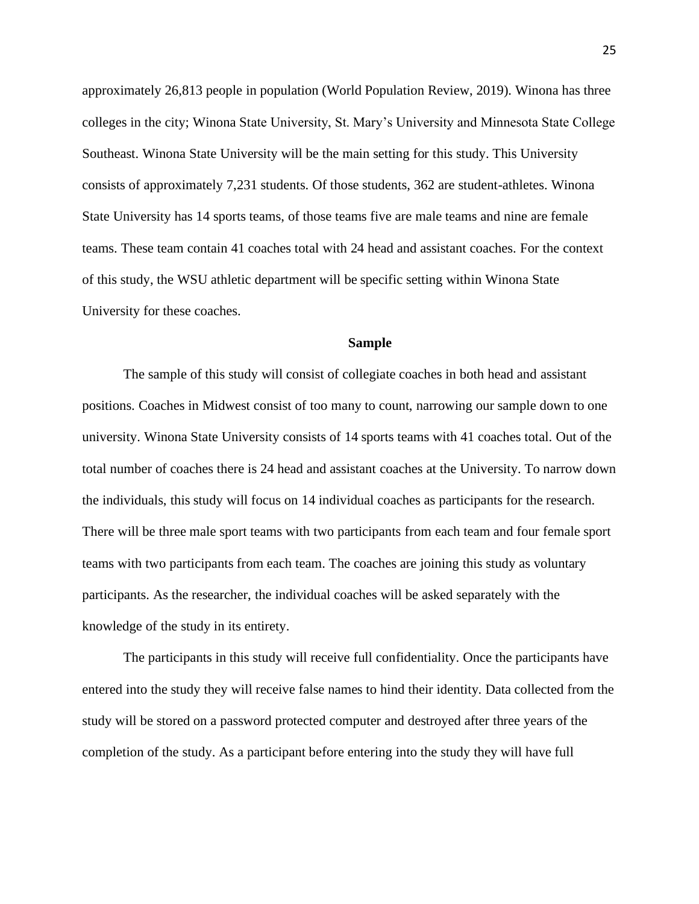approximately 26,813 people in population (World Population Review, 2019). Winona has three colleges in the city; Winona State University, St. Mary's University and Minnesota State College Southeast. Winona State University will be the main setting for this study. This University consists of approximately 7,231 students. Of those students, 362 are student-athletes. Winona State University has 14 sports teams, of those teams five are male teams and nine are female teams. These team contain 41 coaches total with 24 head and assistant coaches. For the context of this study, the WSU athletic department will be specific setting within Winona State University for these coaches.

#### **Sample**

The sample of this study will consist of collegiate coaches in both head and assistant positions. Coaches in Midwest consist of too many to count, narrowing our sample down to one university. Winona State University consists of 14 sports teams with 41 coaches total. Out of the total number of coaches there is 24 head and assistant coaches at the University. To narrow down the individuals, this study will focus on 14 individual coaches as participants for the research. There will be three male sport teams with two participants from each team and four female sport teams with two participants from each team. The coaches are joining this study as voluntary participants. As the researcher, the individual coaches will be asked separately with the knowledge of the study in its entirety.

The participants in this study will receive full confidentiality. Once the participants have entered into the study they will receive false names to hind their identity. Data collected from the study will be stored on a password protected computer and destroyed after three years of the completion of the study. As a participant before entering into the study they will have full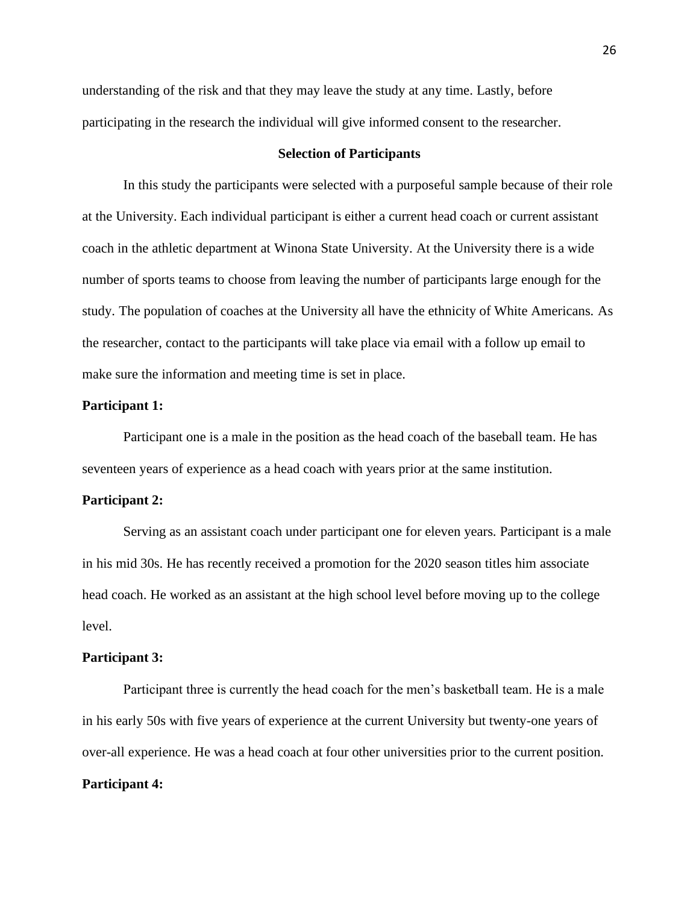understanding of the risk and that they may leave the study at any time. Lastly, before participating in the research the individual will give informed consent to the researcher.

# **Selection of Participants**

In this study the participants were selected with a purposeful sample because of their role at the University. Each individual participant is either a current head coach or current assistant coach in the athletic department at Winona State University. At the University there is a wide number of sports teams to choose from leaving the number of participants large enough for the study. The population of coaches at the University all have the ethnicity of White Americans. As the researcher, contact to the participants will take place via email with a follow up email to make sure the information and meeting time is set in place.

#### **Participant 1:**

Participant one is a male in the position as the head coach of the baseball team. He has seventeen years of experience as a head coach with years prior at the same institution.

#### **Participant 2:**

Serving as an assistant coach under participant one for eleven years. Participant is a male in his mid 30s. He has recently received a promotion for the 2020 season titles him associate head coach. He worked as an assistant at the high school level before moving up to the college level.

# **Participant 3:**

Participant three is currently the head coach for the men's basketball team. He is a male in his early 50s with five years of experience at the current University but twenty-one years of over-all experience. He was a head coach at four other universities prior to the current position. **Participant 4:**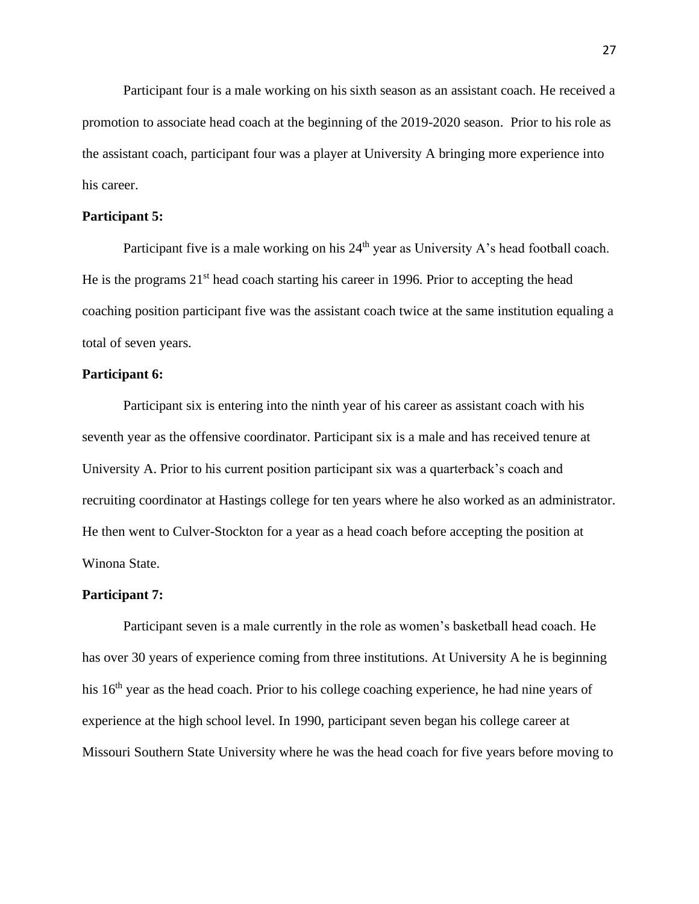Participant four is a male working on his sixth season as an assistant coach. He received a promotion to associate head coach at the beginning of the 2019-2020 season. Prior to his role as the assistant coach, participant four was a player at University A bringing more experience into his career.

# **Participant 5:**

Participant five is a male working on his  $24<sup>th</sup>$  year as University A's head football coach. He is the programs  $21<sup>st</sup>$  head coach starting his career in 1996. Prior to accepting the head coaching position participant five was the assistant coach twice at the same institution equaling a total of seven years.

#### **Participant 6:**

Participant six is entering into the ninth year of his career as assistant coach with his seventh year as the offensive coordinator. Participant six is a male and has received tenure at University A. Prior to his current position participant six was a quarterback's coach and recruiting coordinator at Hastings college for ten years where he also worked as an administrator. He then went to Culver-Stockton for a year as a head coach before accepting the position at Winona State.

#### **Participant 7:**

Participant seven is a male currently in the role as women's basketball head coach. He has over 30 years of experience coming from three institutions. At University A he is beginning his 16<sup>th</sup> year as the head coach. Prior to his college coaching experience, he had nine years of experience at the high school level. In 1990, participant seven began his college career at Missouri Southern State University where he was the head coach for five years before moving to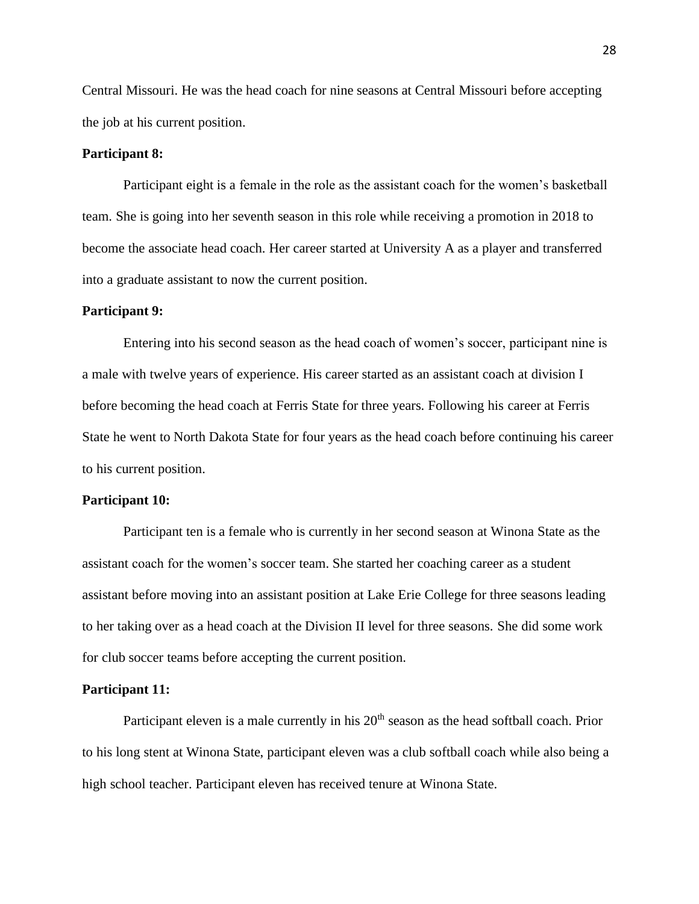Central Missouri. He was the head coach for nine seasons at Central Missouri before accepting the job at his current position.

#### **Participant 8:**

Participant eight is a female in the role as the assistant coach for the women's basketball team. She is going into her seventh season in this role while receiving a promotion in 2018 to become the associate head coach. Her career started at University A as a player and transferred into a graduate assistant to now the current position.

## **Participant 9:**

Entering into his second season as the head coach of women's soccer, participant nine is a male with twelve years of experience. His career started as an assistant coach at division I before becoming the head coach at Ferris State for three years. Following his career at Ferris State he went to North Dakota State for four years as the head coach before continuing his career to his current position.

#### **Participant 10:**

Participant ten is a female who is currently in her second season at Winona State as the assistant coach for the women's soccer team. She started her coaching career as a student assistant before moving into an assistant position at Lake Erie College for three seasons leading to her taking over as a head coach at the Division II level for three seasons. She did some work for club soccer teams before accepting the current position.

#### **Participant 11:**

Participant eleven is a male currently in his  $20<sup>th</sup>$  season as the head softball coach. Prior to his long stent at Winona State, participant eleven was a club softball coach while also being a high school teacher. Participant eleven has received tenure at Winona State.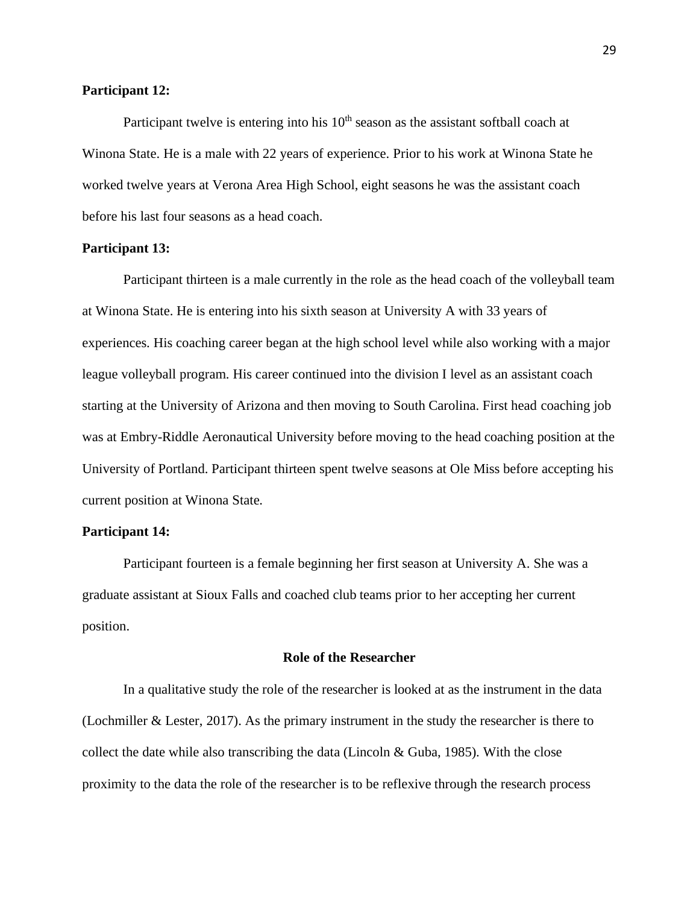# **Participant 12:**

Participant twelve is entering into his  $10<sup>th</sup>$  season as the assistant softball coach at Winona State. He is a male with 22 years of experience. Prior to his work at Winona State he worked twelve years at Verona Area High School, eight seasons he was the assistant coach before his last four seasons as a head coach.

# **Participant 13:**

Participant thirteen is a male currently in the role as the head coach of the volleyball team at Winona State. He is entering into his sixth season at University A with 33 years of experiences. His coaching career began at the high school level while also working with a major league volleyball program. His career continued into the division I level as an assistant coach starting at the University of Arizona and then moving to South Carolina. First head coaching job was at Embry-Riddle Aeronautical University before moving to the head coaching position at the University of Portland. Participant thirteen spent twelve seasons at Ole Miss before accepting his current position at Winona State.

# **Participant 14:**

Participant fourteen is a female beginning her first season at University A. She was a graduate assistant at Sioux Falls and coached club teams prior to her accepting her current position.

# **Role of the Researcher**

In a qualitative study the role of the researcher is looked at as the instrument in the data (Lochmiller & Lester, 2017). As the primary instrument in the study the researcher is there to collect the date while also transcribing the data (Lincoln  $& Guba, 1985$ ). With the close proximity to the data the role of the researcher is to be reflexive through the research process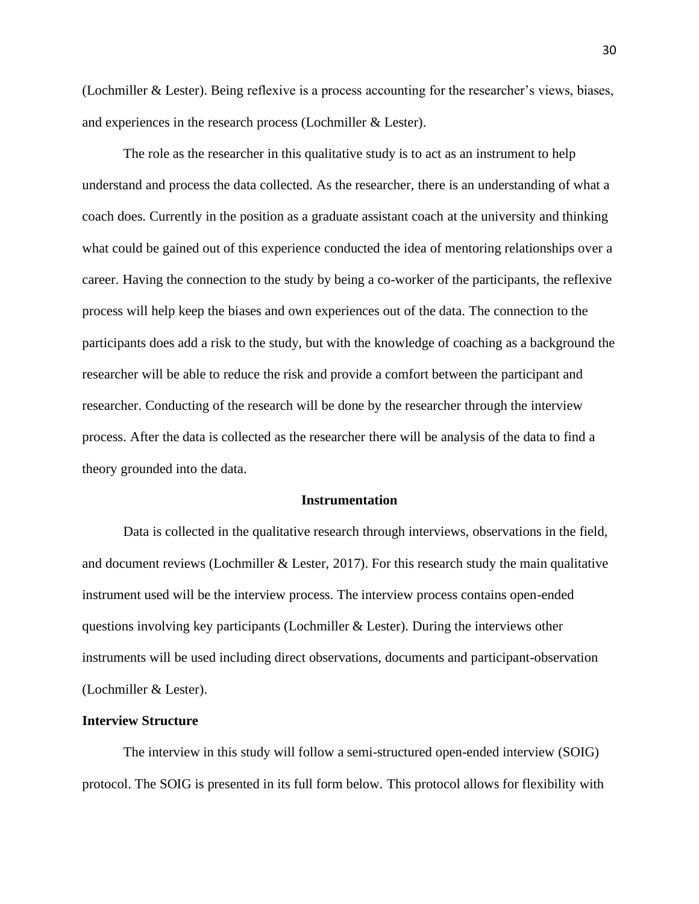(Lochmiller & Lester). Being reflexive is a process accounting for the researcher's views, biases, and experiences in the research process (Lochmiller & Lester).

The role as the researcher in this qualitative study is to act as an instrument to help understand and process the data collected. As the researcher, there is an understanding of what a coach does. Currently in the position as a graduate assistant coach at the university and thinking what could be gained out of this experience conducted the idea of mentoring relationships over a career. Having the connection to the study by being a co-worker of the participants, the reflexive process will help keep the biases and own experiences out of the data. The connection to the participants does add a risk to the study, but with the knowledge of coaching as a background the researcher will be able to reduce the risk and provide a comfort between the participant and researcher. Conducting of the research will be done by the researcher through the interview process. After the data is collected as the researcher there will be analysis of the data to find a theory grounded into the data.

#### **Instrumentation**

Data is collected in the qualitative research through interviews, observations in the field, and document reviews (Lochmiller  $&$  Lester, 2017). For this research study the main qualitative instrument used will be the interview process. The interview process contains open-ended questions involving key participants (Lochmiller & Lester). During the interviews other instruments will be used including direct observations, documents and participant-observation (Lochmiller & Lester).

#### **Interview Structure**

The interview in this study will follow a semi-structured open-ended interview (SOIG) protocol. The SOIG is presented in its full form below. This protocol allows for flexibility with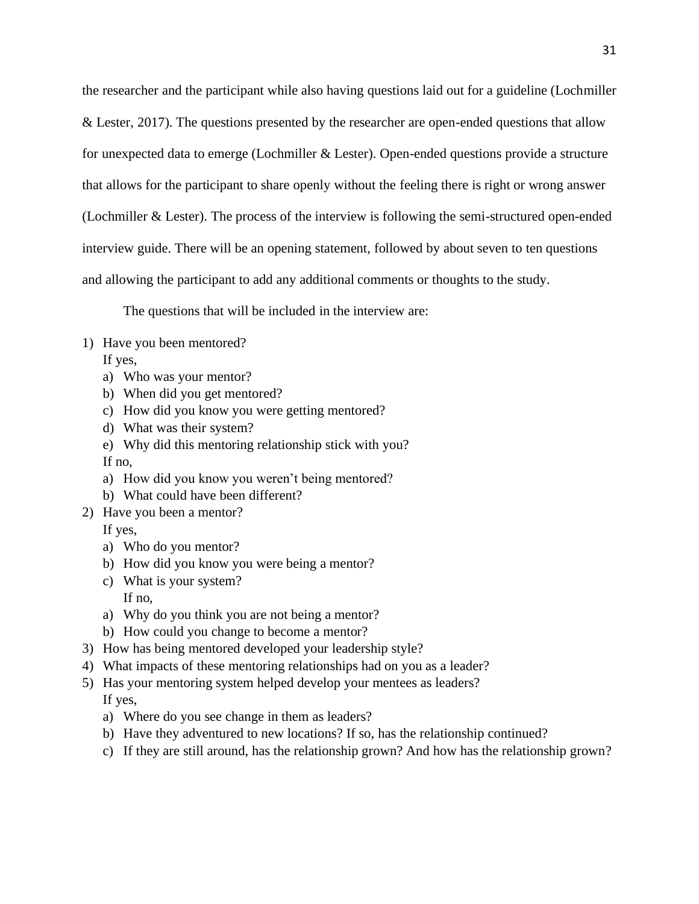the researcher and the participant while also having questions laid out for a guideline (Lochmiller & Lester, 2017). The questions presented by the researcher are open-ended questions that allow for unexpected data to emerge (Lochmiller & Lester). Open-ended questions provide a structure that allows for the participant to share openly without the feeling there is right or wrong answer (Lochmiller & Lester). The process of the interview is following the semi-structured open-ended interview guide. There will be an opening statement, followed by about seven to ten questions and allowing the participant to add any additional comments or thoughts to the study.

The questions that will be included in the interview are:

1) Have you been mentored?

If yes,

- a) Who was your mentor?
- b) When did you get mentored?
- c) How did you know you were getting mentored?
- d) What was their system?
- e) Why did this mentoring relationship stick with you? If no,
- a) How did you know you weren't being mentored?
- b) What could have been different?
- 2) Have you been a mentor?

If yes,

- a) Who do you mentor?
- b) How did you know you were being a mentor?
- c) What is your system? If no,
- a) Why do you think you are not being a mentor?
- b) How could you change to become a mentor?
- 3) How has being mentored developed your leadership style?
- 4) What impacts of these mentoring relationships had on you as a leader?
- 5) Has your mentoring system helped develop your mentees as leaders? If yes,
	- a) Where do you see change in them as leaders?
	- b) Have they adventured to new locations? If so, has the relationship continued?
	- c) If they are still around, has the relationship grown? And how has the relationship grown?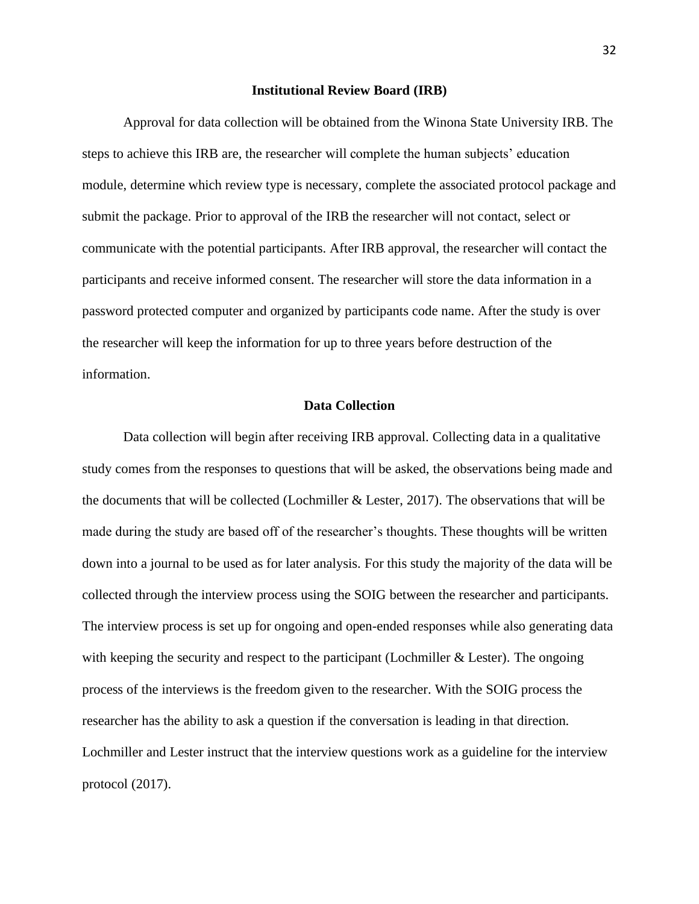#### **Institutional Review Board (IRB)**

Approval for data collection will be obtained from the Winona State University IRB. The steps to achieve this IRB are, the researcher will complete the human subjects' education module, determine which review type is necessary, complete the associated protocol package and submit the package. Prior to approval of the IRB the researcher will not contact, select or communicate with the potential participants. After IRB approval, the researcher will contact the participants and receive informed consent. The researcher will store the data information in a password protected computer and organized by participants code name. After the study is over the researcher will keep the information for up to three years before destruction of the information.

# **Data Collection**

Data collection will begin after receiving IRB approval. Collecting data in a qualitative study comes from the responses to questions that will be asked, the observations being made and the documents that will be collected (Lochmiller & Lester, 2017). The observations that will be made during the study are based off of the researcher's thoughts. These thoughts will be written down into a journal to be used as for later analysis. For this study the majority of the data will be collected through the interview process using the SOIG between the researcher and participants. The interview process is set up for ongoing and open-ended responses while also generating data with keeping the security and respect to the participant (Lochmiller & Lester). The ongoing process of the interviews is the freedom given to the researcher. With the SOIG process the researcher has the ability to ask a question if the conversation is leading in that direction. Lochmiller and Lester instruct that the interview questions work as a guideline for the interview protocol (2017).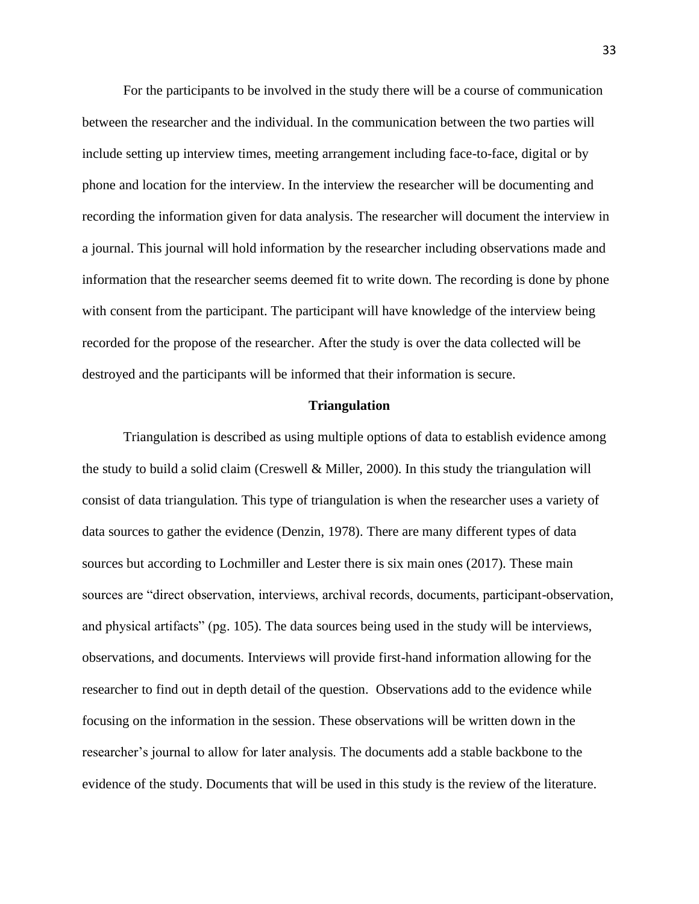For the participants to be involved in the study there will be a course of communication between the researcher and the individual. In the communication between the two parties will include setting up interview times, meeting arrangement including face-to-face, digital or by phone and location for the interview. In the interview the researcher will be documenting and recording the information given for data analysis. The researcher will document the interview in a journal. This journal will hold information by the researcher including observations made and information that the researcher seems deemed fit to write down. The recording is done by phone with consent from the participant. The participant will have knowledge of the interview being recorded for the propose of the researcher. After the study is over the data collected will be destroyed and the participants will be informed that their information is secure.

# **Triangulation**

Triangulation is described as using multiple options of data to establish evidence among the study to build a solid claim (Creswell  $\&$  Miller, 2000). In this study the triangulation will consist of data triangulation. This type of triangulation is when the researcher uses a variety of data sources to gather the evidence (Denzin, 1978). There are many different types of data sources but according to Lochmiller and Lester there is six main ones (2017). These main sources are "direct observation, interviews, archival records, documents, participant-observation, and physical artifacts" (pg. 105). The data sources being used in the study will be interviews, observations, and documents. Interviews will provide first-hand information allowing for the researcher to find out in depth detail of the question. Observations add to the evidence while focusing on the information in the session. These observations will be written down in the researcher's journal to allow for later analysis. The documents add a stable backbone to the evidence of the study. Documents that will be used in this study is the review of the literature.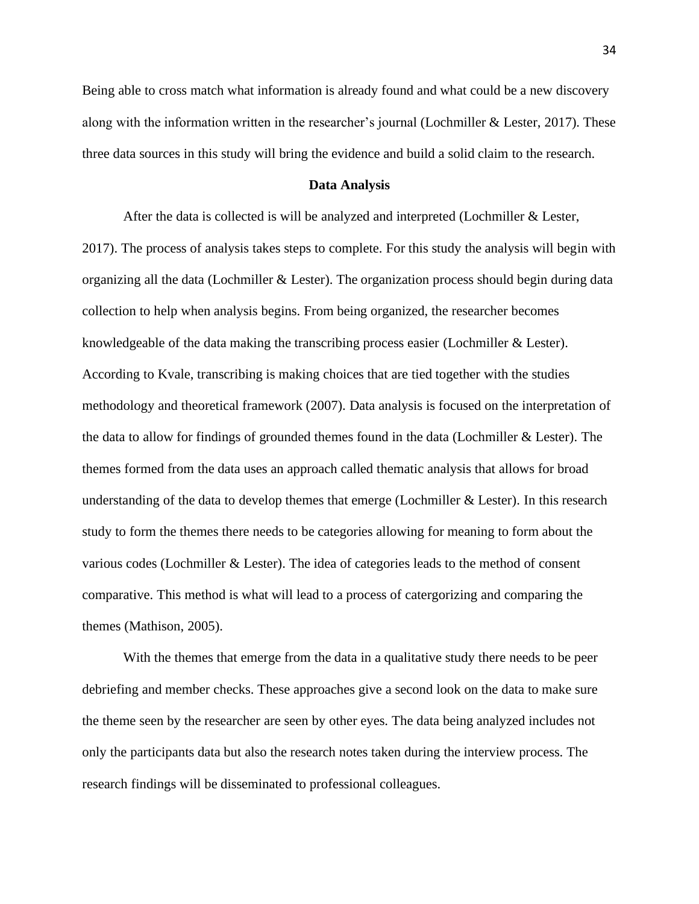Being able to cross match what information is already found and what could be a new discovery along with the information written in the researcher's journal (Lochmiller & Lester, 2017). These three data sources in this study will bring the evidence and build a solid claim to the research.

#### **Data Analysis**

After the data is collected is will be analyzed and interpreted (Lochmiller & Lester, 2017). The process of analysis takes steps to complete. For this study the analysis will begin with organizing all the data (Lochmiller & Lester). The organization process should begin during data collection to help when analysis begins. From being organized, the researcher becomes knowledgeable of the data making the transcribing process easier (Lochmiller & Lester). According to Kvale, transcribing is making choices that are tied together with the studies methodology and theoretical framework (2007). Data analysis is focused on the interpretation of the data to allow for findings of grounded themes found in the data (Lochmiller & Lester). The themes formed from the data uses an approach called thematic analysis that allows for broad understanding of the data to develop themes that emerge (Lochmiller & Lester). In this research study to form the themes there needs to be categories allowing for meaning to form about the various codes (Lochmiller & Lester). The idea of categories leads to the method of consent comparative. This method is what will lead to a process of catergorizing and comparing the themes (Mathison, 2005).

With the themes that emerge from the data in a qualitative study there needs to be peer debriefing and member checks. These approaches give a second look on the data to make sure the theme seen by the researcher are seen by other eyes. The data being analyzed includes not only the participants data but also the research notes taken during the interview process. The research findings will be disseminated to professional colleagues.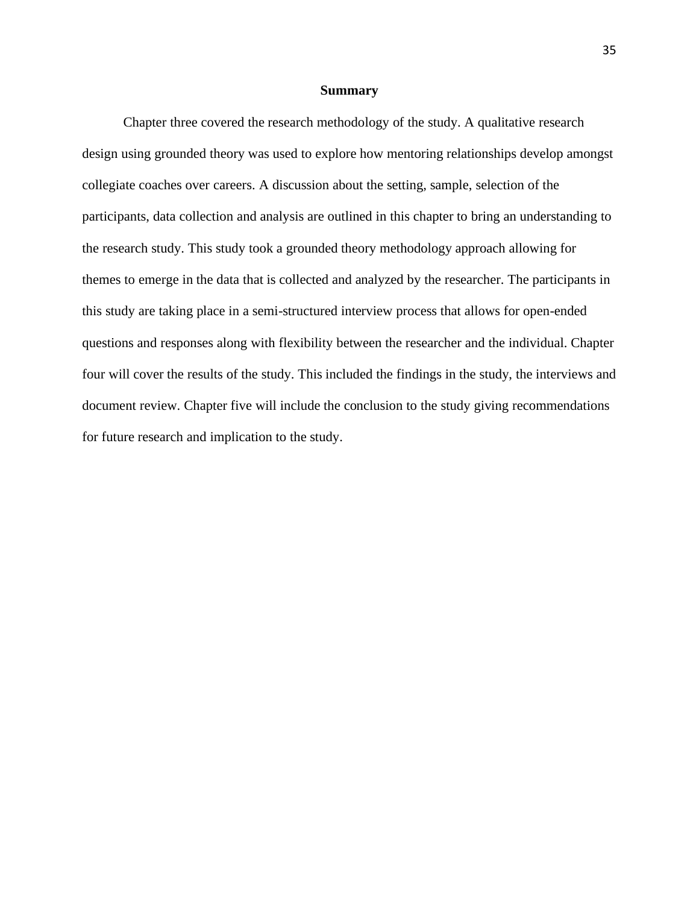# **Summary**

Chapter three covered the research methodology of the study. A qualitative research design using grounded theory was used to explore how mentoring relationships develop amongst collegiate coaches over careers. A discussion about the setting, sample, selection of the participants, data collection and analysis are outlined in this chapter to bring an understanding to the research study. This study took a grounded theory methodology approach allowing for themes to emerge in the data that is collected and analyzed by the researcher. The participants in this study are taking place in a semi-structured interview process that allows for open-ended questions and responses along with flexibility between the researcher and the individual. Chapter four will cover the results of the study. This included the findings in the study, the interviews and document review. Chapter five will include the conclusion to the study giving recommendations for future research and implication to the study.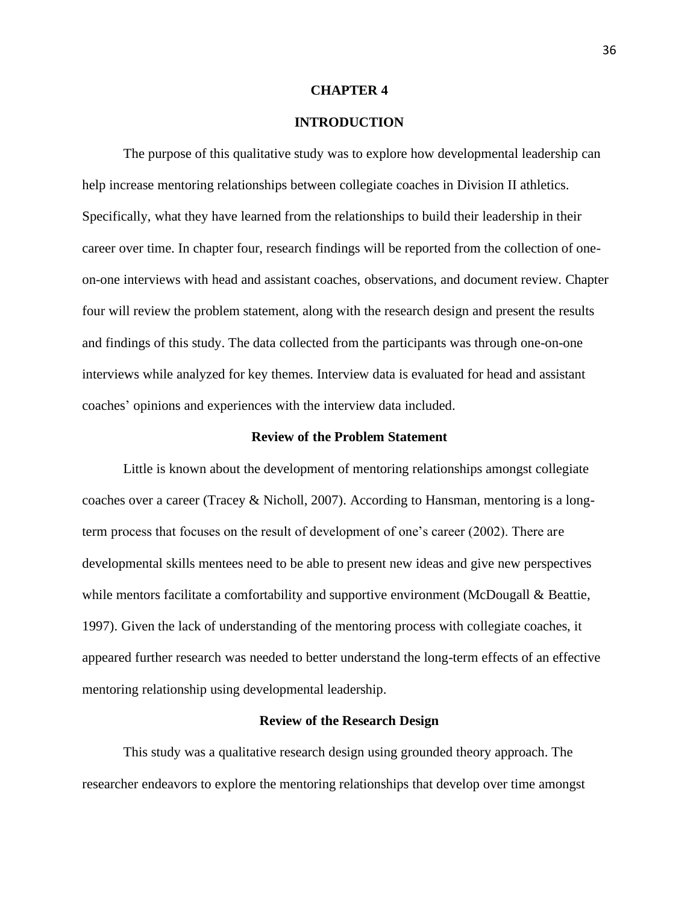### **CHAPTER 4**

## **INTRODUCTION**

The purpose of this qualitative study was to explore how developmental leadership can help increase mentoring relationships between collegiate coaches in Division II athletics. Specifically, what they have learned from the relationships to build their leadership in their career over time. In chapter four, research findings will be reported from the collection of oneon-one interviews with head and assistant coaches, observations, and document review. Chapter four will review the problem statement, along with the research design and present the results and findings of this study. The data collected from the participants was through one-on-one interviews while analyzed for key themes. Interview data is evaluated for head and assistant coaches' opinions and experiences with the interview data included.

## **Review of the Problem Statement**

Little is known about the development of mentoring relationships amongst collegiate coaches over a career (Tracey & Nicholl, 2007). According to Hansman, mentoring is a longterm process that focuses on the result of development of one's career (2002). There are developmental skills mentees need to be able to present new ideas and give new perspectives while mentors facilitate a comfortability and supportive environment (McDougall & Beattie, 1997). Given the lack of understanding of the mentoring process with collegiate coaches, it appeared further research was needed to better understand the long-term effects of an effective mentoring relationship using developmental leadership.

#### **Review of the Research Design**

This study was a qualitative research design using grounded theory approach. The researcher endeavors to explore the mentoring relationships that develop over time amongst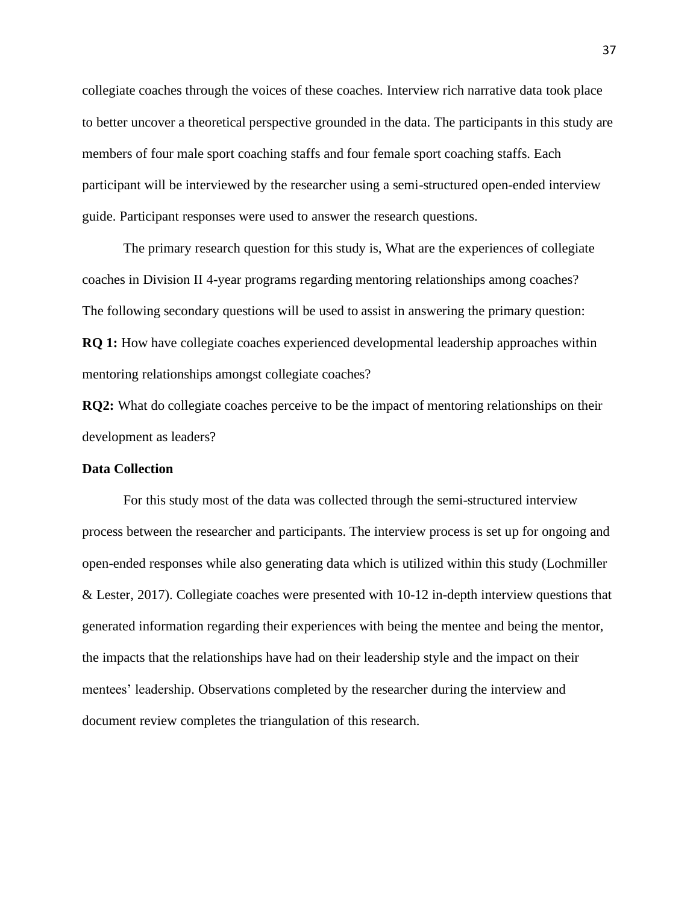collegiate coaches through the voices of these coaches. Interview rich narrative data took place to better uncover a theoretical perspective grounded in the data. The participants in this study are members of four male sport coaching staffs and four female sport coaching staffs. Each participant will be interviewed by the researcher using a semi-structured open-ended interview guide. Participant responses were used to answer the research questions.

The primary research question for this study is, What are the experiences of collegiate coaches in Division II 4-year programs regarding mentoring relationships among coaches? The following secondary questions will be used to assist in answering the primary question: **RQ 1:** How have collegiate coaches experienced developmental leadership approaches within mentoring relationships amongst collegiate coaches?

**RQ2:** What do collegiate coaches perceive to be the impact of mentoring relationships on their development as leaders?

#### **Data Collection**

For this study most of the data was collected through the semi-structured interview process between the researcher and participants. The interview process is set up for ongoing and open-ended responses while also generating data which is utilized within this study (Lochmiller & Lester, 2017). Collegiate coaches were presented with 10-12 in-depth interview questions that generated information regarding their experiences with being the mentee and being the mentor, the impacts that the relationships have had on their leadership style and the impact on their mentees' leadership. Observations completed by the researcher during the interview and document review completes the triangulation of this research.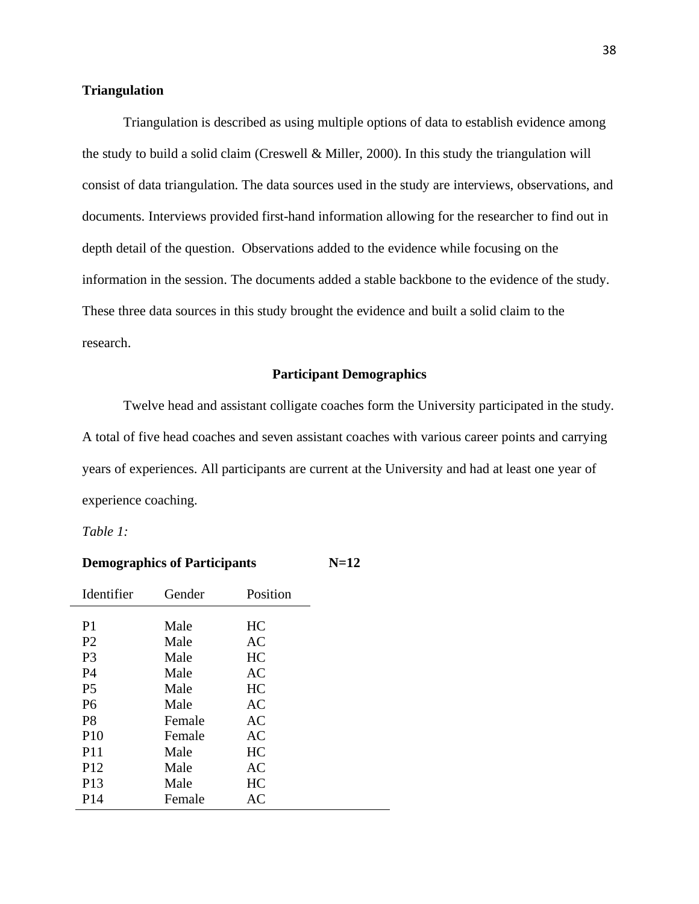## **Triangulation**

Triangulation is described as using multiple options of data to establish evidence among the study to build a solid claim (Creswell & Miller, 2000). In this study the triangulation will consist of data triangulation. The data sources used in the study are interviews, observations, and documents. Interviews provided first-hand information allowing for the researcher to find out in depth detail of the question. Observations added to the evidence while focusing on the information in the session. The documents added a stable backbone to the evidence of the study. These three data sources in this study brought the evidence and built a solid claim to the research.

## **Participant Demographics**

Twelve head and assistant colligate coaches form the University participated in the study. A total of five head coaches and seven assistant coaches with various career points and carrying years of experiences. All participants are current at the University and had at least one year of experience coaching.

*Table 1:*

| <b>Demographics of Participants</b><br>N=12 |        |           |  |
|---------------------------------------------|--------|-----------|--|
| Identifier                                  | Gender | Position  |  |
| P <sub>1</sub>                              | Male   | HC        |  |
| P <sub>2</sub>                              | Male   | AC        |  |
| P <sub>3</sub>                              | Male   | HC        |  |
| P4                                          | Male   | AC        |  |
| P <sub>5</sub>                              | Male   | HС        |  |
| P <sub>6</sub>                              | Male   | <b>AC</b> |  |
| P <sub>8</sub>                              | Female | AC        |  |
| P <sub>10</sub>                             | Female | AC        |  |
| P <sub>11</sub>                             | Male   | HC        |  |
| P <sub>12</sub>                             | Male   | AC        |  |
| P <sub>13</sub>                             | Male   | HC        |  |
| P <sub>14</sub>                             | Female | AC        |  |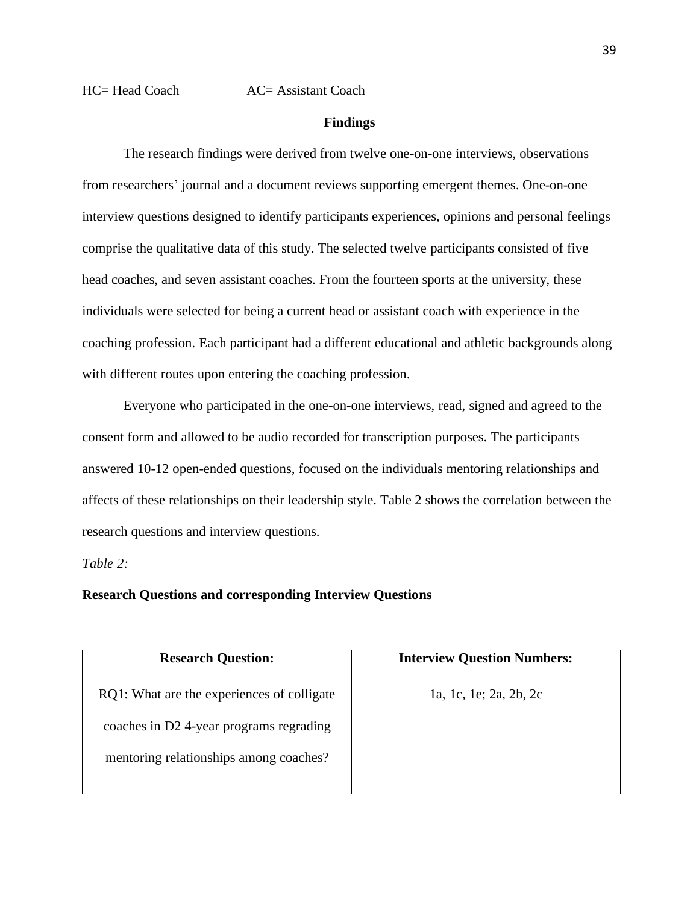HC= Head Coach AC= Assistant Coach

## **Findings**

The research findings were derived from twelve one-on-one interviews, observations from researchers' journal and a document reviews supporting emergent themes. One-on-one interview questions designed to identify participants experiences, opinions and personal feelings comprise the qualitative data of this study. The selected twelve participants consisted of five head coaches, and seven assistant coaches. From the fourteen sports at the university, these individuals were selected for being a current head or assistant coach with experience in the coaching profession. Each participant had a different educational and athletic backgrounds along with different routes upon entering the coaching profession.

Everyone who participated in the one-on-one interviews, read, signed and agreed to the consent form and allowed to be audio recorded for transcription purposes. The participants answered 10-12 open-ended questions, focused on the individuals mentoring relationships and affects of these relationships on their leadership style. Table 2 shows the correlation between the research questions and interview questions.

*Table 2:*

## **Research Questions and corresponding Interview Questions**

| <b>Research Question:</b>                  | <b>Interview Question Numbers:</b> |  |
|--------------------------------------------|------------------------------------|--|
| RQ1: What are the experiences of colligate | 1a, 1c, 1e; 2a, 2b, 2c             |  |
| coaches in D2 4-year programs regrading    |                                    |  |
| mentoring relationships among coaches?     |                                    |  |
|                                            |                                    |  |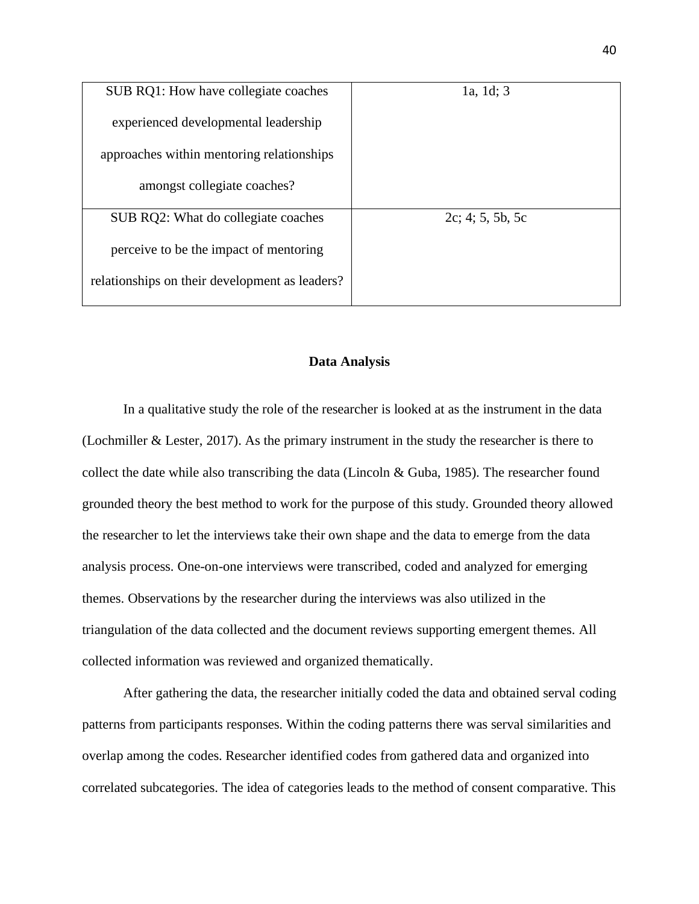| SUB RQ1: How have collegiate coaches           | 1a, 1d; 3           |
|------------------------------------------------|---------------------|
| experienced developmental leadership           |                     |
| approaches within mentoring relationships      |                     |
| amongst collegiate coaches?                    |                     |
| SUB RQ2: What do collegiate coaches            | $2c$ ; 4; 5, 5b, 5c |
| perceive to be the impact of mentoring         |                     |
| relationships on their development as leaders? |                     |

## **Data Analysis**

In a qualitative study the role of the researcher is looked at as the instrument in the data (Lochmiller & Lester, 2017). As the primary instrument in the study the researcher is there to collect the date while also transcribing the data (Lincoln  $\&$  Guba, 1985). The researcher found grounded theory the best method to work for the purpose of this study. Grounded theory allowed the researcher to let the interviews take their own shape and the data to emerge from the data analysis process. One-on-one interviews were transcribed, coded and analyzed for emerging themes. Observations by the researcher during the interviews was also utilized in the triangulation of the data collected and the document reviews supporting emergent themes. All collected information was reviewed and organized thematically.

After gathering the data, the researcher initially coded the data and obtained serval coding patterns from participants responses. Within the coding patterns there was serval similarities and overlap among the codes. Researcher identified codes from gathered data and organized into correlated subcategories. The idea of categories leads to the method of consent comparative. This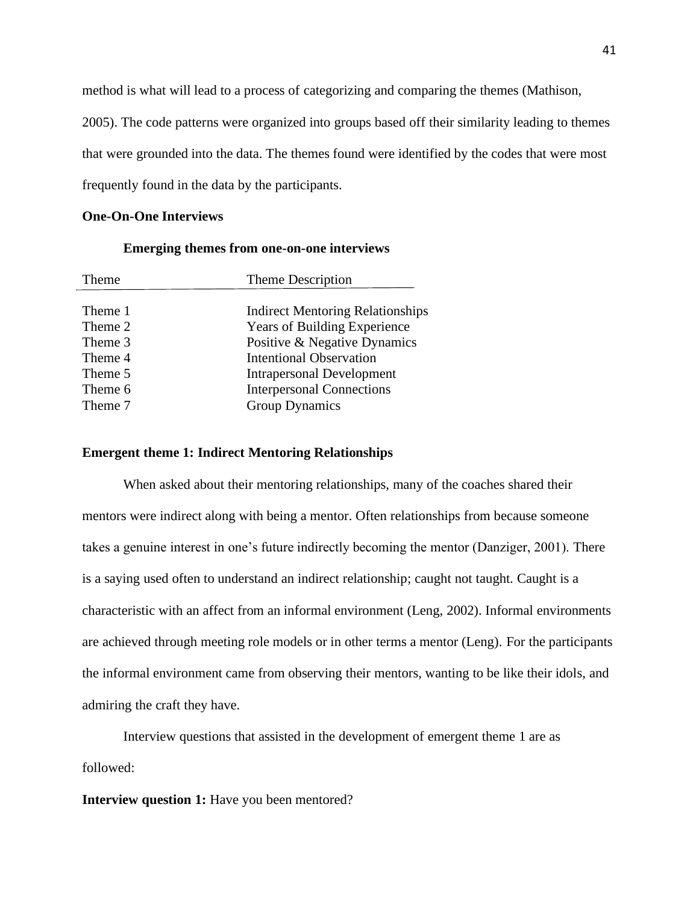method is what will lead to a process of categorizing and comparing the themes (Mathison,

2005). The code patterns were organized into groups based off their similarity leading to themes that were grounded into the data. The themes found were identified by the codes that were most frequently found in the data by the participants.

## **One-On-One Interviews**

## **Emerging themes from one-on-one interviews**

| Theme   | Theme Description                       |  |
|---------|-----------------------------------------|--|
|         |                                         |  |
| Theme 1 | <b>Indirect Mentoring Relationships</b> |  |
| Theme 2 | <b>Years of Building Experience</b>     |  |
| Theme 3 | Positive & Negative Dynamics            |  |
| Theme 4 | <b>Intentional Observation</b>          |  |
| Theme 5 | <b>Intrapersonal Development</b>        |  |
| Theme 6 | <b>Interpersonal Connections</b>        |  |
| Theme 7 | <b>Group Dynamics</b>                   |  |
|         |                                         |  |

## **Emergent theme 1: Indirect Mentoring Relationships**

When asked about their mentoring relationships, many of the coaches shared their mentors were indirect along with being a mentor. Often relationships from because someone takes a genuine interest in one's future indirectly becoming the mentor (Danziger, 2001). There is a saying used often to understand an indirect relationship; caught not taught. Caught is a characteristic with an affect from an informal environment (Leng, 2002). Informal environments are achieved through meeting role models or in other terms a mentor (Leng). For the participants the informal environment came from observing their mentors, wanting to be like their idols, and admiring the craft they have.

Interview questions that assisted in the development of emergent theme 1 are as followed:

**Interview question 1:** Have you been mentored?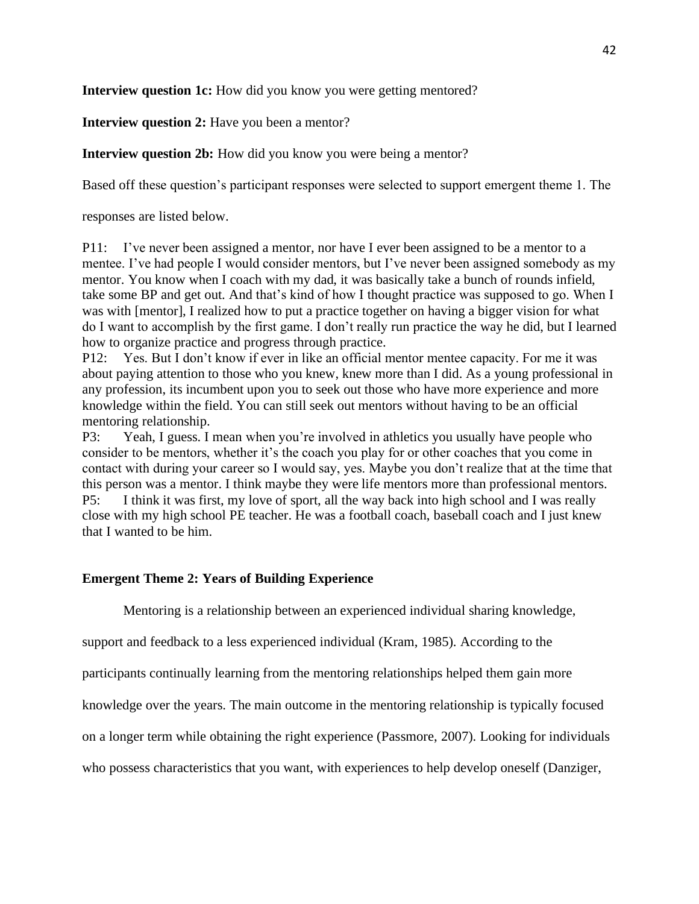**Interview question 1c:** How did you know you were getting mentored?

**Interview question 2:** Have you been a mentor?

**Interview question 2b:** How did you know you were being a mentor?

Based off these question's participant responses were selected to support emergent theme 1. The

responses are listed below.

P11: I've never been assigned a mentor, nor have I ever been assigned to be a mentor to a mentee. I've had people I would consider mentors, but I've never been assigned somebody as my mentor. You know when I coach with my dad, it was basically take a bunch of rounds infield, take some BP and get out. And that's kind of how I thought practice was supposed to go. When I was with [mentor], I realized how to put a practice together on having a bigger vision for what do I want to accomplish by the first game. I don't really run practice the way he did, but I learned how to organize practice and progress through practice.

P12: Yes. But I don't know if ever in like an official mentor mentee capacity. For me it was about paying attention to those who you knew, knew more than I did. As a young professional in any profession, its incumbent upon you to seek out those who have more experience and more knowledge within the field. You can still seek out mentors without having to be an official mentoring relationship.

P3: Yeah, I guess. I mean when you're involved in athletics you usually have people who consider to be mentors, whether it's the coach you play for or other coaches that you come in contact with during your career so I would say, yes. Maybe you don't realize that at the time that this person was a mentor. I think maybe they were life mentors more than professional mentors. P5: I think it was first, my love of sport, all the way back into high school and I was really close with my high school PE teacher. He was a football coach, baseball coach and I just knew that I wanted to be him.

## **Emergent Theme 2: Years of Building Experience**

Mentoring is a relationship between an experienced individual sharing knowledge,

support and feedback to a less experienced individual (Kram, 1985). According to the

participants continually learning from the mentoring relationships helped them gain more

knowledge over the years. The main outcome in the mentoring relationship is typically focused

on a longer term while obtaining the right experience (Passmore, 2007). Looking for individuals

who possess characteristics that you want, with experiences to help develop oneself (Danziger,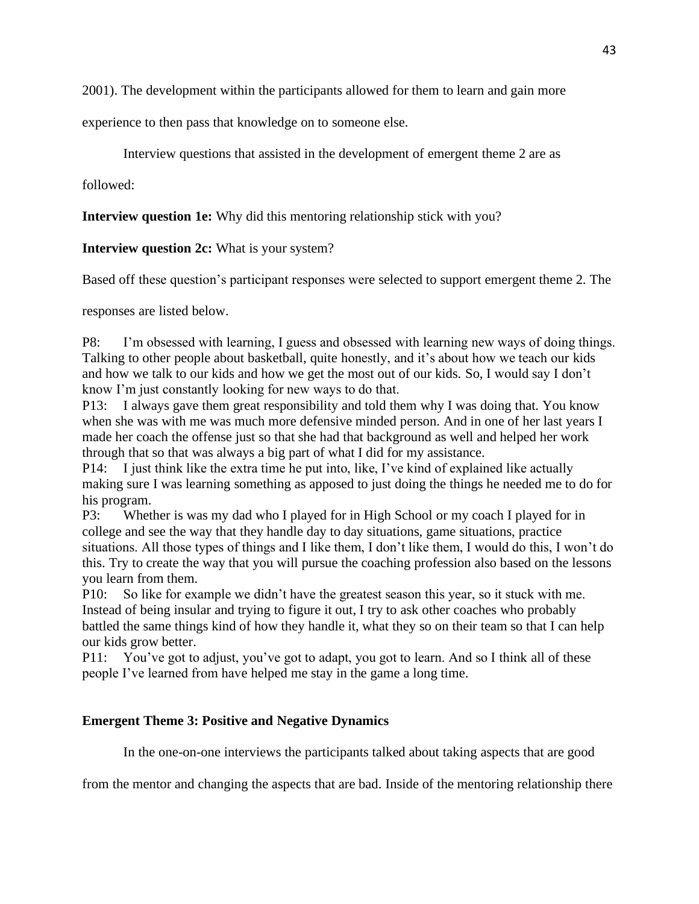2001). The development within the participants allowed for them to learn and gain more

experience to then pass that knowledge on to someone else.

Interview questions that assisted in the development of emergent theme 2 are as

followed:

**Interview question 1e:** Why did this mentoring relationship stick with you?

**Interview question 2c:** What is your system?

Based off these question's participant responses were selected to support emergent theme 2. The

responses are listed below.

P8: I'm obsessed with learning, I guess and obsessed with learning new ways of doing things. Talking to other people about basketball, quite honestly, and it's about how we teach our kids and how we talk to our kids and how we get the most out of our kids. So, I would say I don't know I'm just constantly looking for new ways to do that.

P13: I always gave them great responsibility and told them why I was doing that. You know when she was with me was much more defensive minded person. And in one of her last years I made her coach the offense just so that she had that background as well and helped her work through that so that was always a big part of what I did for my assistance.

P14: I just think like the extra time he put into, like, I've kind of explained like actually making sure I was learning something as apposed to just doing the things he needed me to do for his program.

P3: Whether is was my dad who I played for in High School or my coach I played for in college and see the way that they handle day to day situations, game situations, practice situations. All those types of things and I like them, I don't like them, I would do this, I won't do this. Try to create the way that you will pursue the coaching profession also based on the lessons you learn from them.

P10: So like for example we didn't have the greatest season this year, so it stuck with me. Instead of being insular and trying to figure it out, I try to ask other coaches who probably battled the same things kind of how they handle it, what they so on their team so that I can help our kids grow better.

P11: You've got to adjust, you've got to adapt, you got to learn. And so I think all of these people I've learned from have helped me stay in the game a long time.

# **Emergent Theme 3: Positive and Negative Dynamics**

In the one-on-one interviews the participants talked about taking aspects that are good

from the mentor and changing the aspects that are bad. Inside of the mentoring relationship there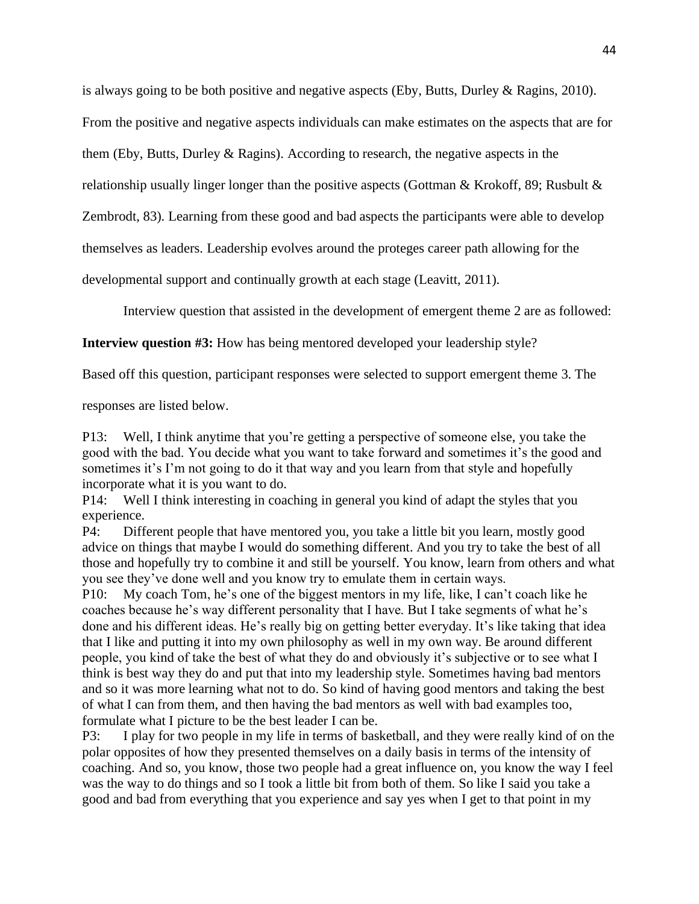is always going to be both positive and negative aspects (Eby, Butts, Durley & Ragins, 2010).

From the positive and negative aspects individuals can make estimates on the aspects that are for

them (Eby, Butts, Durley & Ragins). According to research, the negative aspects in the

relationship usually linger longer than the positive aspects (Gottman & Krokoff, 89; Rusbult &

Zembrodt, 83). Learning from these good and bad aspects the participants were able to develop

themselves as leaders. Leadership evolves around the proteges career path allowing for the

developmental support and continually growth at each stage (Leavitt, 2011).

Interview question that assisted in the development of emergent theme 2 are as followed:

**Interview question #3:** How has being mentored developed your leadership style?

Based off this question, participant responses were selected to support emergent theme 3. The

responses are listed below.

P13: Well, I think anytime that you're getting a perspective of someone else, you take the good with the bad. You decide what you want to take forward and sometimes it's the good and sometimes it's I'm not going to do it that way and you learn from that style and hopefully incorporate what it is you want to do.

P14: Well I think interesting in coaching in general you kind of adapt the styles that you experience.

P4: Different people that have mentored you, you take a little bit you learn, mostly good advice on things that maybe I would do something different. And you try to take the best of all those and hopefully try to combine it and still be yourself. You know, learn from others and what you see they've done well and you know try to emulate them in certain ways.

P10: My coach Tom, he's one of the biggest mentors in my life, like, I can't coach like he coaches because he's way different personality that I have. But I take segments of what he's done and his different ideas. He's really big on getting better everyday. It's like taking that idea that I like and putting it into my own philosophy as well in my own way. Be around different people, you kind of take the best of what they do and obviously it's subjective or to see what I think is best way they do and put that into my leadership style. Sometimes having bad mentors and so it was more learning what not to do. So kind of having good mentors and taking the best of what I can from them, and then having the bad mentors as well with bad examples too, formulate what I picture to be the best leader I can be.

P3: I play for two people in my life in terms of basketball, and they were really kind of on the polar opposites of how they presented themselves on a daily basis in terms of the intensity of coaching. And so, you know, those two people had a great influence on, you know the way I feel was the way to do things and so I took a little bit from both of them. So like I said you take a good and bad from everything that you experience and say yes when I get to that point in my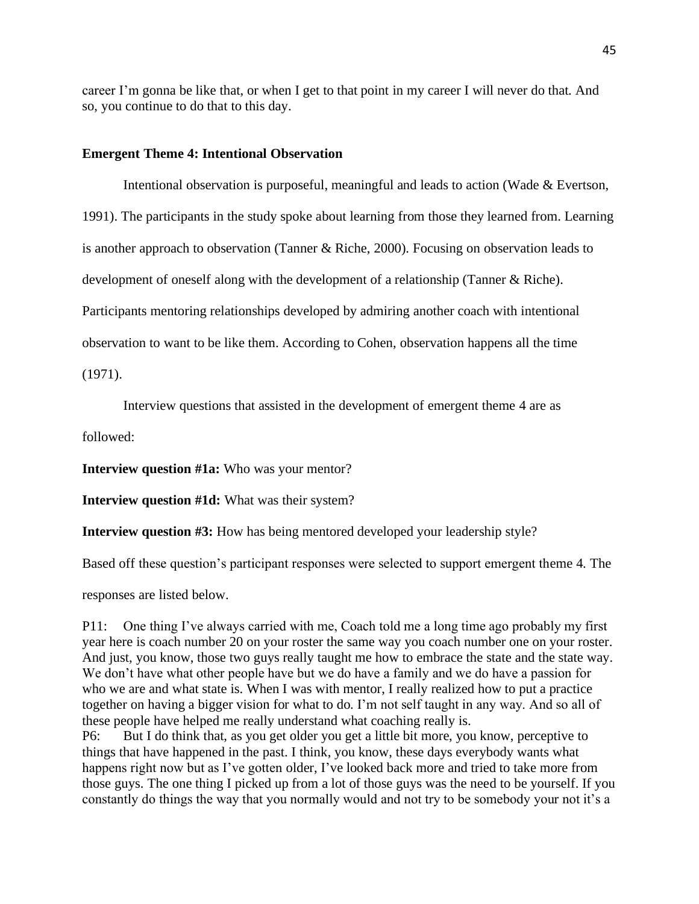career I'm gonna be like that, or when I get to that point in my career I will never do that. And so, you continue to do that to this day.

## **Emergent Theme 4: Intentional Observation**

Intentional observation is purposeful, meaningful and leads to action (Wade & Evertson, 1991). The participants in the study spoke about learning from those they learned from. Learning is another approach to observation (Tanner & Riche, 2000). Focusing on observation leads to development of oneself along with the development of a relationship (Tanner & Riche). Participants mentoring relationships developed by admiring another coach with intentional observation to want to be like them. According to Cohen, observation happens all the time

(1971).

Interview questions that assisted in the development of emergent theme 4 are as

followed:

**Interview question #1a:** Who was your mentor?

**Interview question #1d:** What was their system?

**Interview question #3:** How has being mentored developed your leadership style?

Based off these question's participant responses were selected to support emergent theme 4. The

responses are listed below.

P11: One thing I've always carried with me, Coach told me a long time ago probably my first year here is coach number 20 on your roster the same way you coach number one on your roster. And just, you know, those two guys really taught me how to embrace the state and the state way. We don't have what other people have but we do have a family and we do have a passion for who we are and what state is. When I was with mentor, I really realized how to put a practice together on having a bigger vision for what to do. I'm not self taught in any way. And so all of these people have helped me really understand what coaching really is.

P6: But I do think that, as you get older you get a little bit more, you know, perceptive to things that have happened in the past. I think, you know, these days everybody wants what happens right now but as I've gotten older, I've looked back more and tried to take more from those guys. The one thing I picked up from a lot of those guys was the need to be yourself. If you constantly do things the way that you normally would and not try to be somebody your not it's a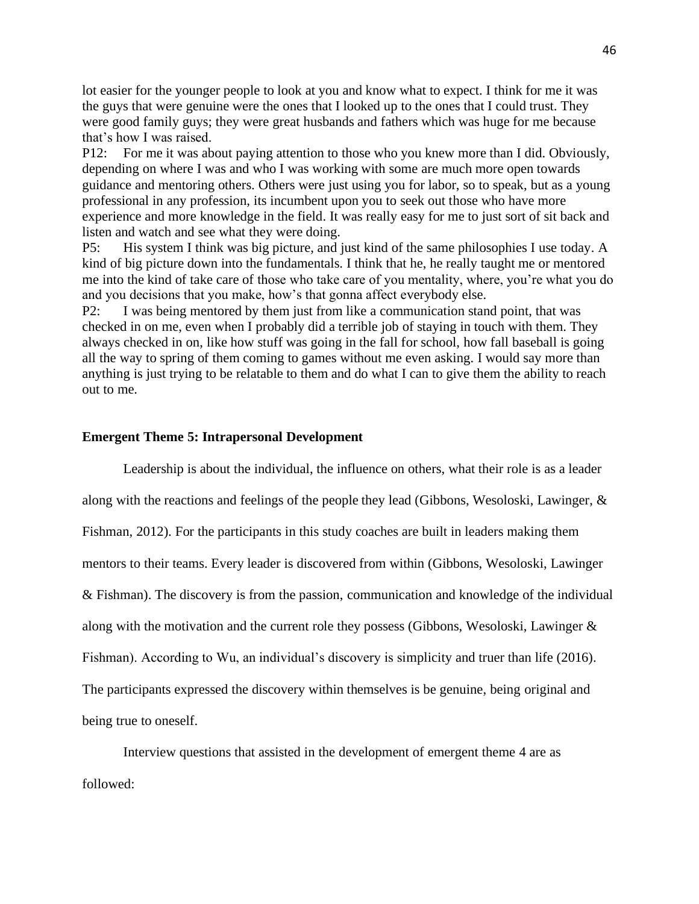lot easier for the younger people to look at you and know what to expect. I think for me it was the guys that were genuine were the ones that I looked up to the ones that I could trust. They were good family guys; they were great husbands and fathers which was huge for me because that's how I was raised.

P12: For me it was about paying attention to those who you knew more than I did. Obviously, depending on where I was and who I was working with some are much more open towards guidance and mentoring others. Others were just using you for labor, so to speak, but as a young professional in any profession, its incumbent upon you to seek out those who have more experience and more knowledge in the field. It was really easy for me to just sort of sit back and listen and watch and see what they were doing.

P5: His system I think was big picture, and just kind of the same philosophies I use today. A kind of big picture down into the fundamentals. I think that he, he really taught me or mentored me into the kind of take care of those who take care of you mentality, where, you're what you do and you decisions that you make, how's that gonna affect everybody else.

P2: I was being mentored by them just from like a communication stand point, that was checked in on me, even when I probably did a terrible job of staying in touch with them. They always checked in on, like how stuff was going in the fall for school, how fall baseball is going all the way to spring of them coming to games without me even asking. I would say more than anything is just trying to be relatable to them and do what I can to give them the ability to reach out to me.

## **Emergent Theme 5: Intrapersonal Development**

Leadership is about the individual, the influence on others, what their role is as a leader along with the reactions and feelings of the people they lead (Gibbons, Wesoloski, Lawinger, & Fishman, 2012). For the participants in this study coaches are built in leaders making them mentors to their teams. Every leader is discovered from within (Gibbons, Wesoloski, Lawinger & Fishman). The discovery is from the passion, communication and knowledge of the individual along with the motivation and the current role they possess (Gibbons, Wesoloski, Lawinger & Fishman). According to Wu, an individual's discovery is simplicity and truer than life (2016). The participants expressed the discovery within themselves is be genuine, being original and being true to oneself.

Interview questions that assisted in the development of emergent theme 4 are as followed: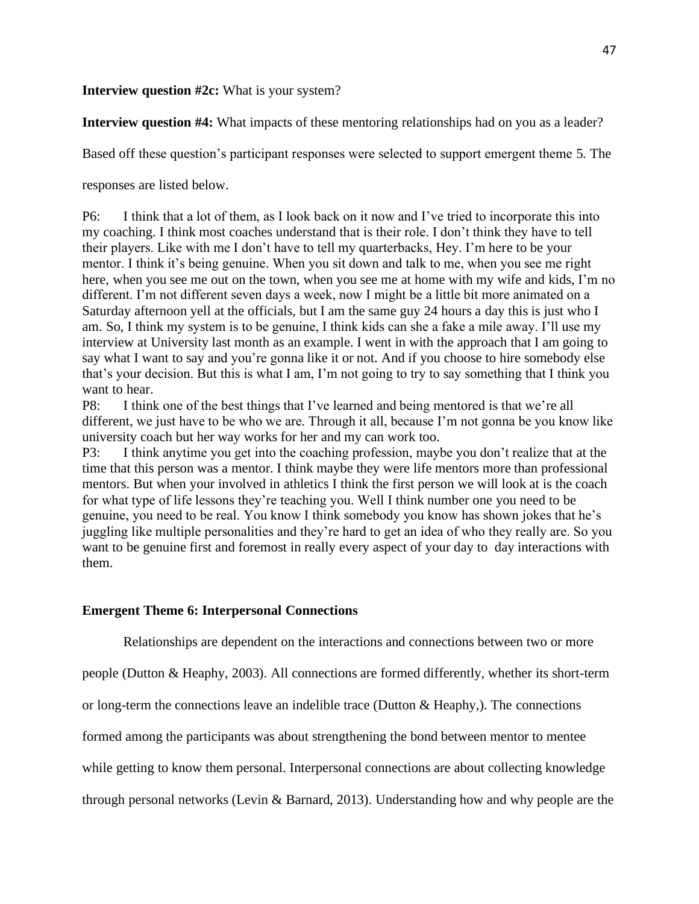## **Interview question #2c:** What is your system?

**Interview question #4:** What impacts of these mentoring relationships had on you as a leader?

Based off these question's participant responses were selected to support emergent theme 5. The

responses are listed below.

P6: I think that a lot of them, as I look back on it now and I've tried to incorporate this into my coaching. I think most coaches understand that is their role. I don't think they have to tell their players. Like with me I don't have to tell my quarterbacks, Hey. I'm here to be your mentor. I think it's being genuine. When you sit down and talk to me, when you see me right here, when you see me out on the town, when you see me at home with my wife and kids, I'm no different. I'm not different seven days a week, now I might be a little bit more animated on a Saturday afternoon yell at the officials, but I am the same guy 24 hours a day this is just who I am. So, I think my system is to be genuine, I think kids can she a fake a mile away. I'll use my interview at University last month as an example. I went in with the approach that I am going to say what I want to say and you're gonna like it or not. And if you choose to hire somebody else that's your decision. But this is what I am, I'm not going to try to say something that I think you want to hear.

P8: I think one of the best things that I've learned and being mentored is that we're all different, we just have to be who we are. Through it all, because I'm not gonna be you know like university coach but her way works for her and my can work too.

P3: I think anytime you get into the coaching profession, maybe you don't realize that at the time that this person was a mentor. I think maybe they were life mentors more than professional mentors. But when your involved in athletics I think the first person we will look at is the coach for what type of life lessons they're teaching you. Well I think number one you need to be genuine, you need to be real. You know I think somebody you know has shown jokes that he's juggling like multiple personalities and they're hard to get an idea of who they really are. So you want to be genuine first and foremost in really every aspect of your day to day interactions with them.

## **Emergent Theme 6: Interpersonal Connections**

Relationships are dependent on the interactions and connections between two or more

people (Dutton & Heaphy, 2003). All connections are formed differently, whether its short-term

or long-term the connections leave an indelible trace (Dutton & Heaphy,). The connections

formed among the participants was about strengthening the bond between mentor to mentee

while getting to know them personal. Interpersonal connections are about collecting knowledge

through personal networks (Levin & Barnard, 2013). Understanding how and why people are the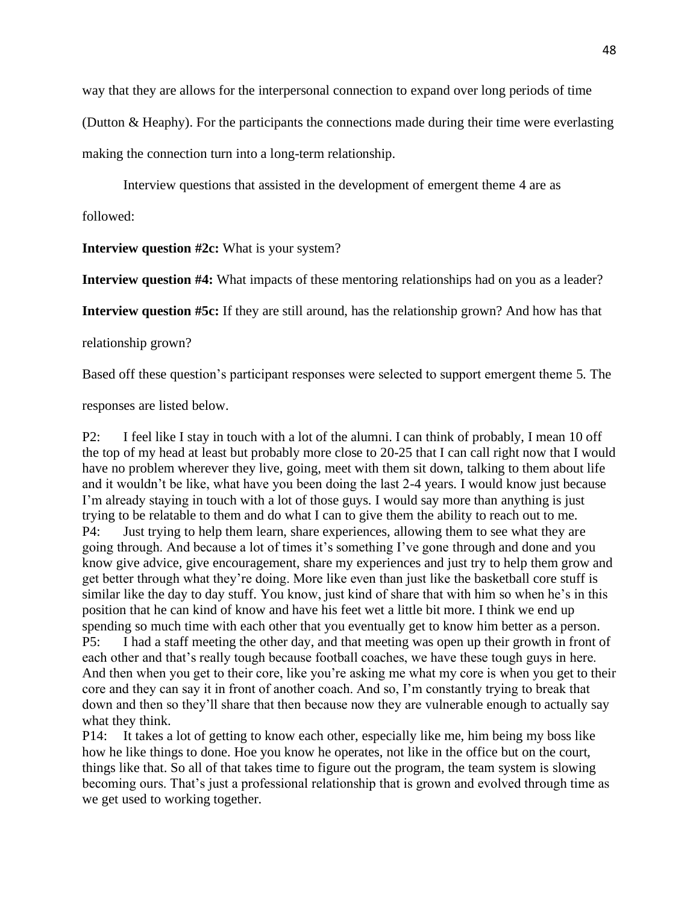way that they are allows for the interpersonal connection to expand over long periods of time

(Dutton & Heaphy). For the participants the connections made during their time were everlasting

making the connection turn into a long-term relationship.

Interview questions that assisted in the development of emergent theme 4 are as

followed:

**Interview question #2c:** What is your system?

**Interview question #4:** What impacts of these mentoring relationships had on you as a leader?

**Interview question #5c:** If they are still around, has the relationship grown? And how has that

relationship grown?

Based off these question's participant responses were selected to support emergent theme 5. The

responses are listed below.

P2: I feel like I stay in touch with a lot of the alumni. I can think of probably, I mean 10 off the top of my head at least but probably more close to 20-25 that I can call right now that I would have no problem wherever they live, going, meet with them sit down, talking to them about life and it wouldn't be like, what have you been doing the last 2-4 years. I would know just because I'm already staying in touch with a lot of those guys. I would say more than anything is just trying to be relatable to them and do what I can to give them the ability to reach out to me. P4: Just trying to help them learn, share experiences, allowing them to see what they are going through. And because a lot of times it's something I've gone through and done and you know give advice, give encouragement, share my experiences and just try to help them grow and get better through what they're doing. More like even than just like the basketball core stuff is similar like the day to day stuff. You know, just kind of share that with him so when he's in this position that he can kind of know and have his feet wet a little bit more. I think we end up spending so much time with each other that you eventually get to know him better as a person. P5: I had a staff meeting the other day, and that meeting was open up their growth in front of each other and that's really tough because football coaches, we have these tough guys in here. And then when you get to their core, like you're asking me what my core is when you get to their core and they can say it in front of another coach. And so, I'm constantly trying to break that down and then so they'll share that then because now they are vulnerable enough to actually say what they think.

P14: It takes a lot of getting to know each other, especially like me, him being my boss like how he like things to done. Hoe you know he operates, not like in the office but on the court, things like that. So all of that takes time to figure out the program, the team system is slowing becoming ours. That's just a professional relationship that is grown and evolved through time as we get used to working together.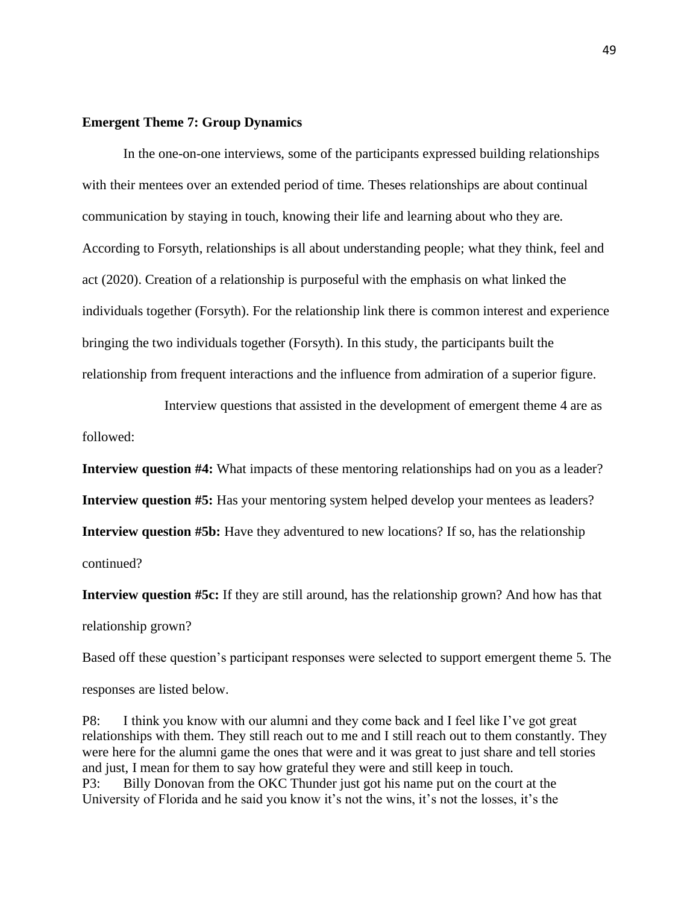## **Emergent Theme 7: Group Dynamics**

In the one-on-one interviews, some of the participants expressed building relationships with their mentees over an extended period of time. Theses relationships are about continual communication by staying in touch, knowing their life and learning about who they are. According to Forsyth, relationships is all about understanding people; what they think, feel and act (2020). Creation of a relationship is purposeful with the emphasis on what linked the individuals together (Forsyth). For the relationship link there is common interest and experience bringing the two individuals together (Forsyth). In this study, the participants built the relationship from frequent interactions and the influence from admiration of a superior figure.

Interview questions that assisted in the development of emergent theme 4 are as followed:

**Interview question #4:** What impacts of these mentoring relationships had on you as a leader? **Interview question #5:** Has your mentoring system helped develop your mentees as leaders? **Interview question #5b:** Have they adventured to new locations? If so, has the relationship continued?

**Interview question #5c:** If they are still around, has the relationship grown? And how has that relationship grown?

Based off these question's participant responses were selected to support emergent theme 5. The responses are listed below.

P8: I think you know with our alumni and they come back and I feel like I've got great relationships with them. They still reach out to me and I still reach out to them constantly. They were here for the alumni game the ones that were and it was great to just share and tell stories and just, I mean for them to say how grateful they were and still keep in touch. P3: Billy Donovan from the OKC Thunder just got his name put on the court at the University of Florida and he said you know it's not the wins, it's not the losses, it's the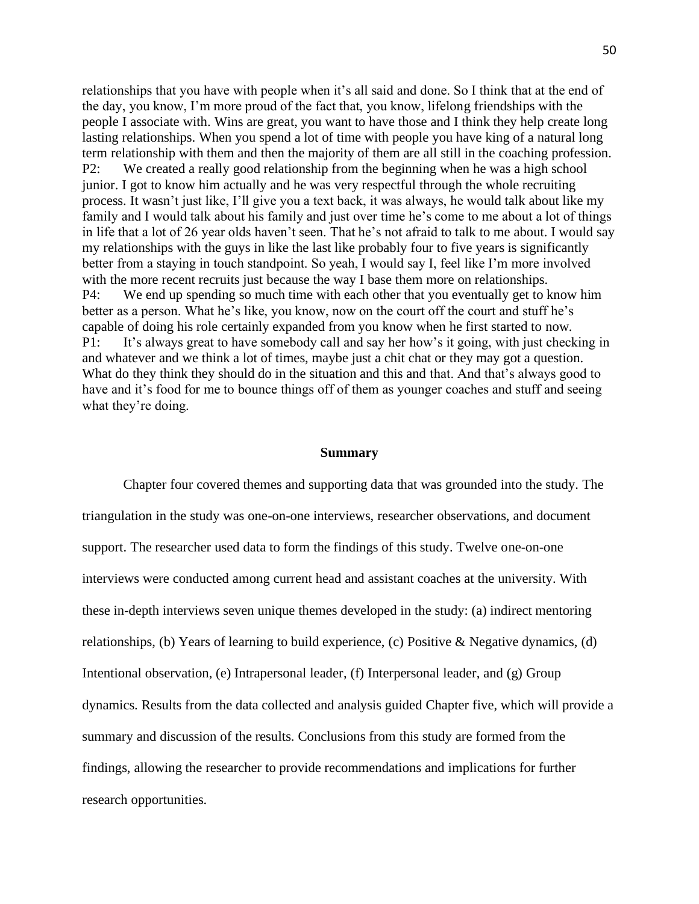relationships that you have with people when it's all said and done. So I think that at the end of the day, you know, I'm more proud of the fact that, you know, lifelong friendships with the people I associate with. Wins are great, you want to have those and I think they help create long lasting relationships. When you spend a lot of time with people you have king of a natural long term relationship with them and then the majority of them are all still in the coaching profession. P2: We created a really good relationship from the beginning when he was a high school junior. I got to know him actually and he was very respectful through the whole recruiting process. It wasn't just like, I'll give you a text back, it was always, he would talk about like my family and I would talk about his family and just over time he's come to me about a lot of things in life that a lot of 26 year olds haven't seen. That he's not afraid to talk to me about. I would say my relationships with the guys in like the last like probably four to five years is significantly better from a staying in touch standpoint. So yeah, I would say I, feel like I'm more involved with the more recent recruits just because the way I base them more on relationships. P4: We end up spending so much time with each other that you eventually get to know him better as a person. What he's like, you know, now on the court off the court and stuff he's capable of doing his role certainly expanded from you know when he first started to now. P1: It's always great to have somebody call and say her how's it going, with just checking in and whatever and we think a lot of times, maybe just a chit chat or they may got a question. What do they think they should do in the situation and this and that. And that's always good to have and it's food for me to bounce things off of them as younger coaches and stuff and seeing what they're doing.

## **Summary**

Chapter four covered themes and supporting data that was grounded into the study. The triangulation in the study was one-on-one interviews, researcher observations, and document support. The researcher used data to form the findings of this study. Twelve one-on-one interviews were conducted among current head and assistant coaches at the university. With these in-depth interviews seven unique themes developed in the study: (a) indirect mentoring relationships, (b) Years of learning to build experience, (c) Positive & Negative dynamics, (d) Intentional observation, (e) Intrapersonal leader, (f) Interpersonal leader, and (g) Group dynamics. Results from the data collected and analysis guided Chapter five, which will provide a summary and discussion of the results. Conclusions from this study are formed from the findings, allowing the researcher to provide recommendations and implications for further research opportunities.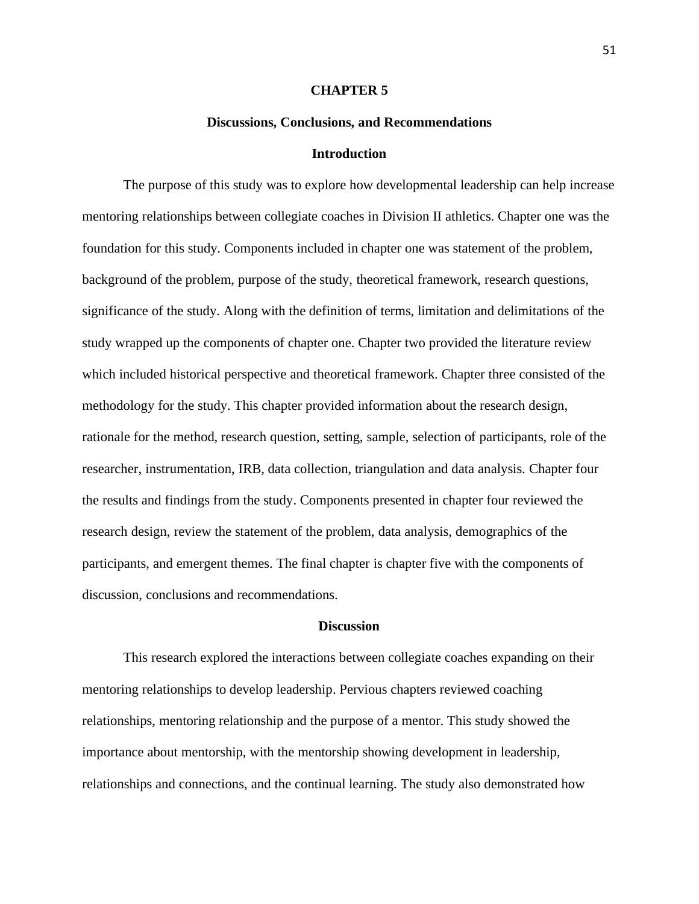#### **CHAPTER 5**

#### **Discussions, Conclusions, and Recommendations**

#### **Introduction**

The purpose of this study was to explore how developmental leadership can help increase mentoring relationships between collegiate coaches in Division II athletics. Chapter one was the foundation for this study. Components included in chapter one was statement of the problem, background of the problem, purpose of the study, theoretical framework, research questions, significance of the study. Along with the definition of terms, limitation and delimitations of the study wrapped up the components of chapter one. Chapter two provided the literature review which included historical perspective and theoretical framework. Chapter three consisted of the methodology for the study. This chapter provided information about the research design, rationale for the method, research question, setting, sample, selection of participants, role of the researcher, instrumentation, IRB, data collection, triangulation and data analysis. Chapter four the results and findings from the study. Components presented in chapter four reviewed the research design, review the statement of the problem, data analysis, demographics of the participants, and emergent themes. The final chapter is chapter five with the components of discussion, conclusions and recommendations.

## **Discussion**

This research explored the interactions between collegiate coaches expanding on their mentoring relationships to develop leadership. Pervious chapters reviewed coaching relationships, mentoring relationship and the purpose of a mentor. This study showed the importance about mentorship, with the mentorship showing development in leadership, relationships and connections, and the continual learning. The study also demonstrated how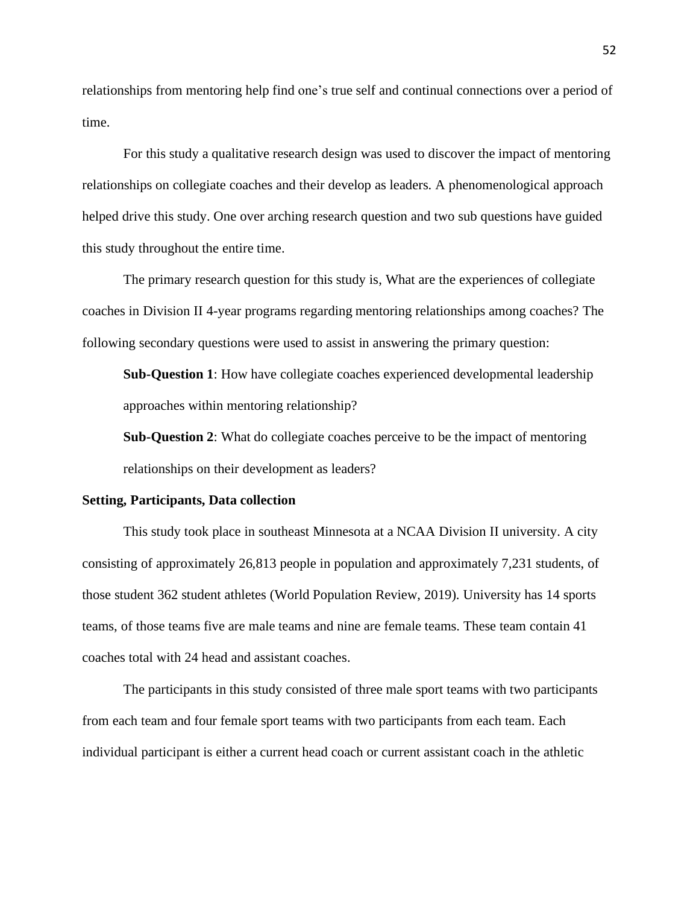relationships from mentoring help find one's true self and continual connections over a period of time.

For this study a qualitative research design was used to discover the impact of mentoring relationships on collegiate coaches and their develop as leaders. A phenomenological approach helped drive this study. One over arching research question and two sub questions have guided this study throughout the entire time.

The primary research question for this study is, What are the experiences of collegiate coaches in Division II 4-year programs regarding mentoring relationships among coaches? The following secondary questions were used to assist in answering the primary question:

**Sub-Question 1**: How have collegiate coaches experienced developmental leadership approaches within mentoring relationship?

**Sub-Question 2**: What do collegiate coaches perceive to be the impact of mentoring relationships on their development as leaders?

#### **Setting, Participants, Data collection**

This study took place in southeast Minnesota at a NCAA Division II university. A city consisting of approximately 26,813 people in population and approximately 7,231 students, of those student 362 student athletes (World Population Review, 2019). University has 14 sports teams, of those teams five are male teams and nine are female teams. These team contain 41 coaches total with 24 head and assistant coaches.

The participants in this study consisted of three male sport teams with two participants from each team and four female sport teams with two participants from each team. Each individual participant is either a current head coach or current assistant coach in the athletic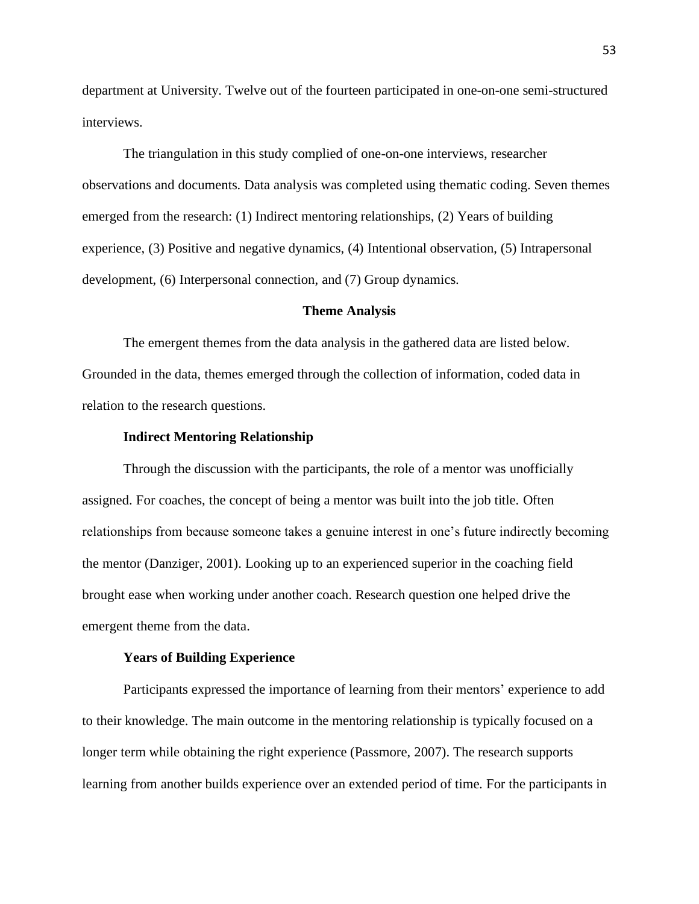department at University. Twelve out of the fourteen participated in one-on-one semi-structured interviews.

The triangulation in this study complied of one-on-one interviews, researcher observations and documents. Data analysis was completed using thematic coding. Seven themes emerged from the research: (1) Indirect mentoring relationships, (2) Years of building experience, (3) Positive and negative dynamics, (4) Intentional observation, (5) Intrapersonal development, (6) Interpersonal connection, and (7) Group dynamics.

#### **Theme Analysis**

The emergent themes from the data analysis in the gathered data are listed below. Grounded in the data, themes emerged through the collection of information, coded data in relation to the research questions.

#### **Indirect Mentoring Relationship**

Through the discussion with the participants, the role of a mentor was unofficially assigned. For coaches, the concept of being a mentor was built into the job title. Often relationships from because someone takes a genuine interest in one's future indirectly becoming the mentor (Danziger, 2001). Looking up to an experienced superior in the coaching field brought ease when working under another coach. Research question one helped drive the emergent theme from the data.

## **Years of Building Experience**

Participants expressed the importance of learning from their mentors' experience to add to their knowledge. The main outcome in the mentoring relationship is typically focused on a longer term while obtaining the right experience (Passmore, 2007). The research supports learning from another builds experience over an extended period of time. For the participants in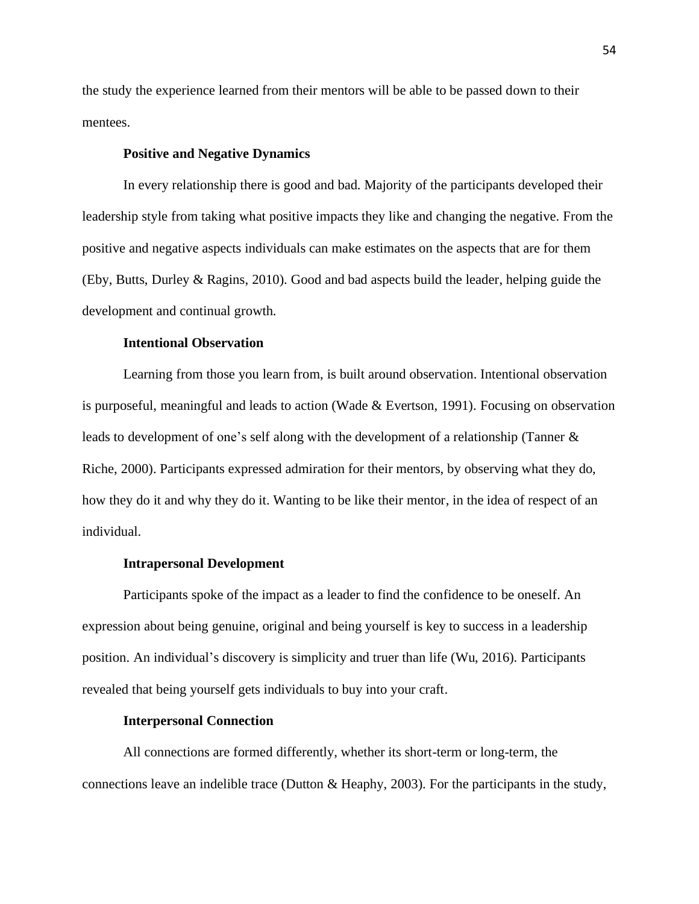the study the experience learned from their mentors will be able to be passed down to their mentees.

### **Positive and Negative Dynamics**

In every relationship there is good and bad. Majority of the participants developed their leadership style from taking what positive impacts they like and changing the negative. From the positive and negative aspects individuals can make estimates on the aspects that are for them (Eby, Butts, Durley & Ragins, 2010). Good and bad aspects build the leader, helping guide the development and continual growth.

## **Intentional Observation**

Learning from those you learn from, is built around observation. Intentional observation is purposeful, meaningful and leads to action (Wade & Evertson, 1991). Focusing on observation leads to development of one's self along with the development of a relationship (Tanner & Riche, 2000). Participants expressed admiration for their mentors, by observing what they do, how they do it and why they do it. Wanting to be like their mentor, in the idea of respect of an individual.

#### **Intrapersonal Development**

Participants spoke of the impact as a leader to find the confidence to be oneself. An expression about being genuine, original and being yourself is key to success in a leadership position. An individual's discovery is simplicity and truer than life (Wu, 2016). Participants revealed that being yourself gets individuals to buy into your craft.

#### **Interpersonal Connection**

All connections are formed differently, whether its short-term or long-term, the connections leave an indelible trace (Dutton & Heaphy, 2003). For the participants in the study,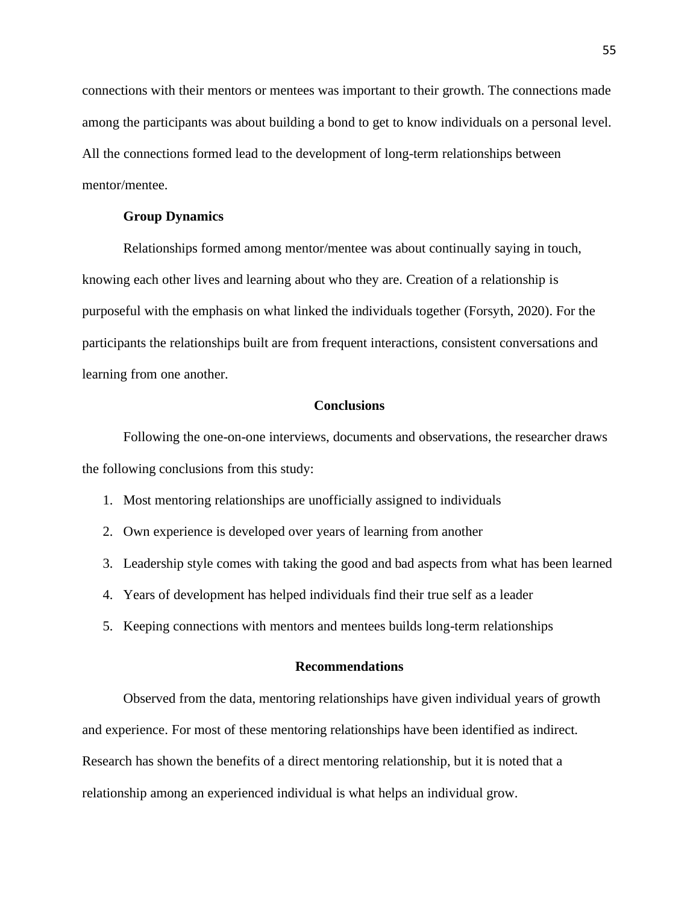connections with their mentors or mentees was important to their growth. The connections made among the participants was about building a bond to get to know individuals on a personal level. All the connections formed lead to the development of long-term relationships between mentor/mentee.

#### **Group Dynamics**

Relationships formed among mentor/mentee was about continually saying in touch, knowing each other lives and learning about who they are. Creation of a relationship is purposeful with the emphasis on what linked the individuals together (Forsyth, 2020). For the participants the relationships built are from frequent interactions, consistent conversations and learning from one another.

## **Conclusions**

Following the one-on-one interviews, documents and observations, the researcher draws the following conclusions from this study:

- 1. Most mentoring relationships are unofficially assigned to individuals
- 2. Own experience is developed over years of learning from another
- 3. Leadership style comes with taking the good and bad aspects from what has been learned
- 4. Years of development has helped individuals find their true self as a leader
- 5. Keeping connections with mentors and mentees builds long-term relationships

## **Recommendations**

Observed from the data, mentoring relationships have given individual years of growth and experience. For most of these mentoring relationships have been identified as indirect. Research has shown the benefits of a direct mentoring relationship, but it is noted that a relationship among an experienced individual is what helps an individual grow.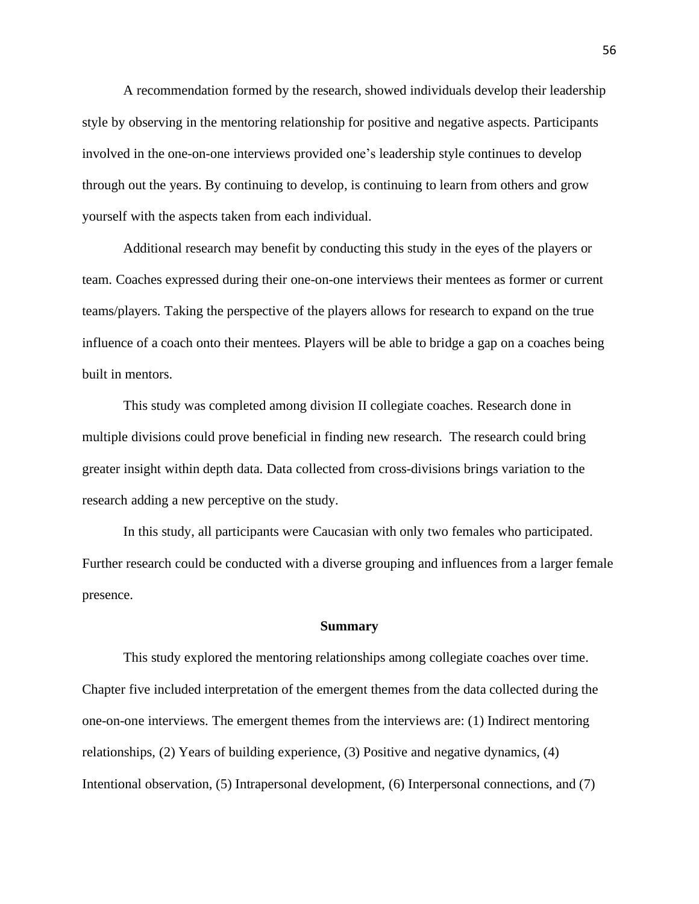A recommendation formed by the research, showed individuals develop their leadership style by observing in the mentoring relationship for positive and negative aspects. Participants involved in the one-on-one interviews provided one's leadership style continues to develop through out the years. By continuing to develop, is continuing to learn from others and grow yourself with the aspects taken from each individual.

Additional research may benefit by conducting this study in the eyes of the players or team. Coaches expressed during their one-on-one interviews their mentees as former or current teams/players. Taking the perspective of the players allows for research to expand on the true influence of a coach onto their mentees. Players will be able to bridge a gap on a coaches being built in mentors.

This study was completed among division II collegiate coaches. Research done in multiple divisions could prove beneficial in finding new research. The research could bring greater insight within depth data. Data collected from cross-divisions brings variation to the research adding a new perceptive on the study.

In this study, all participants were Caucasian with only two females who participated. Further research could be conducted with a diverse grouping and influences from a larger female presence.

#### **Summary**

This study explored the mentoring relationships among collegiate coaches over time. Chapter five included interpretation of the emergent themes from the data collected during the one-on-one interviews. The emergent themes from the interviews are: (1) Indirect mentoring relationships, (2) Years of building experience, (3) Positive and negative dynamics, (4) Intentional observation, (5) Intrapersonal development, (6) Interpersonal connections, and (7)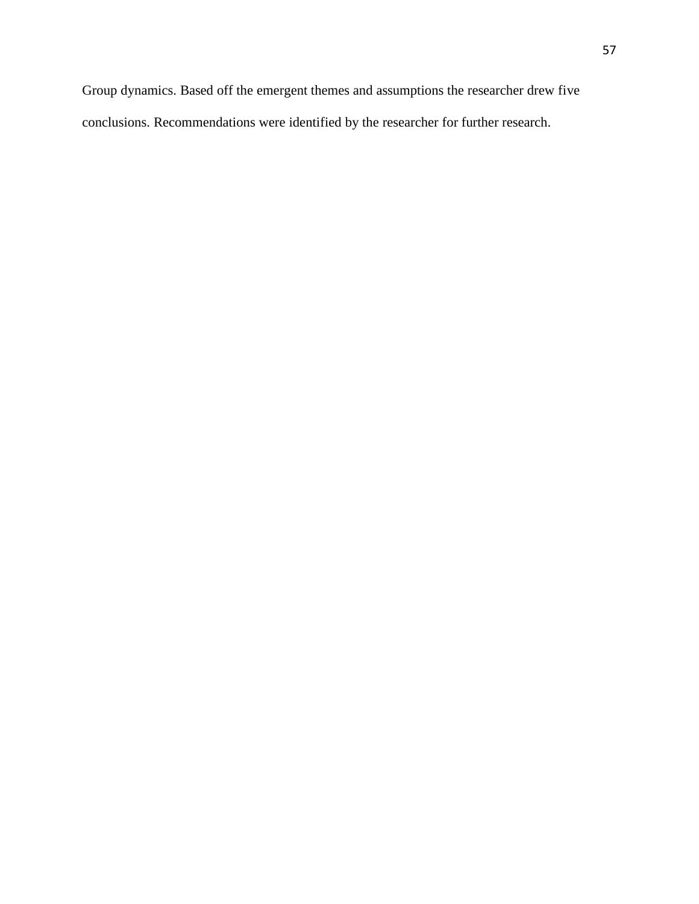Group dynamics. Based off the emergent themes and assumptions the researcher drew five conclusions. Recommendations were identified by the researcher for further research.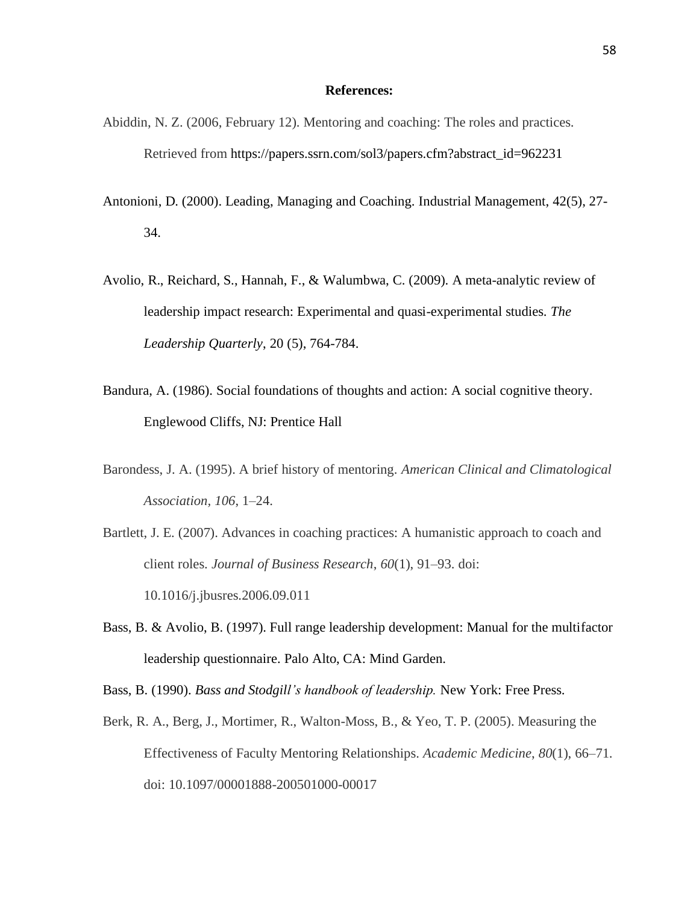### **References:**

- Abiddin, N. Z. (2006, February 12). Mentoring and coaching: The roles and practices. Retrieved from [https://papers.ssrn.com/sol3/papers.cfm?abstract\\_id=962231](https://papers.ssrn.com/sol3/papers.cfm?abstract_id=962231)
- Antonioni, D. (2000). Leading, Managing and Coaching. Industrial Management, 42(5), 27- 34.
- Avolio, R., Reichard, S., Hannah, F., & Walumbwa, C. (2009). A meta-analytic review of leadership impact research: Experimental and quasi-experimental studies. *The Leadership Quarterly*, 20 (5), 764-784.
- Bandura, A. (1986). Social foundations of thoughts and action: A social cognitive theory. Englewood Cliffs, NJ: Prentice Hall
- Barondess, J. A. (1995). A brief history of mentoring. *American Clinical and Climatological Association, 106*, 1–24.
- Bartlett, J. E. (2007). Advances in coaching practices: A humanistic approach to coach and client roles. *Journal of Business Research*, *60*(1), 91–93. doi: 10.1016/j.jbusres.2006.09.011
- Bass, B. & Avolio, B. (1997). Full range leadership development: Manual for the multifactor leadership questionnaire. Palo Alto, CA: Mind Garden.

Bass, B. (1990). *Bass and Stodgill's handbook of leadership.* New York: Free Press.

Berk, R. A., Berg, J., Mortimer, R., Walton-Moss, B., & Yeo, T. P. (2005). Measuring the Effectiveness of Faculty Mentoring Relationships. *Academic Medicine*, *80*(1), 66–71. doi: 10.1097/00001888-200501000-00017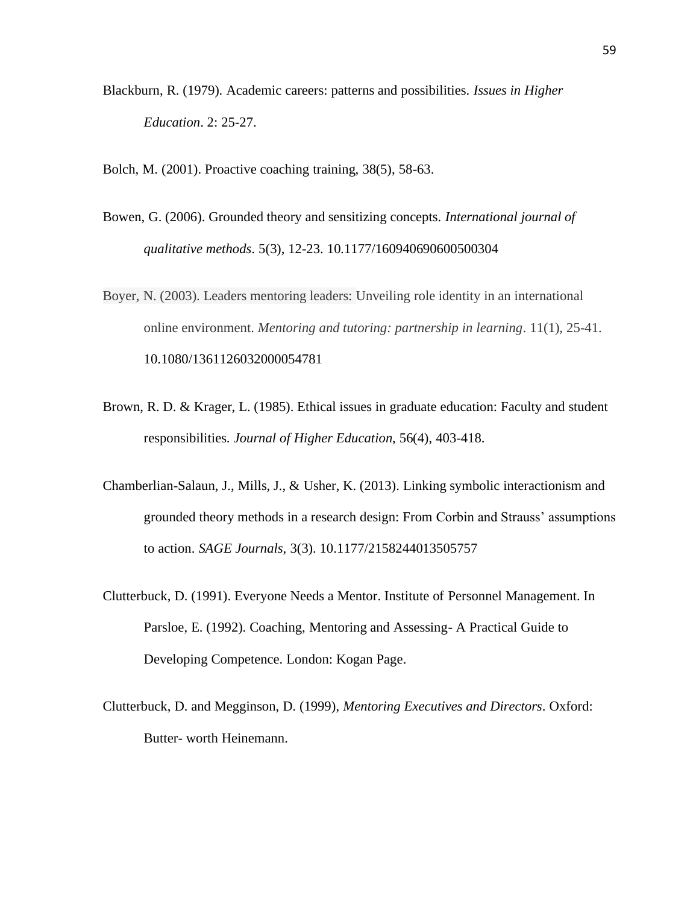- Blackburn, R. (1979). Academic careers: patterns and possibilities. *Issues in Higher Education*. 2: 25-27.
- Bolch, M. (2001). Proactive coaching training, 38(5), 58-63.
- Bowen, G. (2006). Grounded theory and sensitizing concepts. *International journal of qualitative methods*. 5(3), 12-23. 10.1177/160940690600500304
- Boyer, N. (2003). Leaders mentoring leaders: Unveiling role identity in an international online environment. *Mentoring and tutoring: partnership in learning*. 11(1), 25-41. [10.1080/1361126032000054781](https://doi.org/10.1080/1361126032000054781)
- Brown, R. D. & Krager, L. (1985). Ethical issues in graduate education: Faculty and student responsibilities. *Journal of Higher Education*, 56(4), 403-418.
- Chamberlian-Salaun, J., Mills, J., & Usher, K. (2013). Linking symbolic interactionism and grounded theory methods in a research design: From Corbin and Strauss' assumptions to action. *SAGE Journals,* 3(3). 10.1177/2158244013505757
- Clutterbuck, D. (1991). Everyone Needs a Mentor. Institute of Personnel Management. In Parsloe, E. (1992). Coaching, Mentoring and Assessing- A Practical Guide to Developing Competence. London: Kogan Page.
- Clutterbuck, D. and Megginson, D. (1999), *Mentoring Executives and Directors*. Oxford: Butter- worth Heinemann.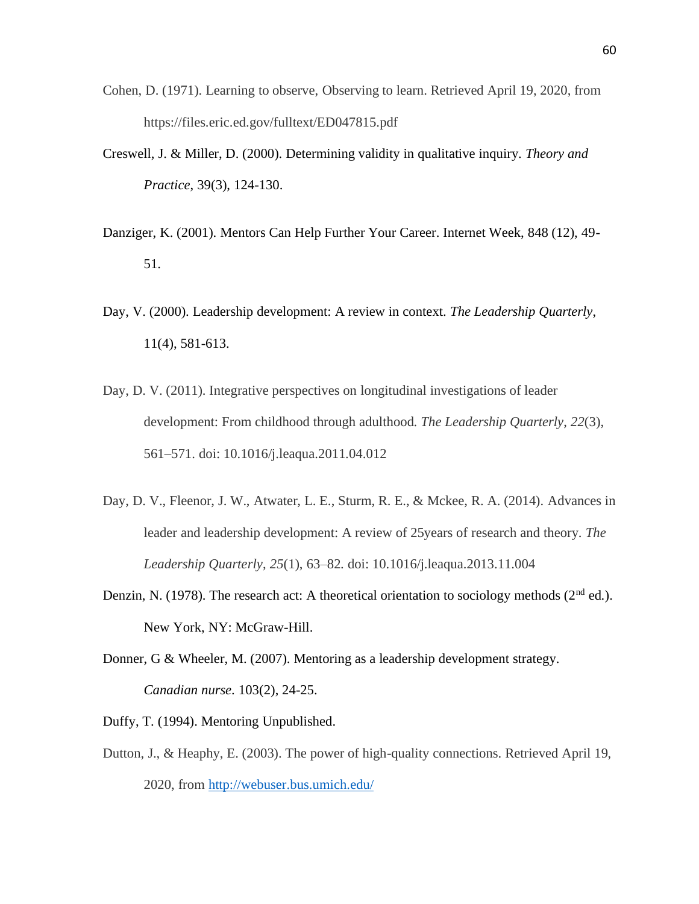- Cohen, D. (1971). Learning to observe, Observing to learn. Retrieved April 19, 2020, from https://files.eric.ed.gov/fulltext/ED047815.pdf
- Creswell, J. & Miller, D. (2000). Determining validity in qualitative inquiry. *Theory and Practice*, 39(3), 124-130.
- Danziger, K. (2001). Mentors Can Help Further Your Career. Internet Week, 848 (12), 49- 51.
- Day, V. (2000). Leadership development: A review in context. *The Leadership Quarterly*, 11(4), 581-613.
- Day, D. V. (2011). Integrative perspectives on longitudinal investigations of leader development: From childhood through adulthood. *The Leadership Quarterly*, *22*(3), 561–571. doi: 10.1016/j.leaqua.2011.04.012
- Day, D. V., Fleenor, J. W., Atwater, L. E., Sturm, R. E., & Mckee, R. A. (2014). Advances in leader and leadership development: A review of 25years of research and theory. *The Leadership Quarterly*, *25*(1), 63–82. doi: 10.1016/j.leaqua.2013.11.004
- Denzin, N. (1978). The research act: A theoretical orientation to sociology methods ( $2<sup>nd</sup>$  ed.). New York, NY: McGraw-Hill.
- Donner, G & Wheeler, M. (2007). Mentoring as a leadership development strategy. *Canadian nurse*. 103(2), 24-25.
- Duffy, T. (1994). Mentoring Unpublished.
- Dutton, J., & Heaphy, E. (2003). The power of high-quality connections. Retrieved April 19, 2020, from <http://webuser.bus.umich.edu/>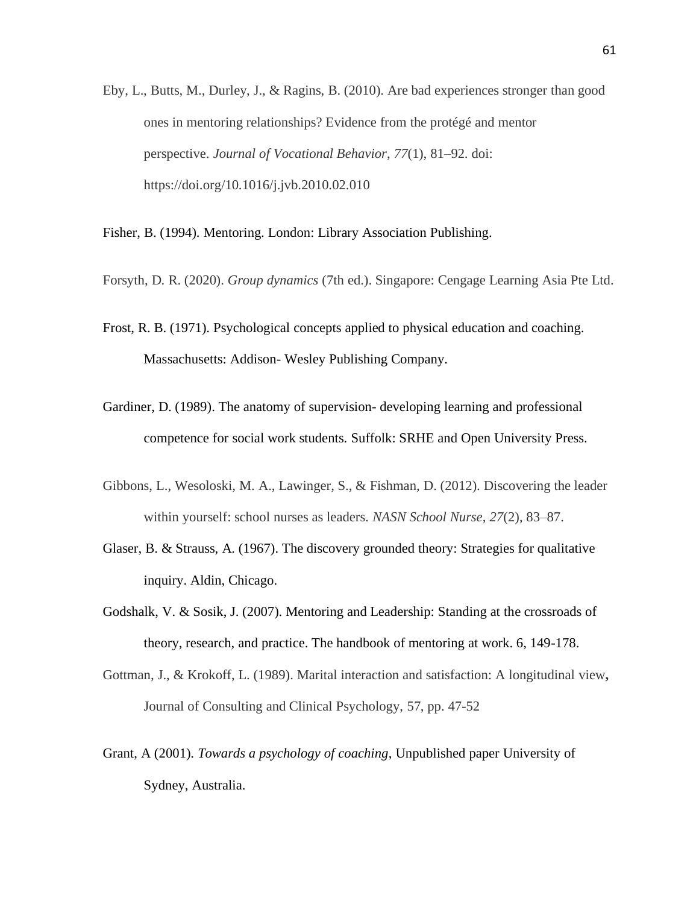Eby, L., Butts, M., Durley, J., & Ragins, B. (2010). Are bad experiences stronger than good ones in mentoring relationships? Evidence from the protégé and mentor perspective. *Journal of Vocational Behavior*, *77*(1), 81–92. doi: https://doi.org/10.1016/j.jvb.2010.02.010

Fisher, B. (1994). Mentoring. London: Library Association Publishing.

- Forsyth, D. R. (2020). *Group dynamics* (7th ed.). Singapore: Cengage Learning Asia Pte Ltd.
- Frost, R. B. (1971). Psychological concepts applied to physical education and coaching. Massachusetts: Addison- Wesley Publishing Company.
- Gardiner, D. (1989). The anatomy of supervision- developing learning and professional competence for social work students. Suffolk: SRHE and Open University Press.
- Gibbons, L., Wesoloski, M. A., Lawinger, S., & Fishman, D. (2012). Discovering the leader within yourself: school nurses as leaders. *NASN School Nurse*, *27*(2), 83–87.
- Glaser, B. & Strauss, A. (1967). The discovery grounded theory: Strategies for qualitative inquiry. Aldin, Chicago.
- Godshalk, V. & Sosik, J. (2007). Mentoring and Leadership: Standing at the crossroads of theory, research, and practice. The handbook of mentoring at work. 6, 149-178.
- Gottman, J., & Krokoff, L. (1989). Marital interaction and satisfaction: A longitudinal view**,** Journal of Consulting and Clinical Psychology, 57, pp. 47-52
- Grant, A (2001). *Towards a psychology of coaching*, Unpublished paper University of Sydney, Australia.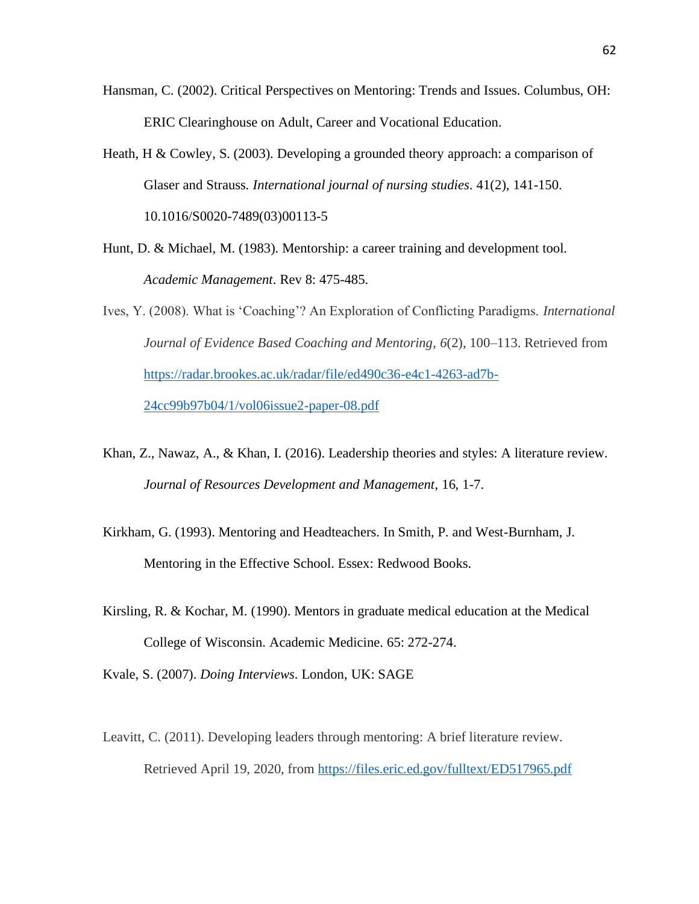- Hansman, C. (2002). Critical Perspectives on Mentoring: Trends and Issues. Columbus, OH: ERIC Clearinghouse on Adult, Career and Vocational Education.
- Heath, H & Cowley, S. (2003). Developing a grounded theory approach: a comparison of Glaser and Strauss. *International journal of nursing studies*. 41(2), 141-150. 10.1016/S0020-7489(03)00113-5
- Hunt, D. & Michael, M. (1983). Mentorship: a career training and development tool. *Academic Management*. Rev 8: 475-485.
- Ives, Y. (2008). What is 'Coaching'? An Exploration of Conflicting Paradigms. *International Journal of Evidence Based Coaching and Mentoring*, *6*(2), 100–113. Retrieved from [https://radar.brookes.ac.uk/radar/file/ed490c36-e4c1-4263-ad7b-](https://radar.brookes.ac.uk/radar/file/ed490c36-e4c1-4263-ad7b-24cc99b97b04/1/vol06issue2-paper-08.pdf)[24cc99b97b04/1/vol06issue2-paper-08.pdf](https://radar.brookes.ac.uk/radar/file/ed490c36-e4c1-4263-ad7b-24cc99b97b04/1/vol06issue2-paper-08.pdf)
- Khan, Z., Nawaz, A., & Khan, I. (2016). Leadership theories and styles: A literature review. *Journal of Resources Development and Management*, 16, 1-7.
- Kirkham, G. (1993). Mentoring and Headteachers. In Smith, P. and West-Burnham, J. Mentoring in the Effective School. Essex: Redwood Books.
- Kirsling, R. & Kochar, M. (1990). Mentors in graduate medical education at the Medical College of Wisconsin. Academic Medicine. 65: 272-274.
- Kvale, S. (2007). *Doing Interviews*. London, UK: SAGE
- Leavitt, C. (2011). Developing leaders through mentoring: A brief literature review. Retrieved April 19, 2020, from<https://files.eric.ed.gov/fulltext/ED517965.pdf>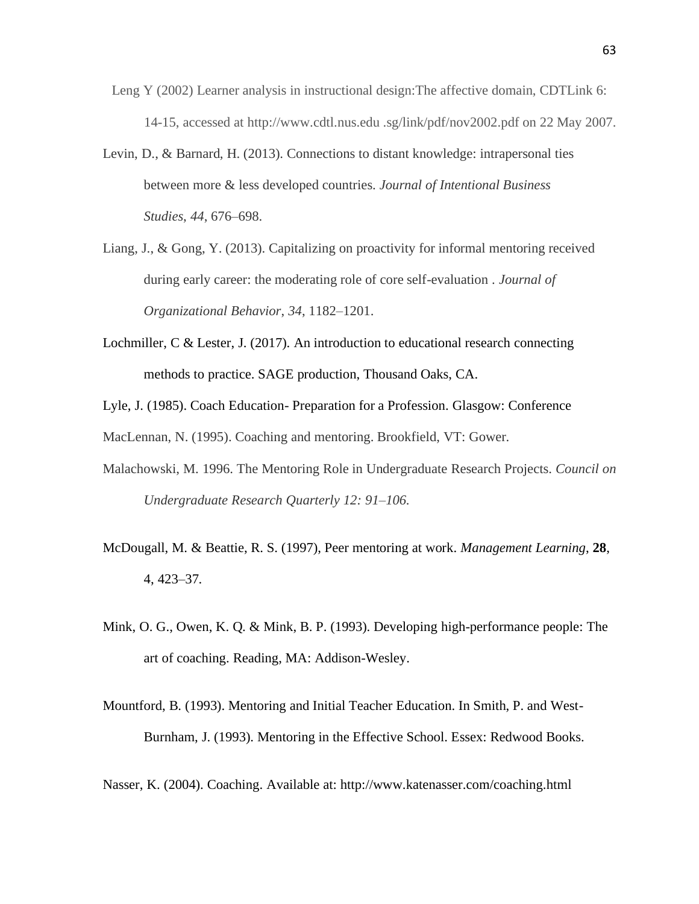- Leng Y (2002) Learner analysis in instructional design:The affective domain, CDTLink 6: 14-15, accessed at http://www.cdtl.nus.edu .sg/link/pdf/nov2002.pdf on 22 May 2007.
- Levin, D., & Barnard, H. (2013). Connections to distant knowledge: intrapersonal ties between more & less developed countries. *Journal of Intentional Business Studies*, *44*, 676–698.
- Liang, J., & Gong, Y. (2013). Capitalizing on proactivity for informal mentoring received during early career: the moderating role of core self-evaluation . *Journal of Organizational Behavior*, *34*, 1182–1201.
- Lochmiller,  $C \&$  Lester, J. (2017). An introduction to educational research connecting methods to practice. SAGE production, Thousand Oaks, CA.
- Lyle, J. (1985). Coach Education- Preparation for a Profession. Glasgow: Conference MacLennan, N. (1995). Coaching and mentoring. Brookfield, VT: Gower.
- Malachowski, M. 1996. The Mentoring Role in Undergraduate Research Projects. *Council on Undergraduate Research Quarterly 12: 91–106.*
- McDougall, M. & Beattie, R. S. (1997), Peer mentoring at work. *Management Learning*, **28**, 4, 423–37.
- Mink, O. G., Owen, K. Q. & Mink, B. P. (1993). Developing high-performance people: The art of coaching. Reading, MA: Addison-Wesley.
- Mountford, B. (1993). Mentoring and Initial Teacher Education. In Smith, P. and West-Burnham, J. (1993). Mentoring in the Effective School. Essex: Redwood Books.
- Nasser, K. (2004). Coaching. Available at: http://www.katenasser.com/coaching.html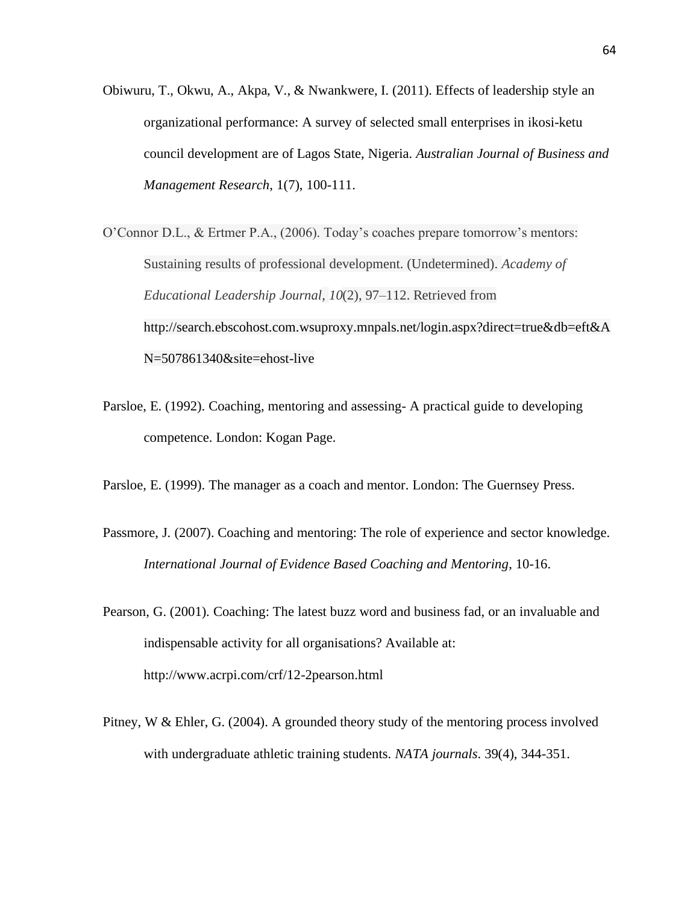- Obiwuru, T., Okwu, A., Akpa, V., & Nwankwere, I. (2011). Effects of leadership style an organizational performance: A survey of selected small enterprises in ikosi-ketu council development are of Lagos State, Nigeria. *Australian Journal of Business and Management Research*, 1(7), 100-111.
- O'Connor D.L., & Ertmer P.A., (2006). Today's coaches prepare tomorrow's mentors: Sustaining results of professional development. (Undetermined). *Academy of Educational Leadership Journal*, *10*(2), 97–112. Retrieved from [http://search.ebscohost.com.wsuproxy.mnpals.net/login.aspx?direct=true&db=eft&A](http://search.ebscohost.com.wsuproxy.mnpals.net/login.aspx?direct=true&db=eft&AN=507861340&site=ehost-live) [N=507861340&site=ehost-live](http://search.ebscohost.com.wsuproxy.mnpals.net/login.aspx?direct=true&db=eft&AN=507861340&site=ehost-live)
- Parsloe, E. (1992). Coaching, mentoring and assessing- A practical guide to developing competence. London: Kogan Page.
- Parsloe, E. (1999). The manager as a coach and mentor. London: The Guernsey Press.
- Passmore, J. (2007). Coaching and mentoring: The role of experience and sector knowledge. *International Journal of Evidence Based Coaching and Mentoring*, 10-16.
- Pearson, G. (2001). Coaching: The latest buzz word and business fad, or an invaluable and indispensable activity for all organisations? Available at: http://www.acrpi.com/crf/12-2pearson.html
- Pitney, W & Ehler, G. (2004). A grounded theory study of the mentoring process involved with undergraduate athletic training students. *NATA journals*. 39(4), 344-351.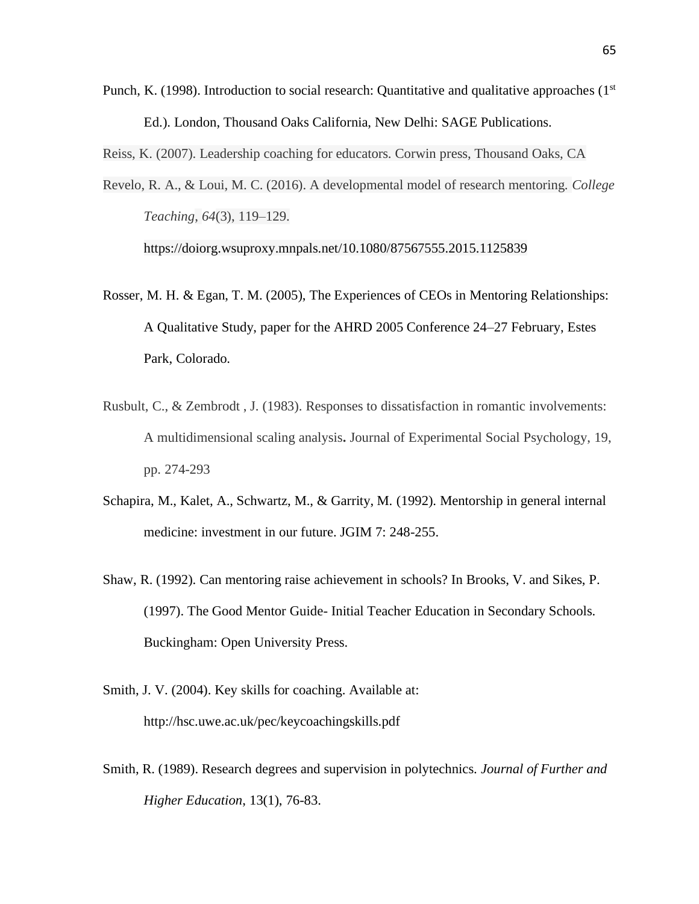Punch, K. (1998). Introduction to social research: Quantitative and qualitative approaches ( $1<sup>st</sup>$ Ed.). London, Thousand Oaks California, New Delhi: SAGE Publications.

Reiss, K. (2007). Leadership coaching for educators. Corwin press, Thousand Oaks, CA

Revelo, R. A., & Loui, M. C. (2016). A developmental model of research mentoring. *College Teaching*, *64*(3), 119–129.

<https://doiorg.wsuproxy.mnpals.net/10.1080/87567555.2015.1125839>

- Rosser, M. H. & Egan, T. M. (2005), The Experiences of CEOs in Mentoring Relationships: A Qualitative Study, paper for the AHRD 2005 Conference 24–27 February, Estes Park, Colorado.
- Rusbult, C., & Zembrodt , J. (1983). Responses to dissatisfaction in romantic involvements: A multidimensional scaling analysis**.** Journal of Experimental Social Psychology, 19, pp. 274-293
- Schapira, M., Kalet, A., Schwartz, M., & Garrity, M. (1992). Mentorship in general internal medicine: investment in our future. JGIM 7: 248-255.
- Shaw, R. (1992). Can mentoring raise achievement in schools? In Brooks, V. and Sikes, P. (1997). The Good Mentor Guide- Initial Teacher Education in Secondary Schools. Buckingham: Open University Press.
- Smith, J. V. (2004). Key skills for coaching. Available at: http://hsc.uwe.ac.uk/pec/keycoachingskills.pdf
- Smith, R. (1989). Research degrees and supervision in polytechnics. *Journal of Further and Higher Education*, 13(1), 76-83.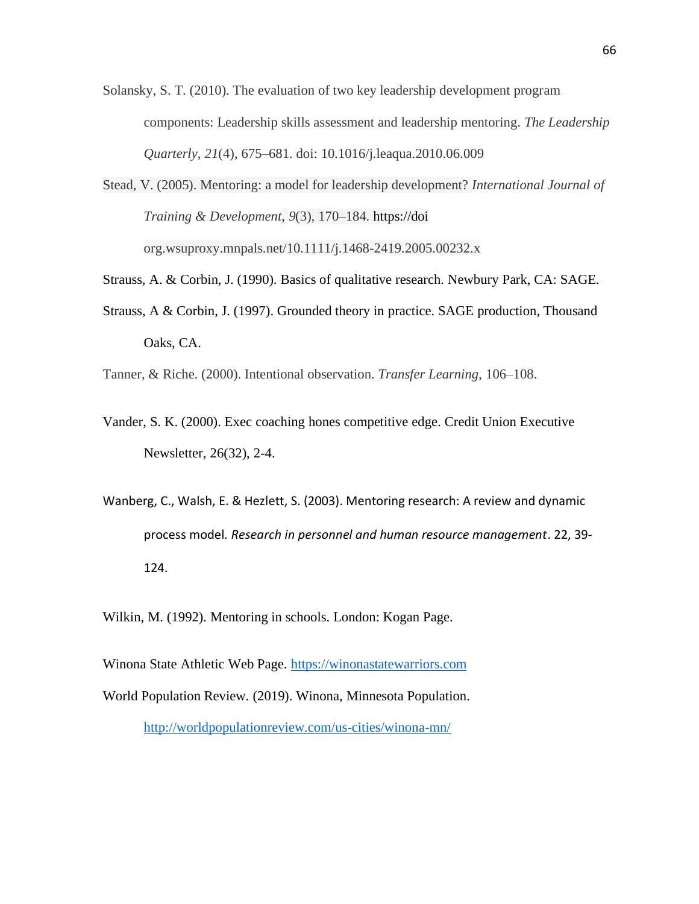- Solansky, S. T. (2010). The evaluation of two key leadership development program components: Leadership skills assessment and leadership mentoring. *The Leadership Quarterly*, *21*(4), 675–681. doi: 10.1016/j.leaqua.2010.06.009
- Stead, V. (2005). Mentoring: a model for leadership development? *International Journal of Training & Development*, *9*(3), 170–184. [https://doi](https://doi/) org.wsuproxy.mnpals.net/10.1111/j.1468-2419.2005.00232.x

Strauss, A. & Corbin, J. (1990). Basics of qualitative research. Newbury Park, CA: SAGE.

- Strauss, A & Corbin, J. (1997). Grounded theory in practice. SAGE production, Thousand Oaks, CA.
- Tanner, & Riche. (2000). Intentional observation. *Transfer Learning*, 106–108.
- Vander, S. K. (2000). Exec coaching hones competitive edge. Credit Union Executive Newsletter, 26(32), 2-4.
- Wanberg, C., Walsh, E. & Hezlett, S. (2003). Mentoring research: A review and dynamic process model*. Research in personnel and human resource management*. 22, 39- 124.

Wilkin, M. (1992). Mentoring in schools. London: Kogan Page.

Winona State Athletic Web Page. [https://winonastatewarriors.com](https://winonastatewarriors.com/) World Population Review. (2019). Winona, Minnesota Population. <http://worldpopulationreview.com/us-cities/winona-mn/>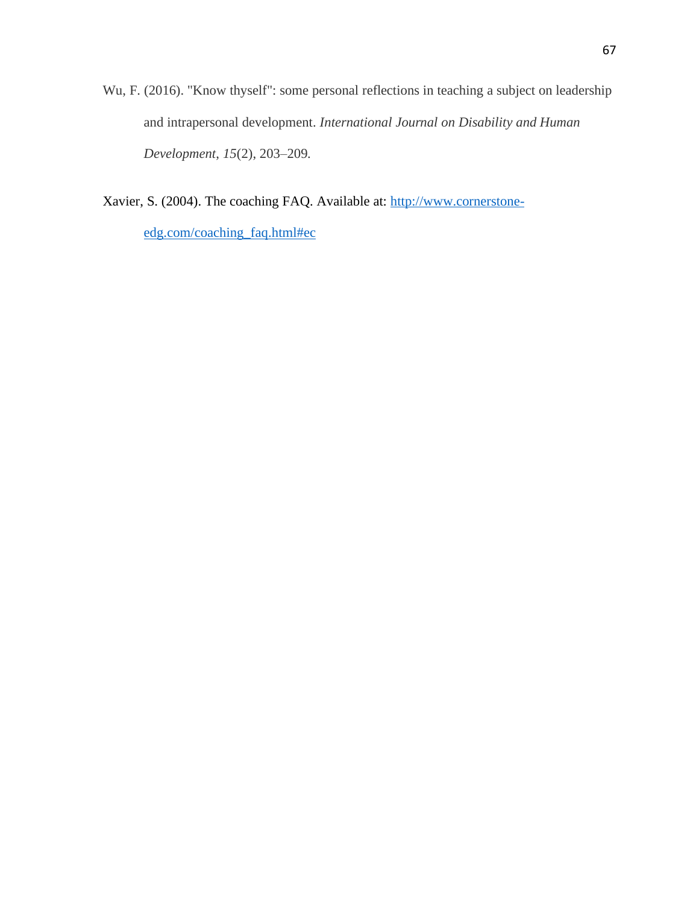Wu, F. (2016). "Know thyself": some personal reflections in teaching a subject on leadership and intrapersonal development. *International Journal on Disability and Human Development*, *15*(2), 203–209.

Xavier, S. (2004). The coaching FAQ. Available at: [http://www.cornerstone](http://www.cornerstone-edg.com/coaching_faq.html#ec)[edg.com/coaching\\_faq.html#ec](http://www.cornerstone-edg.com/coaching_faq.html#ec)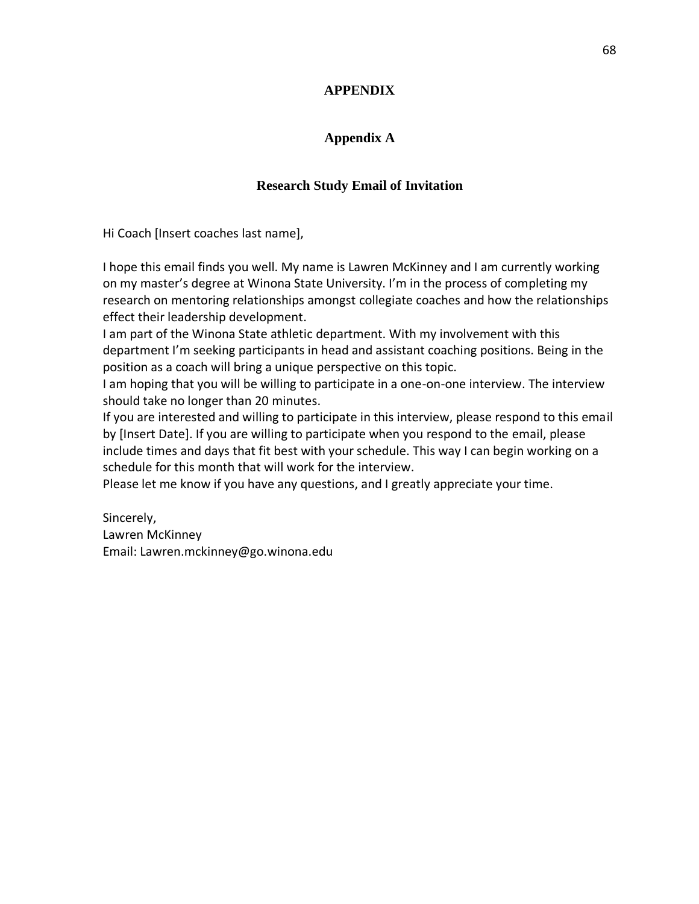## **APPENDIX**

# **Appendix A**

# **Research Study Email of Invitation**

Hi Coach [Insert coaches last name],

I hope this email finds you well. My name is Lawren McKinney and I am currently working on my master's degree at Winona State University. I'm in the process of completing my research on mentoring relationships amongst collegiate coaches and how the relationships effect their leadership development.

I am part of the Winona State athletic department. With my involvement with this department I'm seeking participants in head and assistant coaching positions. Being in the position as a coach will bring a unique perspective on this topic.

I am hoping that you will be willing to participate in a one-on-one interview. The interview should take no longer than 20 minutes.

If you are interested and willing to participate in this interview, please respond to this email by [Insert Date]. If you are willing to participate when you respond to the email, please include times and days that fit best with your schedule. This way I can begin working on a schedule for this month that will work for the interview.

Please let me know if you have any questions, and I greatly appreciate your time.

Sincerely, Lawren McKinney Email: Lawren.mckinney@go.winona.edu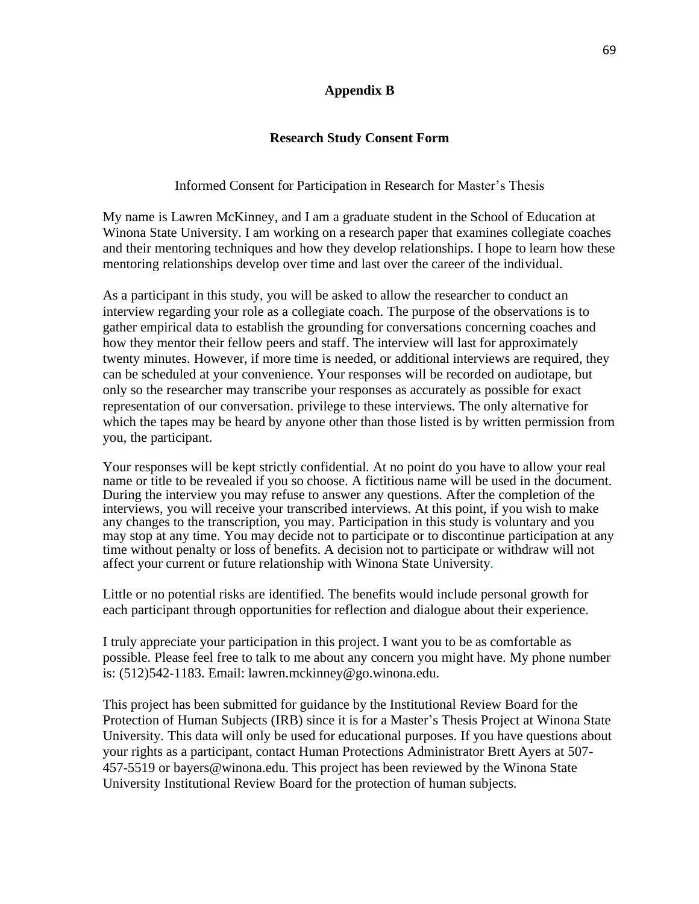## **Appendix B**

## **Research Study Consent Form**

## Informed Consent for Participation in Research for Master's Thesis

My name is Lawren McKinney, and I am a graduate student in the School of Education at Winona State University. I am working on a research paper that examines collegiate coaches and their mentoring techniques and how they develop relationships. I hope to learn how these mentoring relationships develop over time and last over the career of the individual.

As a participant in this study, you will be asked to allow the researcher to conduct an interview regarding your role as a collegiate coach. The purpose of the observations is to gather empirical data to establish the grounding for conversations concerning coaches and how they mentor their fellow peers and staff. The interview will last for approximately twenty minutes. However, if more time is needed, or additional interviews are required, they can be scheduled at your convenience. Your responses will be recorded on audiotape, but only so the researcher may transcribe your responses as accurately as possible for exact representation of our conversation. privilege to these interviews. The only alternative for which the tapes may be heard by anyone other than those listed is by written permission from you, the participant.

Your responses will be kept strictly confidential. At no point do you have to allow your real name or title to be revealed if you so choose. A fictitious name will be used in the document. During the interview you may refuse to answer any questions. After the completion of the interviews, you will receive your transcribed interviews. At this point, if you wish to make any changes to the transcription, you may. Participation in this study is voluntary and you may stop at any time. You may decide not to participate or to discontinue participation at any time without penalty or loss of benefits. A decision not to participate or withdraw will not affect your current or future relationship with Winona State University*.* 

Little or no potential risks are identified. The benefits would include personal growth for each participant through opportunities for reflection and dialogue about their experience.

I truly appreciate your participation in this project. I want you to be as comfortable as possible. Please feel free to talk to me about any concern you might have. My phone number is: (512)542-1183. Email: lawren.mckinney@go.winona.edu.

This project has been submitted for guidance by the Institutional Review Board for the Protection of Human Subjects (IRB) since it is for a Master's Thesis Project at Winona State University. This data will only be used for educational purposes. If you have questions about your rights as a participant, contact Human Protections Administrator Brett Ayers at 507- 457-5519 or bayers@winona.edu. This project has been reviewed by the Winona State University Institutional Review Board for the protection of human subjects.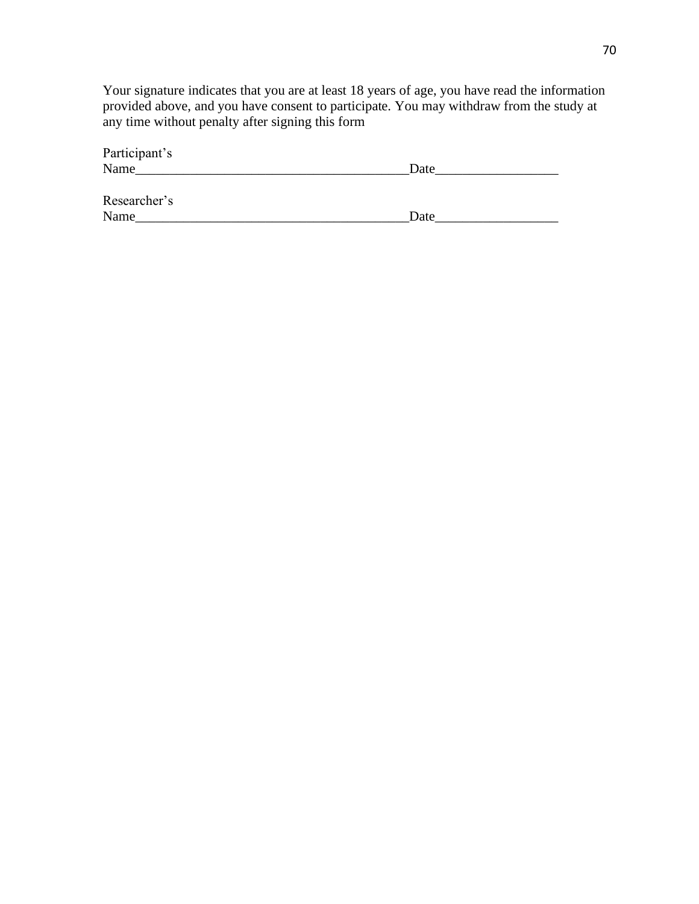Your signature indicates that you are at least 18 years of age, you have read the information provided above, and you have consent to participate. You may withdraw from the study at any time without penalty after signing this form

| Participant's |      |
|---------------|------|
| Name          | Date |
| Researcher's  |      |
| Name          | Date |